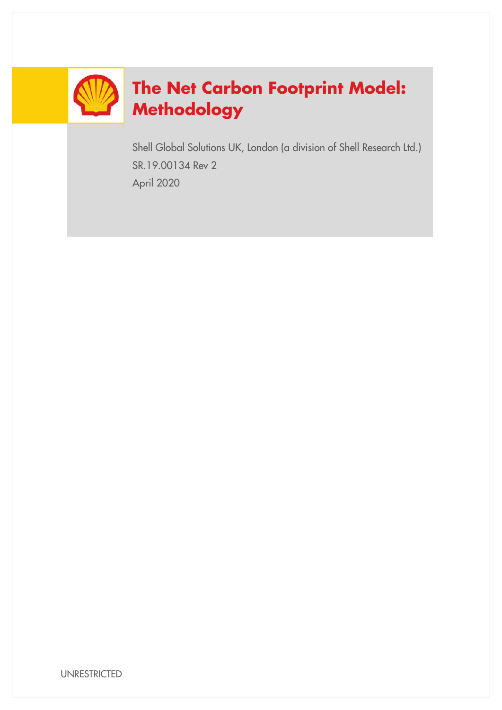

# **The Net Carbon Footprint Model: Methodology**

Shell Global Solutions UK, London (a division of Shell Research Ltd.) SR.19.00134 Rev 2 April 2020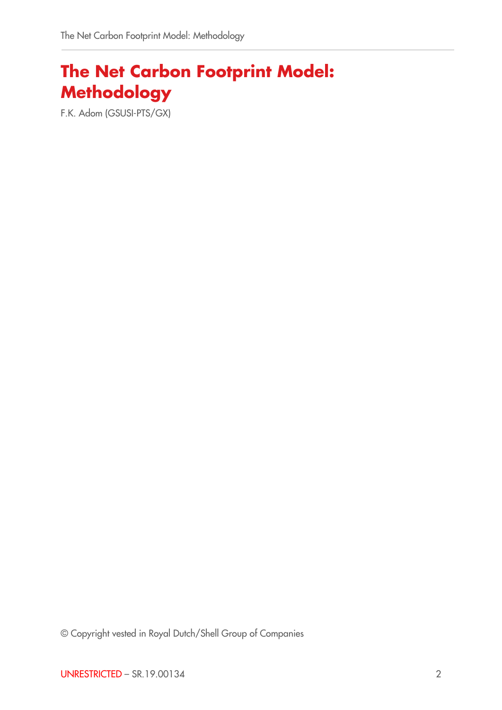# **The Net Carbon Footprint Model: Methodology**

F.K. Adom (GSUSI-PTS/GX)

© Copyright vested in Royal Dutch/Shell Group of Companies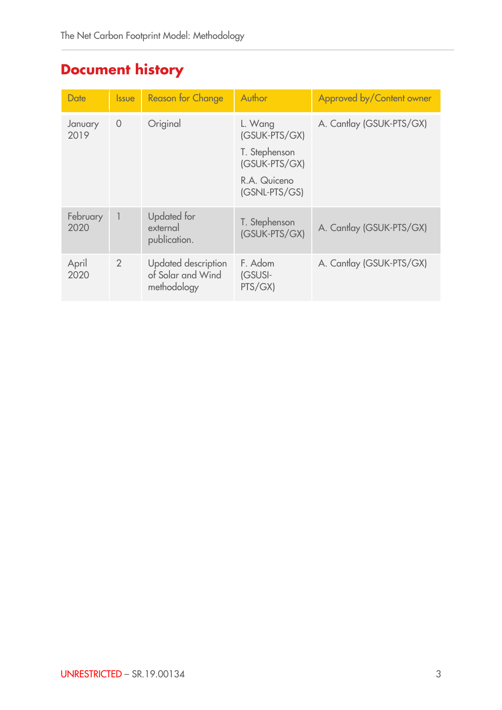# <span id="page-2-0"></span>**Document history**

| Date             | <b>Issue</b>   | <b>Reason for Change</b>                                | Author                                                     | Approved by/Content owner |
|------------------|----------------|---------------------------------------------------------|------------------------------------------------------------|---------------------------|
| January<br>2019  | $\Omega$       | Original                                                | L. Wang<br>(GSUK-PTS/GX)<br>T. Stephenson<br>(GSUK-PTS/GX) | A. Cantlay (GSUK-PTS/GX)  |
|                  |                |                                                         | R.A. Quiceno<br>(GSNL-PTS/GS)                              |                           |
| February<br>2020 |                | Updated for<br>external<br>publication.                 | T. Stephenson<br>(GSUK-PTS/GX)                             | A. Cantlay (GSUK-PTS/GX)  |
| April<br>2020    | $\overline{2}$ | Updated description<br>of Solar and Wind<br>methodology | F. Adom<br>(GSUSI-<br>PTS/GX)                              | A. Cantlay (GSUK-PTS/GX)  |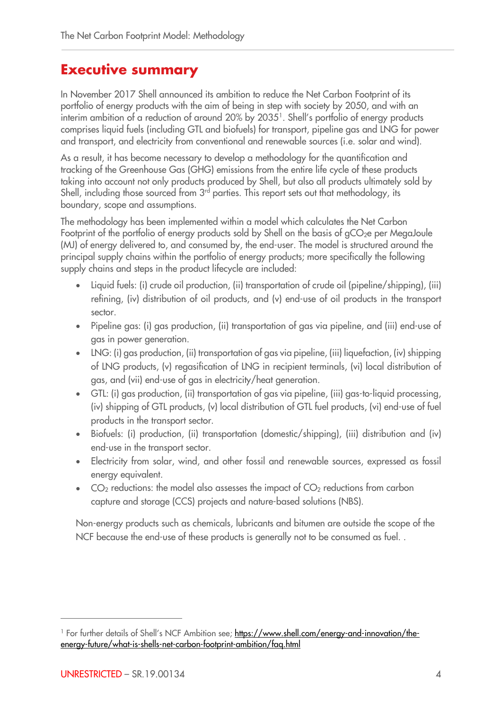## <span id="page-3-1"></span>**Executive summary**

In November 2017 Shell announced its ambition to reduce the Net Carbon Footprint of its portfolio of energy products with the aim of being in step with society by 2050, and with an interim ambition of a reduction of around 20% by 2035<sup>[1](#page-3-0)</sup>. Shell's portfolio of energy products comprises liquid fuels (including GTL and biofuels) for transport, pipeline gas and LNG for power and transport, and electricity from conventional and renewable sources (i.e. solar and wind).

As a result, it has become necessary to develop a methodology for the quantification and tracking of the Greenhouse Gas (GHG) emissions from the entire life cycle of these products taking into account not only products produced by Shell, but also all products ultimately sold by Shell, including those sourced from  $3<sup>rd</sup>$  parties. This report sets out that methodology, its boundary, scope and assumptions.

The methodology has been implemented within a model which calculates the Net Carbon Footprint of the portfolio of energy products sold by Shell on the basis of  $gCO<sub>2</sub>e$  per MegaJoule (MJ) of energy delivered to, and consumed by, the end-user. The model is structured around the principal supply chains within the portfolio of energy products; more specifically the following supply chains and steps in the product lifecycle are included:

- Liquid fuels: (i) crude oil production, (ii) transportation of crude oil (pipeline/shipping), (iii) refining, (iv) distribution of oil products, and (v) end-use of oil products in the transport sector.
- Pipeline gas: (i) gas production, (ii) transportation of gas via pipeline, and (iii) end-use of gas in power generation.
- LNG: (i) gas production, (ii) transportation of gas via pipeline, (iii) liquefaction, (iv) shipping of LNG products, (v) regasification of LNG in recipient terminals, (vi) local distribution of gas, and (vii) end-use of gas in electricity/heat generation.
- GTL: (i) gas production, (ii) transportation of gas via pipeline, (iii) gas-to-liquid processing, (iv) shipping of GTL products, (v) local distribution of GTL fuel products, (vi) end-use of fuel products in the transport sector.
- Biofuels: (i) production, (ii) transportation (domestic/shipping), (iii) distribution and (iv) end-use in the transport sector.
- Electricity from solar, wind, and other fossil and renewable sources, expressed as fossil energy equivalent.
- $CO<sub>2</sub>$  reductions: the model also assesses the impact of  $CO<sub>2</sub>$  reductions from carbon capture and storage (CCS) projects and nature-based solutions (NBS).

Non-energy products such as chemicals, lubricants and bitumen are outside the scope of the NCF because the end-use of these products is generally not to be consumed as fuel.

<span id="page-3-0"></span><sup>&</sup>lt;sup>1</sup> For further details of Shell's NCF Ambition see: [https://www.shell.com/energy-and-innovation/the](https://www.shell.com/energy-and-innovation/the-energy-future/what-is-shells-net-carbon-footprint-ambition/faq.html)[energy-future/what-is-shells-net-carbon-footprint-ambition/faq.html](https://www.shell.com/energy-and-innovation/the-energy-future/what-is-shells-net-carbon-footprint-ambition/faq.html)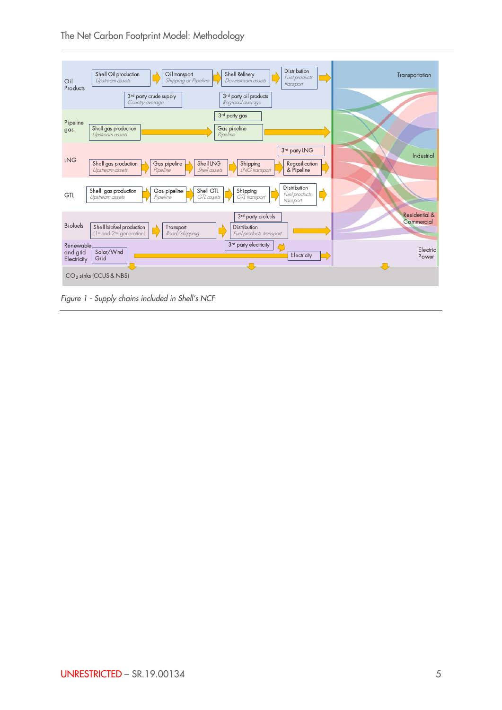The Net Carbon Footprint Model: Methodology



Figure 1 - Supply chains included in Shell's NCF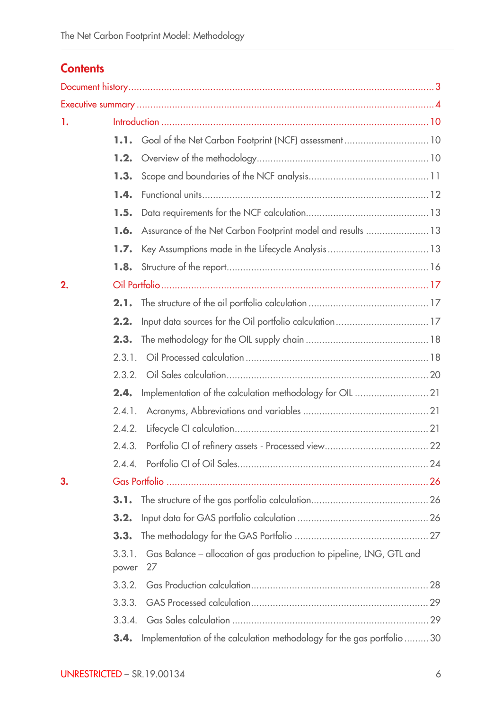## **Contents**

| 1. |                 |                                                                            |  |
|----|-----------------|----------------------------------------------------------------------------|--|
|    |                 |                                                                            |  |
|    |                 |                                                                            |  |
|    | 1.3.            |                                                                            |  |
|    | 1.4.            |                                                                            |  |
|    | 1.5.            |                                                                            |  |
|    | 1.6.            | Assurance of the Net Carbon Footprint model and results  13                |  |
|    | 1.7.            |                                                                            |  |
|    |                 |                                                                            |  |
| 2. |                 |                                                                            |  |
|    | 2.1.            |                                                                            |  |
|    | 2.2.            |                                                                            |  |
|    | 2.3.            |                                                                            |  |
|    | 2.3.1.          |                                                                            |  |
|    | 2.3.2.          |                                                                            |  |
|    | 2.4.            |                                                                            |  |
|    | 2.4.1.          |                                                                            |  |
|    | 2.4.2.          |                                                                            |  |
|    | 2.4.3.          |                                                                            |  |
|    | 2.4.4.          |                                                                            |  |
| 3. |                 |                                                                            |  |
|    | 3.1.            |                                                                            |  |
|    | 3.2.            |                                                                            |  |
|    | 3.3.            |                                                                            |  |
|    | 3.3.1.<br>power | Gas Balance - allocation of gas production to pipeline, LNG, GTL and<br>27 |  |
|    | 3.3.2.          |                                                                            |  |
|    | 3.3.3.          |                                                                            |  |
|    |                 |                                                                            |  |
|    | 3.4.            | Implementation of the calculation methodology for the gas portfolio 30     |  |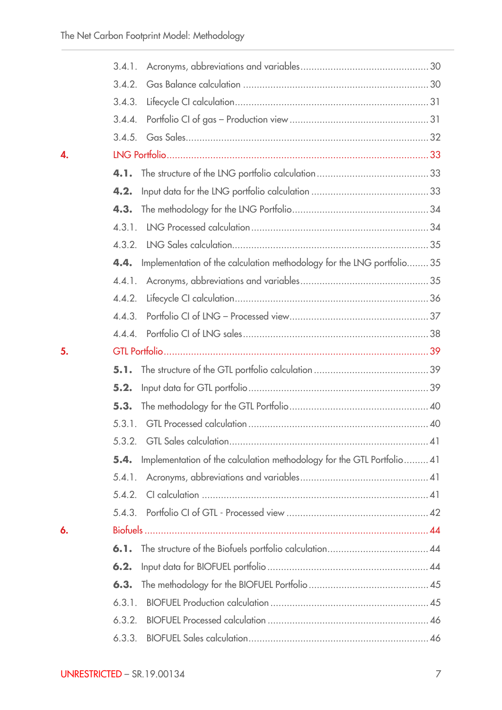|    | 3.4.1.                                                                        |  |
|----|-------------------------------------------------------------------------------|--|
|    | 3.4.2.                                                                        |  |
|    | 3.4.3.                                                                        |  |
|    | 3.4.4.                                                                        |  |
|    |                                                                               |  |
| 4. |                                                                               |  |
|    |                                                                               |  |
|    | 4.2.                                                                          |  |
|    | 4.3.                                                                          |  |
|    | 4.3.1.                                                                        |  |
|    | 4.3.2.                                                                        |  |
|    | Implementation of the calculation methodology for the LNG portfolio35<br>4.4. |  |
|    | 4.4.1.                                                                        |  |
|    | 4.4.2.                                                                        |  |
|    | 4.4.3.                                                                        |  |
|    |                                                                               |  |
| 5. |                                                                               |  |
|    |                                                                               |  |
|    | 5.2.                                                                          |  |
|    | 5.3.                                                                          |  |
|    |                                                                               |  |
|    |                                                                               |  |
|    | Implementation of the calculation methodology for the GTL Portfolio41<br>5.4. |  |
|    | 5.4.1.                                                                        |  |
|    | 5.4.2.                                                                        |  |
|    |                                                                               |  |
| 6. |                                                                               |  |
|    | 6.1.                                                                          |  |
|    | 6.2.                                                                          |  |
|    | 6.3.                                                                          |  |
|    | 6.3.1.                                                                        |  |
|    | 6.3.2.                                                                        |  |
|    | 6.3.3.                                                                        |  |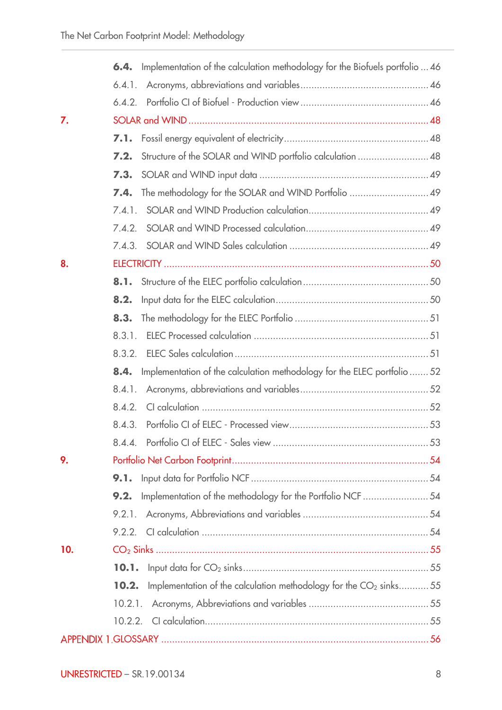|     |         | 6.4. Implementation of the calculation methodology for the Biofuels portfolio  46 |
|-----|---------|-----------------------------------------------------------------------------------|
|     | 6.4.1.  |                                                                                   |
|     |         |                                                                                   |
| 7.  |         |                                                                                   |
|     |         |                                                                                   |
|     | 7.2.    | Structure of the SOLAR and WIND portfolio calculation  48                         |
|     | 7.3.    |                                                                                   |
|     | 7.4.    | The methodology for the SOLAR and WIND Portfolio  49                              |
|     | 7.4.1.  |                                                                                   |
|     | 7.4.2.  |                                                                                   |
|     |         |                                                                                   |
| 8.  |         |                                                                                   |
|     |         |                                                                                   |
|     | 8.2.    |                                                                                   |
|     | 8.3.    |                                                                                   |
|     | 8.3.1.  |                                                                                   |
|     | 8.3.2.  |                                                                                   |
|     | 8.4.    | Implementation of the calculation methodology for the ELEC portfolio52            |
|     | 8.4.1.  |                                                                                   |
|     | 8.4.2.  |                                                                                   |
|     | 8.4.3.  |                                                                                   |
|     |         |                                                                                   |
| 9.  |         |                                                                                   |
|     | 9.1.    |                                                                                   |
|     | 9.2.    | Implementation of the methodology for the Portfolio NCF 54                        |
|     | 9.2.1.  |                                                                                   |
|     |         |                                                                                   |
| 10. |         |                                                                                   |
|     | 10.1.   |                                                                                   |
|     | 10.2.   | Implementation of the calculation methodology for the CO <sub>2</sub> sinks55     |
|     | 10.2.1. |                                                                                   |
|     |         |                                                                                   |
|     |         |                                                                                   |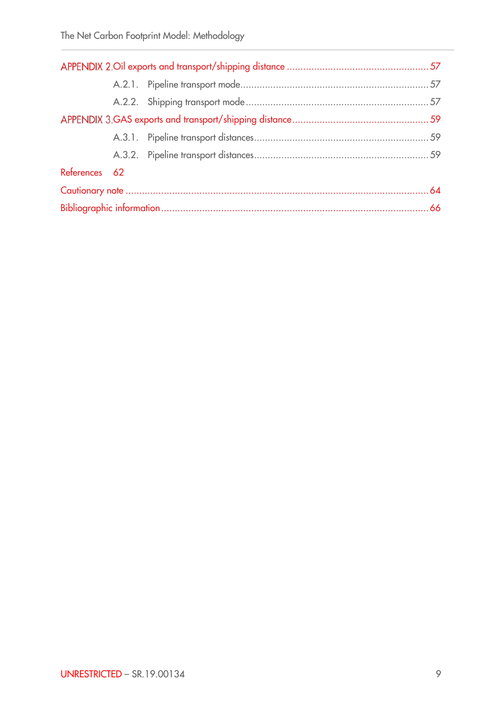| References 62 |  |  |
|---------------|--|--|
|               |  |  |
|               |  |  |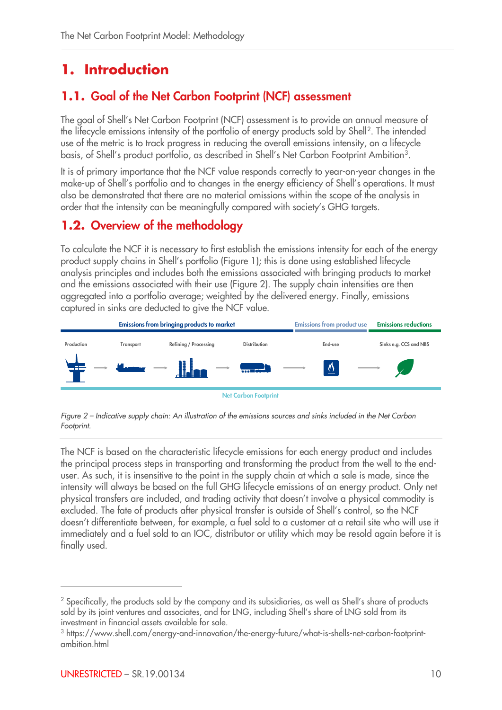# <span id="page-9-0"></span>**1. Introduction**

## <span id="page-9-1"></span>**1.1.** Goal of the Net Carbon Footprint (NCF) assessment

The goal of Shell's Net Carbon Footprint (NCF) assessment is to provide an annual measure of the lifecycle emissions intensity of the portfolio of energy products sold by Shell<sup>2</sup>. The intended use of the metric is to track progress in reducing the overall emissions intensity, on a lifecycle basis, of Shell's product portfolio, as described in Shell's Net Carbon Footprint Ambition<sup>[3](#page-9-5)</sup>.

It is of primary importance that the NCF value responds correctly to year-on-year changes in the make-up of Shell's portfolio and to changes in the energy efficiency of Shell's operations. It must also be demonstrated that there are no material omissions within the scope of the analysis in order that the intensity can be meaningfully compared with society's GHG targets.

## <span id="page-9-2"></span>**1.2.** Overview of the methodology

To calculate the NCF it is necessary to first establish the emissions intensity for each of the energy product supply chains in Shell's portfolio (Figure 1); this is done using established lifecycle analysis principles and includes both the emissions associated with bringing products to market and the emissions associated with their use [\(Figure 2\)](#page-9-3). The supply chain intensities are then aggregated into a portfolio average; weighted by the delivered energy. Finally, emissions captured in sinks are deducted to give the NCF value.



<span id="page-9-3"></span>

The NCF is based on the characteristic lifecycle emissions for each energy product and includes the principal process steps in transporting and transforming the product from the well to the enduser. As such, it is insensitive to the point in the supply chain at which a sale is made, since the intensity will always be based on the full GHG lifecycle emissions of an energy product. Only net physical transfers are included, and trading activity that doesn't involve a physical commodity is excluded. The fate of products after physical transfer is outside of Shell's control, so the NCF doesn't differentiate between, for example, a fuel sold to a customer at a retail site who will use it immediately and a fuel sold to an IOC, distributor or utility which may be resold again before it is finally used.

<span id="page-9-4"></span><sup>&</sup>lt;sup>2</sup> Specifically, the products sold by the company and its subsidiaries, as well as Shell's share of products sold by its joint ventures and associates, and for LNG, including Shell's share of LNG sold from its investment in financial assets available for sale.

<span id="page-9-5"></span><sup>3</sup> https://www.shell.com/energy-and-innovation/the-energy-future/what-is-shells-net-carbon-footprintambition.html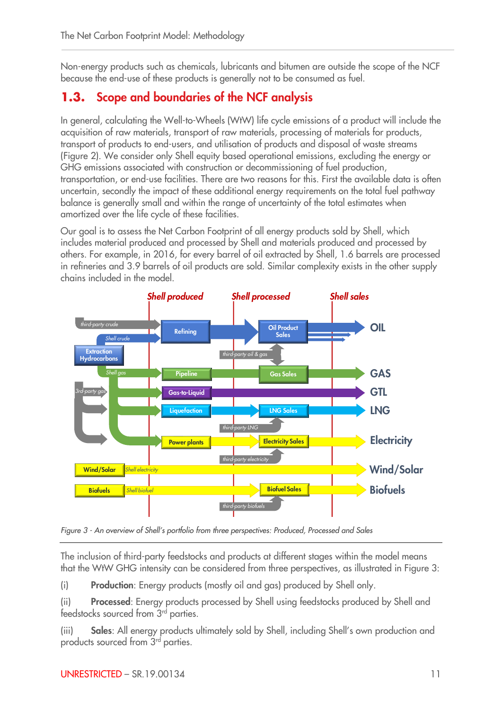Non-energy products such as chemicals, lubricants and bitumen are outside the scope of the NCF because the end-use of these products is generally not to be consumed as fuel.

## <span id="page-10-0"></span>**1.3.** Scope and boundaries of the NCF analysis

In general, calculating the Well-to-Wheels (WtW) life cycle emissions of a product will include the acquisition of raw materials, transport of raw materials, processing of materials for products, transport of products to end-users, and utilisation of products and disposal of waste streams [\(Figure 2\)](#page-9-3). We consider only Shell equity based operational emissions, excluding the energy or GHG emissions associated with construction or decommissioning of fuel production, transportation, or end-use facilities. There are two reasons for this. First the available data is often uncertain, secondly the impact of these additional energy requirements on the total fuel pathway balance is generally small and within the range of uncertainty of the total estimates when amortized over the life cycle of these facilities.

Our goal is to assess the Net Carbon Footprint of all energy products sold by Shell, which includes material produced and processed by Shell and materials produced and processed by others. For example, in 2016, for every barrel of oil extracted by Shell, 1.6 barrels are processed in refineries and 3.9 barrels of oil products are sold. Similar complexity exists in the other supply chains included in the model.



<span id="page-10-1"></span>Figure 3 - An overview of Shell's portfolio from three perspectives: Produced, Processed and Sales

The inclusion of third-party feedstocks and products at different stages within the model means that the WtW GHG intensity can be considered from three perspectives, as illustrated in [Figure 3:](#page-10-1)

(i) Production: Energy products (mostly oil and gas) produced by Shell only.

(ii) Processed: Energy products processed by Shell using feedstocks produced by Shell and feedstocks sourced from 3<sup>rd</sup> parties.

(iii) Sales: All energy products ultimately sold by Shell, including Shell's own production and products sourced from 3rd parties.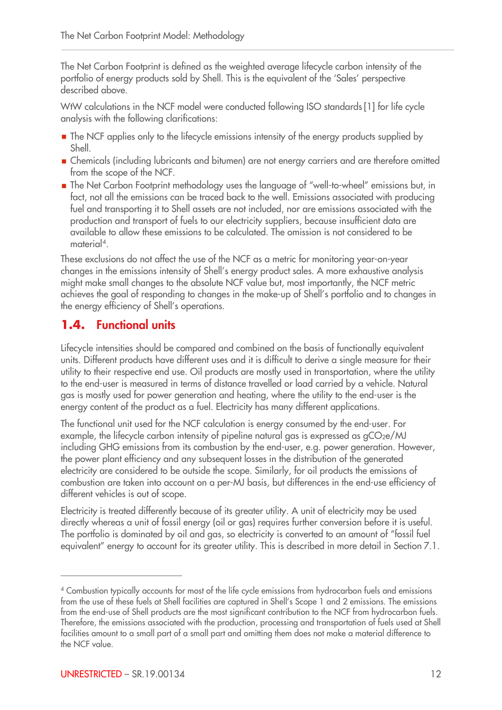The Net Carbon Footprint is defined as the weighted average lifecycle carbon intensity of the portfolio of energy products sold by Shell. This is the equivalent of the 'Sales' perspective described above.

WtW calculations in the NCF model were conducted following ISO standards[1] for life cycle analysis with the following clarifications:

- The NCF applies only to the lifecycle emissions intensity of the energy products supplied by Shell.
- **Exercise Chemicals (including lubricants and bitumen) are not energy carriers and are therefore omitted** from the scope of the NCF.
- The Net Carbon Footprint methodology uses the language of "well-to-wheel" emissions but, in fact, not all the emissions can be traced back to the well. Emissions associated with producing fuel and transporting it to Shell assets are not included, nor are emissions associated with the production and transport of fuels to our electricity suppliers, because insufficient data are available to allow these emissions to be calculated. The omission is not considered to be material<sup>4</sup>

These exclusions do not affect the use of the NCF as a metric for monitoring year-on-year changes in the emissions intensity of Shell's energy product sales. A more exhaustive analysis might make small changes to the absolute NCF value but, most importantly, the NCF metric achieves the goal of responding to changes in the make-up of Shell's portfolio and to changes in the energy efficiency of Shell's operations.

## <span id="page-11-0"></span>**1.4.** Functional units

Lifecycle intensities should be compared and combined on the basis of functionally equivalent units. Different products have different uses and it is difficult to derive a single measure for their utility to their respective end use. Oil products are mostly used in transportation, where the utility to the end-user is measured in terms of distance travelled or load carried by a vehicle. Natural gas is mostly used for power generation and heating, where the utility to the end-user is the energy content of the product as a fuel. Electricity has many different applications.

The functional unit used for the NCF calculation is energy consumed by the end-user. For example, the lifecycle carbon intensity of pipeline natural gas is expressed as  $qCO<sub>2</sub>e/MJ$ including GHG emissions from its combustion by the end-user, e.g. power generation. However, the power plant efficiency and any subsequent losses in the distribution of the generated electricity are considered to be outside the scope. Similarly, for oil products the emissions of combustion are taken into account on a per-MJ basis, but differences in the end-use efficiency of different vehicles is out of scope.

Electricity is treated differently because of its greater utility. A unit of electricity may be used directly whereas a unit of fossil energy (oil or gas) requires further conversion before it is useful. The portfolio is dominated by oil and gas, so electricity is converted to an amount of "fossil fuel equivalent" energy to account for its greater utility. This is described in more detail in Section [7.1.](#page-47-1)

<span id="page-11-1"></span><sup>4</sup> Combustion typically accounts for most of the life cycle emissions from hydrocarbon fuels and emissions from the use of these fuels at Shell facilities are captured in Shell's Scope 1 and 2 emissions. The emissions from the end-use of Shell products are the most significant contribution to the NCF from hydrocarbon fuels. Therefore, the emissions associated with the production, processing and transportation of fuels used at Shell facilities amount to a small part of a small part and omitting them does not make a material difference to the NCF value.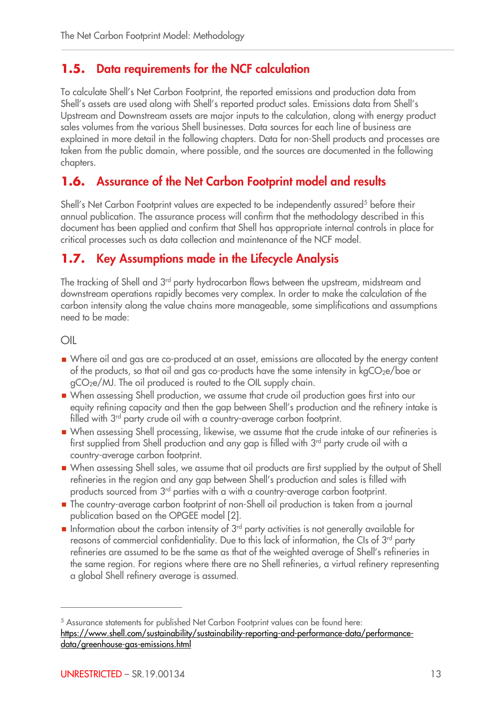## <span id="page-12-0"></span>**1.5.** Data requirements for the NCF calculation

To calculate Shell's Net Carbon Footprint, the reported emissions and production data from Shell's assets are used along with Shell's reported product sales. Emissions data from Shell's Upstream and Downstream assets are major inputs to the calculation, along with energy product sales volumes from the various Shell businesses. Data sources for each line of business are explained in more detail in the following chapters. Data for non-Shell products and processes are taken from the public domain, where possible, and the sources are documented in the following chapters.

## <span id="page-12-1"></span>**1.6.** Assurance of the Net Carbon Footprint model and results

Shell's Net Carbon Footprint values are expected to be independently assured<sup>[5](#page-12-3)</sup> before their annual publication. The assurance process will confirm that the methodology described in this document has been applied and confirm that Shell has appropriate internal controls in place for critical processes such as data collection and maintenance of the NCF model.

## <span id="page-12-2"></span>**1.7.** Key Assumptions made in the Lifecycle Analysis

The tracking of Shell and 3<sup>rd</sup> party hydrocarbon flows between the upstream, midstream and downstream operations rapidly becomes very complex. In order to make the calculation of the carbon intensity along the value chains more manageable, some simplifications and assumptions need to be made:

OIL

- Where oil and gas are co-produced at an asset, emissions are allocated by the energy content of the products, so that oil and gas co-products have the same intensity in kgCO<sub>2</sub>e/boe or gCO2e/MJ. The oil produced is routed to the OIL supply chain.
- When assessing Shell production, we assume that crude oil production goes first into our equity refining capacity and then the gap between Shell's production and the refinery intake is filled with  $3<sup>rd</sup>$  party crude oil with a country-average carbon footprint.
- When assessing Shell processing, likewise, we assume that the crude intake of our refineries is first supplied from Shell production and any gap is filled with  $3<sup>rd</sup>$  party crude oil with a country-average carbon footprint.
- When assessing Shell sales, we assume that oil products are first supplied by the output of Shell refineries in the region and any gap between Shell's production and sales is filled with products sourced from 3<sup>rd</sup> parties with a with a country-average carbon footprint.
- The country-average carbon footprint of non-Shell oil production is taken from a journal publication based on the OPGEE model [2].
- **I** Information about the carbon intensity of  $3<sup>rd</sup>$  party activities is not generally available for reasons of commercial confidentiality. Due to this lack of information, the CIs of 3<sup>rd</sup> party refineries are assumed to be the same as that of the weighted average of Shell's refineries in the same region. For regions where there are no Shell refineries, a virtual refinery representing a global Shell refinery average is assumed.

<span id="page-12-3"></span><sup>&</sup>lt;sup>5</sup> Assurance statements for published Net Carbon Footprint values can be found here: [https://www.shell.com/sustainability/sustainability-reporting-and-performance-data/performance](https://www.shell.com/sustainability/sustainability-reporting-and-performance-data/performance-data/greenhouse-gas-emissions.html)[data/greenhouse-gas-emissions.html](https://www.shell.com/sustainability/sustainability-reporting-and-performance-data/performance-data/greenhouse-gas-emissions.html)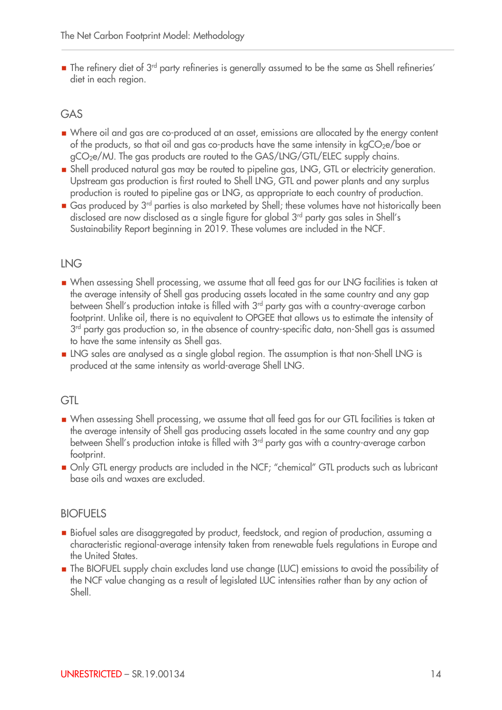$\blacksquare$  The refinery diet of 3<sup>rd</sup> party refineries is generally assumed to be the same as Shell refineries' diet in each region.

### GAS

- Where oil and gas are co-produced at an asset, emissions are allocated by the energy content of the products, so that oil and gas co-products have the same intensity in  $kgCO<sub>2</sub>e/$ boe or gCO<sub>2</sub>e/MJ. The gas products are routed to the GAS/LNG/GTL/ELEC supply chains.
- Shell produced natural gas may be routed to pipeline gas, LNG, GTL or electricity generation. Upstream gas production is first routed to Shell LNG, GTL and power plants and any surplus production is routed to pipeline gas or LNG, as appropriate to each country of production.
- Gas produced by  $3<sup>rd</sup>$  parties is also marketed by Shell; these volumes have not historically been disclosed are now disclosed as a single figure for global 3<sup>rd</sup> party gas sales in Shell's Sustainability Report beginning in 2019. These volumes are included in the NCF.

### **ING**

- When assessing Shell processing, we assume that all feed gas for our LNG facilities is taken at the average intensity of Shell gas producing assets located in the same country and any gap between Shell's production intake is filled with  $3<sup>rd</sup>$  party gas with a country-average carbon footprint. Unlike oil, there is no equivalent to OPGEE that allows us to estimate the intensity of  $3<sup>rd</sup>$  party gas production so, in the absence of country-specific data, non-Shell gas is assumed to have the same intensity as Shell gas.
- **EXTENG** sales are analysed as a single global region. The assumption is that non-Shell LNG is produced at the same intensity as world-average Shell LNG.

## GTL

- When assessing Shell processing, we assume that all feed gas for our GTL facilities is taken at the average intensity of Shell gas producing assets located in the same country and any gap between Shell's production intake is filled with 3<sup>rd</sup> party gas with a country-average carbon footprint.
- Only GTL energy products are included in the NCF: "chemical" GTL products such as lubricant base oils and waxes are excluded.

### BIOFUELS

- Biofuel sales are disaggregated by product, feedstock, and region of production, assuming a characteristic regional-average intensity taken from renewable fuels regulations in Europe and the United States.
- **The BIOFUEL supply chain excludes land use change (LUC) emissions to avoid the possibility of** the NCF value changing as a result of legislated LUC intensities rather than by any action of Shell.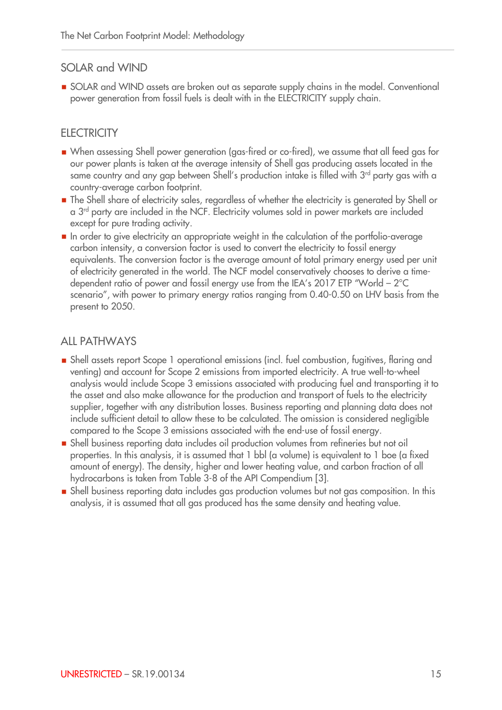### SOLAR and WIND

SOLAR and WIND assets are broken out as separate supply chains in the model. Conventional power generation from fossil fuels is dealt with in the ELECTRICITY supply chain.

## **ELECTRICITY**

- When assessing Shell power generation (gas-fired or co-fired), we assume that all feed gas for our power plants is taken at the average intensity of Shell gas producing assets located in the same country and any gap between Shell's production intake is filled with 3<sup>rd</sup> party gas with a country-average carbon footprint.
- The Shell share of electricity sales, regardless of whether the electricity is generated by Shell or a 3rd party are included in the NCF. Electricity volumes sold in power markets are included except for pure trading activity.
- In order to give electricity an appropriate weight in the calculation of the portfolio-average carbon intensity, a conversion factor is used to convert the electricity to fossil energy equivalents. The conversion factor is the average amount of total primary energy used per unit of electricity generated in the world. The NCF model conservatively chooses to derive a timedependent ratio of power and fossil energy use from the IEA's 2017 ETP "World – 2°C scenario", with power to primary energy ratios ranging from 0.40-0.50 on LHV basis from the present to 2050.

### ALL PATHWAYS

- Shell assets report Scope 1 operational emissions (incl. fuel combustion, fugitives, flaring and venting) and account for Scope 2 emissions from imported electricity. A true well-to-wheel analysis would include Scope 3 emissions associated with producing fuel and transporting it to the asset and also make allowance for the production and transport of fuels to the electricity supplier, together with any distribution losses. Business reporting and planning data does not include sufficient detail to allow these to be calculated. The omission is considered negligible compared to the Scope 3 emissions associated with the end-use of fossil energy.
- Shell business reporting data includes oil production volumes from refineries but not oil properties. In this analysis, it is assumed that 1 bbl (a volume) is equivalent to 1 boe (a fixed amount of energy). The density, higher and lower heating value, and carbon fraction of all hydrocarbons is taken from Table 3-8 of the API Compendium [3].
- Shell business reporting data includes gas production volumes but not gas composition. In this analysis, it is assumed that all gas produced has the same density and heating value.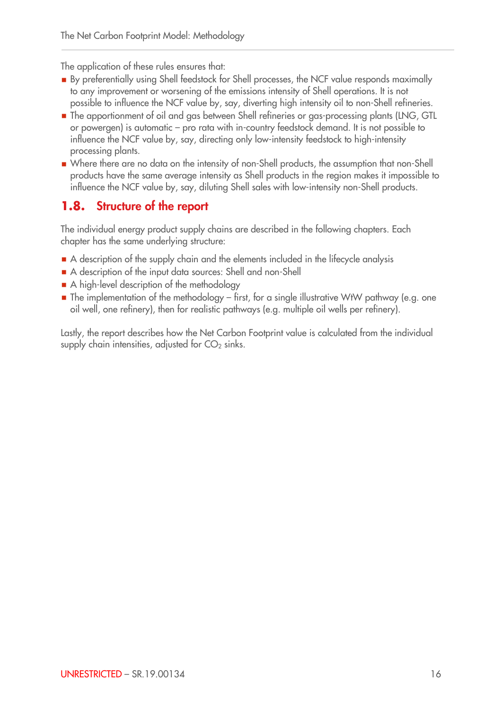The application of these rules ensures that:

- By preferentially using Shell feedstock for Shell processes, the NCF value responds maximally to any improvement or worsening of the emissions intensity of Shell operations. It is not possible to influence the NCF value by, say, diverting high intensity oil to non-Shell refineries.
- The apportionment of oil and gas between Shell refineries or gas-processing plants (LNG, GTL or powergen) is automatic – pro rata with in-country feedstock demand. It is not possible to influence the NCF value by, say, directing only low-intensity feedstock to high-intensity processing plants.
- Where there are no data on the intensity of non-Shell products, the assumption that non-Shell products have the same average intensity as Shell products in the region makes it impossible to influence the NCF value by, say, diluting Shell sales with low-intensity non-Shell products.

## <span id="page-15-0"></span>**1.8.** Structure of the report

The individual energy product supply chains are described in the following chapters. Each chapter has the same underlying structure:

- A description of the supply chain and the elements included in the lifecycle analysis
- A description of the input data sources: Shell and non-Shell
- A high-level description of the methodology
- The implementation of the methodology first, for a single illustrative WtW pathway (e.g. one oil well, one refinery), then for realistic pathways (e.g. multiple oil wells per refinery).

Lastly, the report describes how the Net Carbon Footprint value is calculated from the individual supply chain intensities, adjusted for  $CO<sub>2</sub>$  sinks.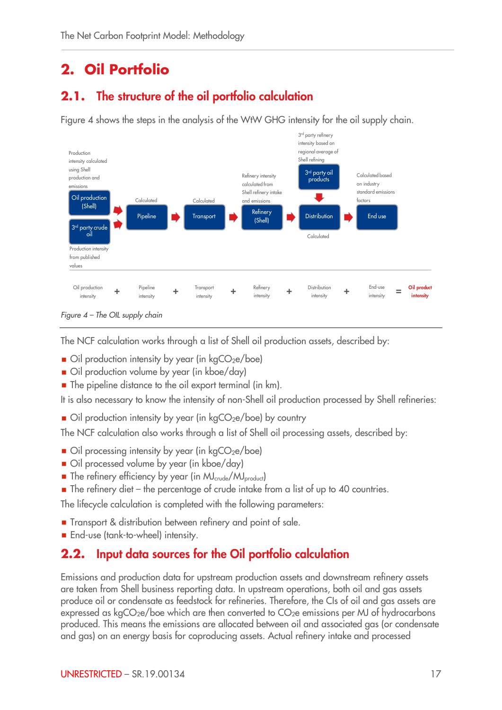# <span id="page-16-0"></span>**2. Oil Portfolio**

## <span id="page-16-1"></span>**2.1.** The structure of the oil portfolio calculation

[Figure 4](#page-16-3) shows the steps in the analysis of the WtW GHG intensity for the oil supply chain.



<span id="page-16-3"></span>Figure  $4$  – The OIL supply chain

The NCF calculation works through a list of Shell oil production assets, described by:

- $\Box$  Oil production intensity by year (in kgCO<sub>2</sub>e/boe)
- Oil production volume by year (in kboe/day)
- The pipeline distance to the oil export terminal (in km).

It is also necessary to know the intensity of non-Shell oil production processed by Shell refineries:

 $\Box$  Oil production intensity by year (in kgCO<sub>2</sub>e/boe) by country

The NCF calculation also works through a list of Shell oil processing assets, described by:

- $\Box$  Oil processing intensity by year (in kgCO<sub>2</sub>e/boe)
- Oil processed volume by year (in kboe/day)
- $\blacksquare$  The refinery efficiency by year (in  $MJ_{\text{crude}}/MJ_{\text{product}}$ )
- The refinery diet the percentage of crude intake from a list of up to 40 countries.

The lifecycle calculation is completed with the following parameters:

- Transport & distribution between refinery and point of sale.
- End-use (tank-to-wheel) intensity.

## <span id="page-16-2"></span>**2.2.** Input data sources for the Oil portfolio calculation

Emissions and production data for upstream production assets and downstream refinery assets are taken from Shell business reporting data. In upstream operations, both oil and gas assets produce oil or condensate as feedstock for refineries. Therefore, the CIs of oil and gas assets are expressed as  $kgCO<sub>2</sub>e/$ boe which are then converted to  $CO<sub>2</sub>e$  emissions per MJ of hydrocarbons produced. This means the emissions are allocated between oil and associated gas (or condensate and gas) on an energy basis for coproducing assets. Actual refinery intake and processed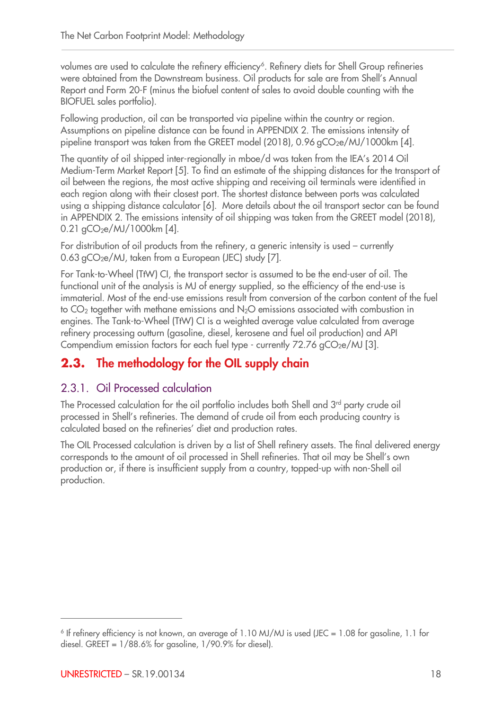volumes are used to calculate the refinery efficiency<sup>6</sup>. Refinery diets for Shell Group refineries were obtained from the Downstream business. Oil products for sale are from Shell's Annual Report and Form 20-F (minus the biofuel content of sales to avoid double counting with the BIOFUEL sales portfolio).

Following production, oil can be transported via pipeline within the country or region. Assumptions on pipeline distance can be found in [APPENDIX 2.](#page-56-0) The emissions intensity of pipeline transport was taken from the GREET model (2018),  $0.96$  gCO<sub>2</sub>e/MJ/1000km [4].

The quantity of oil shipped inter-regionally in mboe/d was taken from the IEA's 2014 Oil Medium-Term Market Report [5]. To find an estimate of the shipping distances for the transport of oil between the regions, the most active shipping and receiving oil terminals were identified in each region along with their closest port. The shortest distance between ports was calculated using a shipping distance calculator [6]. More details about the oil transport sector can be found in [APPENDIX 2.](#page-56-0) The emissions intensity of oil shipping was taken from the GREET model (2018),  $0.21$  gCO<sub>2</sub>e/MJ/1000km [4].

For distribution of oil products from the refinery, a generic intensity is used – currently  $0.63$  gCO<sub>2</sub>e/MJ, taken from a European (JEC) study [7].

For Tank-to-Wheel (TtW) CI, the transport sector is assumed to be the end-user of oil. The functional unit of the analysis is MJ of energy supplied, so the efficiency of the end-use is immaterial. Most of the end-use emissions result from conversion of the carbon content of the fuel to CO2 together with methane emissions and N2O emissions associated with combustion in engines. The Tank-to-Wheel (TtW) CI is a weighted average value calculated from average refinery processing outturn (gasoline, diesel, kerosene and fuel oil production) and API Compendium emission factors for each fuel type - currently  $72.76$  gCO<sub>2</sub>e/MJ [3].

## <span id="page-17-0"></span>**2.3.** The methodology for the OIL supply chain

## <span id="page-17-1"></span>2.3.1. Oil Processed calculation

The Processed calculation for the oil portfolio includes both Shell and 3<sup>rd</sup> party crude oil processed in Shell's refineries. The demand of crude oil from each producing country is calculated based on the refineries' diet and production rates.

The OIL Processed calculation is driven by a list of Shell refinery assets. The final delivered energy corresponds to the amount of oil processed in Shell refineries. That oil may be Shell's own production or, if there is insufficient supply from a country, topped-up with non-Shell oil production.

<span id="page-17-2"></span> $6$  If refinery efficiency is not known, an average of 1.10 MJ/MJ is used (JEC = 1.08 for gasoline, 1.1 for diesel. GREET =  $1/88.6\%$  for gasoline,  $1/90.9\%$  for diesel).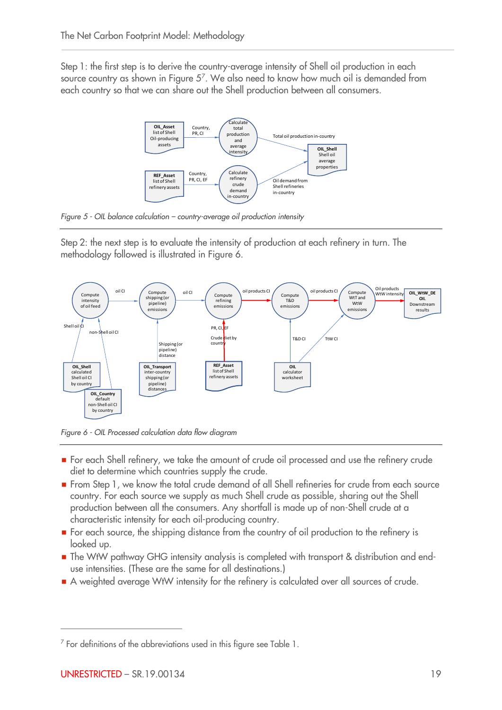Step 1: the first step is to derive the country-average intensity of Shell oil production in each source country as shown in [Figure 5](#page-18-0)<sup>[7](#page-18-2)</sup>. We also need to know how much oil is demanded from each country so that we can share out the Shell production between all consumers.



<span id="page-18-0"></span>Figure 5 - OIL balance calculation – country-average oil production intensity

Step 2: the next step is to evaluate the intensity of production at each refinery in turn. The methodology followed is illustrated in [Figure 6.](#page-18-1)



<span id="page-18-1"></span>Figure 6 - OIL Processed calculation data flow diagram

- For each Shell refinery, we take the amount of crude oil processed and use the refinery crude diet to determine which countries supply the crude.
- From Step 1, we know the total crude demand of all Shell refineries for crude from each source country. For each source we supply as much Shell crude as possible, sharing out the Shell production between all the consumers. Any shortfall is made up of non-Shell crude at a characteristic intensity for each oil-producing country.
- For each source, the shipping distance from the country of oil production to the refinery is looked up.
- The WtW pathway GHG intensity analysis is completed with transport & distribution and enduse intensities. (These are the same for all destinations.)
- A weighted average WtW intensity for the refinery is calculated over all sources of crude.

<span id="page-18-2"></span><sup>7</sup> For definitions of the abbreviations used in this figure see Table 1.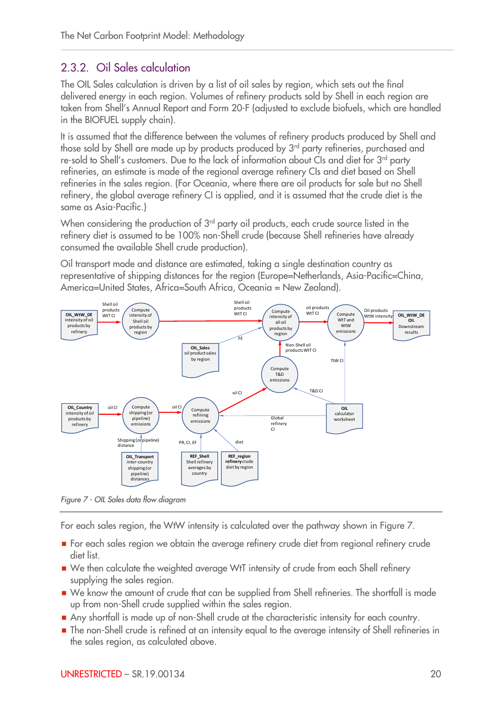## <span id="page-19-0"></span>2.3.2. Oil Sales calculation

The OIL Sales calculation is driven by a list of oil sales by region, which sets out the final delivered energy in each region. Volumes of refinery products sold by Shell in each region are taken from Shell's Annual Report and Form 20-F (adjusted to exclude biofuels, which are handled in the BIOFUEL supply chain).

It is assumed that the difference between the volumes of refinery products produced by Shell and those sold by Shell are made up by products produced by 3<sup>rd</sup> party refineries, purchased and re-sold to Shell's customers. Due to the lack of information about CIs and diet for 3<sup>rd</sup> party refineries, an estimate is made of the regional average refinery CIs and diet based on Shell refineries in the sales region. (For Oceania, where there are oil products for sale but no Shell refinery, the global average refinery CI is applied, and it is assumed that the crude diet is the same as Asia-Pacific.)

When considering the production of 3<sup>rd</sup> party oil products, each crude source listed in the refinery diet is assumed to be 100% non-Shell crude (because Shell refineries have already consumed the available Shell crude production).

Oil transport mode and distance are estimated, taking a single destination country as representative of shipping distances for the region (Europe=Netherlands, Asia-Pacific=China, America=United States, Africa=South Africa, Oceania = New Zealand).



<span id="page-19-1"></span>Figure 7 - OIL Sales data flow diagram

For each sales region, the WtW intensity is calculated over the pathway shown in [Figure 7.](#page-19-1)

- For each sales region we obtain the average refinery crude diet from regional refinery crude diet list.
- We then calculate the weighted average WtT intensity of crude from each Shell refinery supplying the sales region.
- We know the amount of crude that can be supplied from Shell refineries. The shortfall is made up from non-Shell crude supplied within the sales region.
- Any shortfall is made up of non-Shell crude at the characteristic intensity for each country.
- The non-Shell crude is refined at an intensity equal to the average intensity of Shell refineries in the sales region, as calculated above.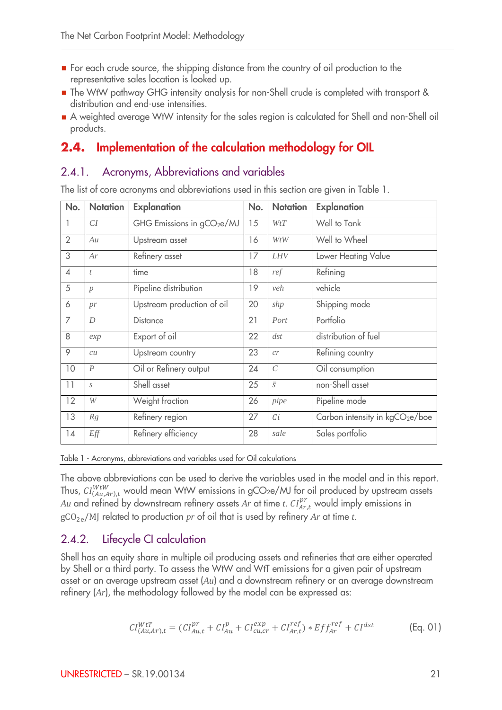- For each crude source, the shipping distance from the country of oil production to the representative sales location is looked up.
- The WtW pathway GHG intensity analysis for non-Shell crude is completed with transport & distribution and end-use intensities.
- A weighted average WtW intensity for the sales region is calculated for Shell and non-Shell oil products.

## <span id="page-20-0"></span>**2.4.** Implementation of the calculation methodology for OIL

### <span id="page-20-1"></span>2.4.1. Acronyms, Abbreviations and variables

The list of core acronyms and abbreviations used in this section are given in [Table 1.](#page-20-3)

| No.                      | <b>Notation</b> | <b>Explanation</b>                     | No. | <b>Notation</b> | <b>Explanation</b>                          |
|--------------------------|-----------------|----------------------------------------|-----|-----------------|---------------------------------------------|
| $\overline{\phantom{a}}$ | CI              | GHG Emissions in gCO <sub>2</sub> e/MJ | 15  | WtT             | Well to Tank                                |
| $\overline{2}$           | Au              | Upstream asset                         | 16  | WtW             | Well to Wheel                               |
| $\overline{3}$           | Ar              | Refinery asset                         | 17  | ${\it LHV}$     | Lower Heating Value                         |
| $\overline{4}$           | t               | time                                   | 18  | ref             | Refining                                    |
| 5                        | $\overline{p}$  | Pipeline distribution                  | 19  | veh             | vehicle                                     |
| 6                        | pr              | Upstream production of oil             | 20  | shp             | Shipping mode                               |
| $\overline{7}$           | D               | <b>Distance</b>                        | 21  | Port            | Portfolio                                   |
| 8                        | exp             | Export of oil                          | 22  | $\,$ dst        | distribution of fuel                        |
| 9                        | cu              | Upstream country                       | 23  | cr              | Refining country                            |
| 10                       | $\overline{P}$  | Oil or Refinery output                 | 24  | $\mathcal{C}$   | Oil consumption                             |
| 11                       | S               | Shell asset                            | 25  | $\overline{S}$  | non-Shell asset                             |
| 12                       | W               | Weight fraction                        | 26  | pipe            | Pipeline mode                               |
| 13                       | Rg              | Refinery region                        | 27  | Ci              | Carbon intensity in kgCO <sub>2</sub> e/boe |
| 14                       | Eff             | Refinery efficiency                    | 28  | sale            | Sales portfolio                             |

<span id="page-20-3"></span>Table 1 - Acronyms, abbreviations and variables used for Oil calculations

The above abbreviations can be used to derive the variables used in the model and in this report. Thus,  $\mathit{Cl}_{(Au,Ar),t}^{WtW}$  would mean WtW emissions in gCO<sub>2</sub>e/MJ for oil produced by upstream assets  $Au$  and refined by downstream refinery assets  $Ar$  at time  $t$ .  $\mathit{CI}^{pr}_{Ar,t}$  would imply emissions in gCO2e/MJ related to production *pr* of oil that is used by refinery *Ar* at time *t*.

## <span id="page-20-2"></span>2.4.2. Lifecycle CI calculation

Shell has an equity share in multiple oil producing assets and refineries that are either operated by Shell or a third party. To assess the WtW and WtT emissions for a given pair of upstream asset or an average upstream asset (*Au*) and a downstream refinery or an average downstream refinery (*Ar*), the methodology followed by the model can be expressed as:

$$
CI_{(Au,Ar),t}^{WtT} = (CI_{Au,t}^{pr} + CI_{Au}^{p} + CI_{cu,cr}^{exp} + CI_{Ar,t}^{ref}) * Eff_{Ar}^{ref} + CI^{dst}
$$
 [Eq. 01)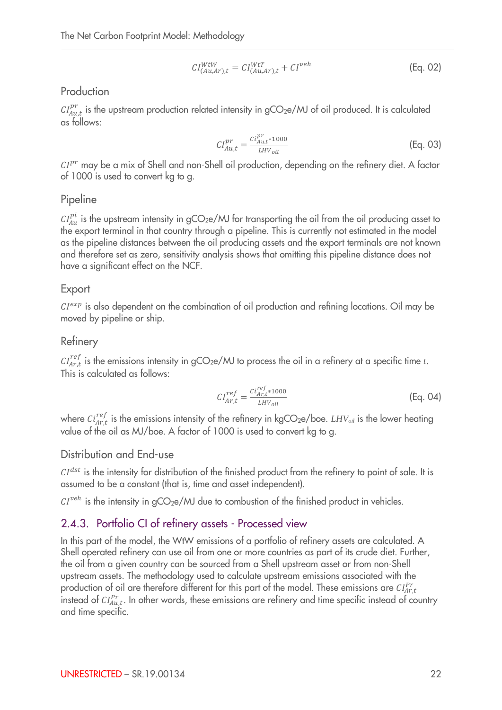$$
CI_{(Au,Ar),t}^{WtW} = CI_{(Au,Ar),t}^{WtT} + CI^{veh}
$$
 (Eq. 02)

#### Production

 $\ell I^{pr}_{A u,t}$  is the upstream production related intensity in gCO<sub>2</sub>e/MJ of oil produced. It is calculated as follows:

$$
CI_{Au,t}^{pr} = \frac{CI_{Au,t}^{pr} * 1000}{LHV_{oil}}
$$
 (Eq. 03)

 $Cl^{pr}$  may be a mix of Shell and non-Shell oil production, depending on the refinery diet. A factor of 1000 is used to convert kg to g.

#### Pipeline

 $CI_{Au}^{pi}$  is the upstream intensity in gCO<sub>2</sub>e/MJ for transporting the oil from the oil producing asset to the export terminal in that country through a pipeline. This is currently not estimated in the model as the pipeline distances between the oil producing assets and the export terminals are not known and therefore set as zero, sensitivity analysis shows that omitting this pipeline distance does not have a significant effect on the NCF.

#### Export

 $CI^{exp}$  is also dependent on the combination of oil production and refining locations. Oil may be moved by pipeline or ship.

#### Refinery

 $CI_{Ar,t}^{ref}$  is the emissions intensity in gCO<sub>2</sub>e/MJ to process the oil in a refinery at a specific time *t*. This is calculated as follows:

$$
CI_{Ar,t}^{ref} = \frac{CI_{Ar,t}^{ref} * 1000}{LHV_{oil}}
$$
 (Eq. 04)

where  $\zeta_{Ar,t}^{ref}$  is the emissions intensity of the refinery in kgCO<sub>2</sub>e/boe.  $\zeta_{Ar,t}$  is the lower heating value of the oil as MJ/boe. A factor of 1000 is used to convert kg to g.

#### Distribution and End-use

 $CI<sup>dst</sup>$  is the intensity for distribution of the finished product from the refinery to point of sale. It is assumed to be a constant (that is, time and asset independent).

 $Cl<sup>veh</sup>$  is the intensity in gCO<sub>2</sub>e/MJ due to combustion of the finished product in vehicles.

#### <span id="page-21-0"></span>2.4.3. Portfolio CI of refinery assets - Processed view

In this part of the model, the WtW emissions of a portfolio of refinery assets are calculated. A Shell operated refinery can use oil from one or more countries as part of its crude diet. Further, the oil from a given country can be sourced from a Shell upstream asset or from non-Shell upstream assets. The methodology used to calculate upstream emissions associated with the production of oil are therefore different for this part of the model. These emissions are  $\mathit{Cl_{Art,t}^{\, pr}}$ instead of  $\mathit{Cl}_{Au,t}^{\mathit{Pr}}.$  In other words, these emissions are refinery and time specific instead of country and time specific.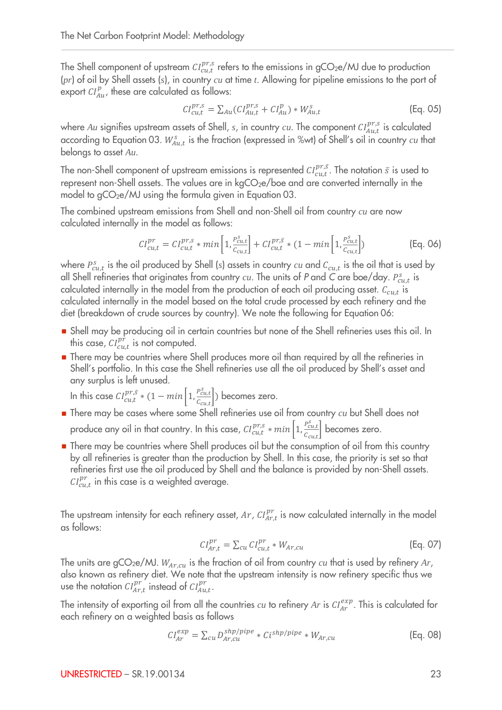The Shell component of upstream  $Cl_{cut}^{pr,s}$  refers to the emissions in gCO<sub>2</sub>e/MJ due to production (*pr*) of oil by Shell assets (*s*), in country *cu* at time *t*. Allowing for pipeline emissions to the port of export  $CI_{Au}^p$ , these are calculated as follows:

$$
CI_{cu,t}^{pr,s} = \sum_{Au} (CI_{Au,t}^{pr,s} + CI_{Au}^p) * W_{Au,t}^s
$$
 (Eq. 05)

where  $Au$  signifies upstream assets of Shell, *s*, in country  $cu$ . The component  $\mathit{CI}^{pr,s}_{\mathit{Aut},t}$  is calculated according to Equation 03.  $W_{Aut}^s$  is the fraction (expressed in %wt) of Shell's oil in country *cu* that belongs to asset *Au*.

The non-Shell component of upstream emissions is represented  $\mathit{CI}^{pr,\bar{s}}_{cu,t}$  . The notation  $\bar{s}$  is used to represent non-Shell assets. The values are in  $kgCO<sub>2</sub>e/$ boe and are converted internally in the model to  $gCO<sub>2</sub>e/MJ$  using the formula given in Equation 03.

The combined upstream emissions from Shell and non-Shell oil from country *cu* are now calculated internally in the model as follows:

$$
CI_{cu,t}^{pr} = CI_{cu,t}^{pr,s} * min \left[ 1, \frac{P_{cu,t}^s}{c_{cu,t}} \right] + CI_{cu,t}^{pr,\bar{s}} * (1 - min \left[ 1, \frac{P_{cu,t}^s}{c_{cu,t}} \right])
$$
 (Eq. 06)

where  $P_{cut}^s$  is the oil produced by Shell (*s*) assets in country  $cu$  and  $c_{cut}$  is the oil that is used by all Shell refineries that originates from country  $cu$ . The units of P and C are boe/day.  $P_{cut}^s$  is calculated internally in the model from the production of each oil producing asset.  $c_{cut}$  is calculated internally in the model based on the total crude processed by each refinery and the diet (breakdown of crude sources by country). We note the following for Equation 06:

- Shell may be producing oil in certain countries but none of the Shell refineries uses this oil. In this case,  $\mathit{CI}^{pr}_{cu,t}$  is not computed.
- There may be countries where Shell produces more oil than required by all the refineries in Shell's portfolio. In this case the Shell refineries use all the oil produced by Shell's asset and any surplus is left unused.

In this case  $Cl_{cut}^{pr,\bar{s}}*(1-min\Big[1,\frac{P_{cut}^s}{C_{cut}}\Big]$  $\left(\frac{r_{\mathit{cut}}}{c_{\mathit{cut}}} \right]$ ) becomes zero.

- There may be cases where some Shell refineries use oil from country *cu* but Shell does not produce any oil in that country. In this case,  $\mathit{Cl}^{pr,s}_{cut} * min\Big[1,\frac{P^{S}_{cut,t}}{C_{cut}}\Big]$  $\left[\frac{r_{\text{cut}}}{c_{\text{cut}}} \right]$  becomes zero.
- **There may be countries where Shell produces oil but the consumption of oil from this country** by all refineries is greater than the production by Shell. In this case, the priority is set so that refineries first use the oil produced by Shell and the balance is provided by non-Shell assets.  $\mathit{CI}^{pr}_{cu,t}$  in this case is a weighted average.

The upstream intensity for each refinery asset, Ar,  $\mathit{CI}_{Art.}^{pr}$  is now calculated internally in the model as follows:

$$
CI_{Ar,t}^{pr} = \sum_{cu} CI_{cu,t}^{pr} * W_{Ar,cu}
$$
 (Eq. 07)

The units are gCO<sub>2</sub>e/MJ.  $W_{Ar,cu}$  is the fraction of oil from country  $cu$  that is used by refinery  $Ar$ , also known as refinery diet. We note that the upstream intensity is now refinery specific thus we use the notation  $CI^{pr}_{Ar,t}$  instead of  $CI^{pr}_{Au,t}$ .

The intensity of exporting oil from all the countries *cu* to refinery *Ar* is  $Cl_{Ar}^{exp}$ . This is calculated for each refinery on a weighted basis as follows

$$
CI_{Ar}^{exp} = \sum_{cu} D_{Ar,cu}^{shp/pipe} * Ci^{shp/pipe} * W_{Ar,cu}
$$
 (Eq. 08)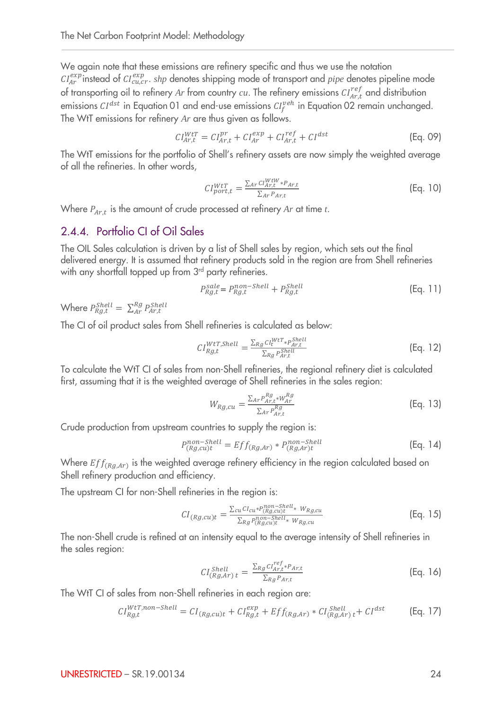We again note that these emissions are refinery specific and thus we use the notation  $CI_{Ar}^{exp}$ instead of  $CI_{cu,cr}^{exp}$ . *shp* denotes shipping mode of transport and  $pipe$  denotes pipeline mode of transporting oil to refinery  $Ar$  from country  $cu$ . The refinery emissions  $\mathit{CI}^{ref}_{Ar,t}$  and distribution emissions  $CI^{dst}$  in Equation 01 and end-use emissions  $CI_f^{veh}$  in Equation 02 remain unchanged. The WtT emissions for refinery *Ar* are thus given as follows.

$$
CI_{Ar,t}^{WtT} = CI_{Ar,t}^{pr} + CI_{Ar}^{exp} + CI_{Ar,t}^{ref} + CI^{dst}
$$
 (Eq. 09)

The WtT emissions for the portfolio of Shell's refinery assets are now simply the weighted average of all the refineries. In other words,

$$
CI_{port,t}^{WtT} = \frac{\sum_{Ar} CI_{Ar,t}^{WtW} * P_{Ar,t}}{\sum_{Ar} P_{Ar,t}}
$$
 (Eq. 10)

Where  $P_{Art}$  is the amount of crude processed at refinery  $Ar$  at time *t*.

#### <span id="page-23-0"></span>2.4.4. Portfolio CI of Oil Sales

The OIL Sales calculation is driven by a list of Shell sales by region, which sets out the final delivered energy. It is assumed that refinery products sold in the region are from Shell refineries with any shortfall topped up from 3<sup>rd</sup> party refineries.

$$
P_{Rg,t}^{sale} = P_{Rg,t}^{non-Shell} + P_{Rg,t}^{Shell}
$$
 (Eq. 11)

Where  $P_{Rg,t}^{Shell} = \sum_{Ar}^{Rg} P_{Ar,t}^{She}$ 

The CI of oil product sales from Shell refineries is calculated as below:

$$
CI_{Rg,t}^{WtT,Shell} = \frac{\sum_{Rg} CI_t^{WtT} * P_{Art}^{Shell}}{\sum_{Rg} P_{Art}^{Shell}}
$$
 (Eq. 12)

To calculate the WtT CI of sales from non-Shell refineries, the regional refinery diet is calculated first, assuming that it is the weighted average of Shell refineries in the sales region:

$$
W_{Rg,cu} = \frac{\sum_{Ar} P_{Ar,t}^{Rg} * W_{Ar}^{Rg}}{\sum_{Ar} P_{Ar,t}^{Rg}}
$$
 (Eq. 13)

Crude production from upstream countries to supply the region is:

$$
P_{(Rg,cu)t}^{non-Shell} = Eff_{(Rg,Ar)} * P_{(Rg,Ar)t}^{non-Shell}
$$
 (Eq. 14)

Where  $Eff_{(Rg,Ar)}$  is the weighted average refinery efficiency in the region calculated based on Shell refinery production and efficiency.

The upstream CI for non-Shell refineries in the region is:

$$
CI_{(Rg,cu)t} = \frac{\sum_{cu} CI_{cu} * P_{(Rg,cu)t}^{non-Shell} * W_{Rg,cu}}{\sum_{Rg} P_{(Rg,cu)t}^{non-Shell} * W_{Rg,cu}}
$$
(Eq. 15)

The non-Shell crude is refined at an intensity equal to the average intensity of Shell refineries in the sales region:

$$
CI_{(Rg,Ar)}^{Shell} \, t = \frac{\sum_{Rg} CI_{Ar,t}^{ref} * P_{Ar,t}}{\sum_{Rg} P_{Ar,t}} \tag{Eq. 16}
$$

The WtT CI of sales from non-Shell refineries in each region are:

$$
CI_{Rg,t}^{WtT,non-Shell} = CI_{(Rg,cu)t} + CI_{Rg,t}^{exp} + Eff_{(Rg,Ar)} * CI_{(Rg,Ar)}^{Shell}t + CI^{dst}
$$
 (Eq. 17)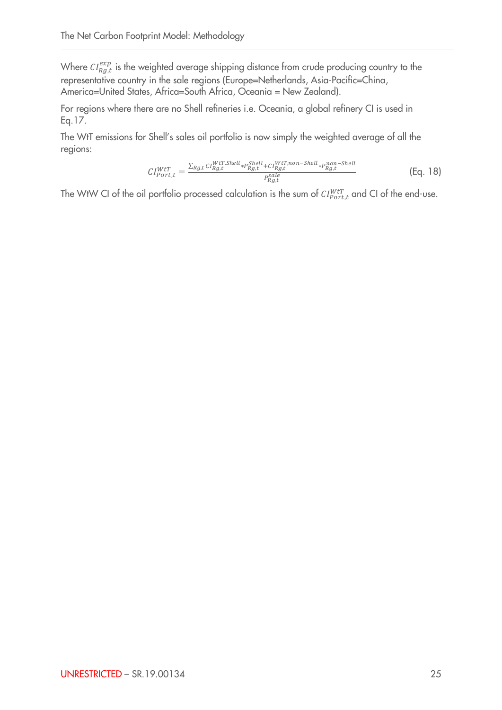Where  $\mathit{CI}^{exp}_{Rg,t}$  is the weighted average shipping distance from crude producing country to the representative country in the sale regions (Europe=Netherlands, Asia-Pacific=China, America=United States, Africa=South Africa, Oceania = New Zealand).

For regions where there are no Shell refineries i.e. Oceania, a global refinery CI is used in Eq.17.

The WtT emissions for Shell's sales oil portfolio is now simply the weighted average of all the regions:

$$
CI_{Port,t}^{WtT} = \frac{\sum_{Rg,t} CI_{Rg,t}^{WtT,Shell} * P_{Rg,t}^{Shell} + CI_{Rg,t}^{WtT,non-Shell} * P_{Rg,t}^{non-Shell}}{P_{Rg,t}^{Sale}}
$$
(Eq. 18)

The WtW CI of the oil portfolio processed calculation is the sum of  $\mathit{CI}^\mathit{WtT}_{Port,t}$  and CI of the end-use.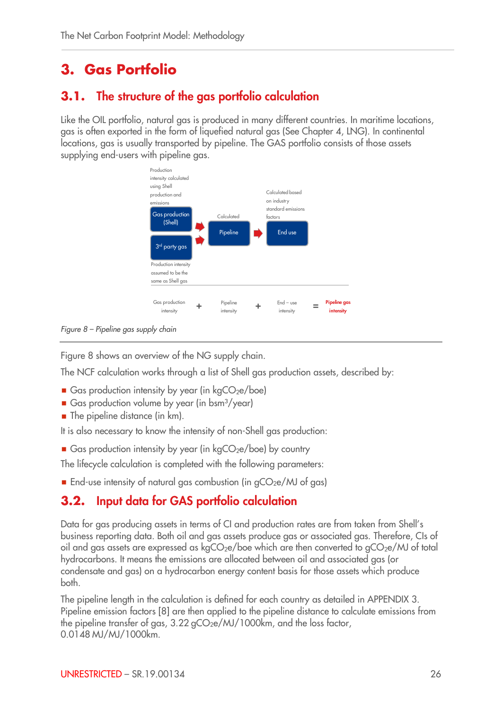# <span id="page-25-0"></span>**3. Gas Portfolio**

## <span id="page-25-1"></span>**3.1.** The structure of the gas portfolio calculation

Like the OIL portfolio, natural gas is produced in many different countries. In maritime locations, gas is often exported in the form of liquefied natural gas (See Chapter [4,](#page-32-0) LNG). In continental locations, gas is usually transported by pipeline. The GAS portfolio consists of those assets supplying end-users with pipeline gas.



<span id="page-25-3"></span>

[Figure 8](#page-25-3) shows an overview of the NG supply chain.

The NCF calculation works through a list of Shell gas production assets, described by:

- Gas production intensity by year (in  $kgCO<sub>2</sub>e/$ boe)
- Gas production volume by year (in bsm<sup>3</sup>/year)
- **The pipeline distance (in km).**

It is also necessary to know the intensity of non-Shell gas production:

Gas production intensity by year (in  $kqCO<sub>2</sub>e/$ boe) by country

The lifecycle calculation is completed with the following parameters:

End-use intensity of natural gas combustion (in  $qCO<sub>2</sub>e/MJ$  of gas)

## <span id="page-25-2"></span>**3.2.** Input data for GAS portfolio calculation

Data for gas producing assets in terms of CI and production rates are from taken from Shell's business reporting data. Both oil and gas assets produce gas or associated gas. Therefore, CIs of oil and gas assets are expressed as  $kgCO<sub>2</sub>e/$ boe which are then converted to  $gCO<sub>2</sub>e/$ MJ of total hydrocarbons. It means the emissions are allocated between oil and associated gas (or condensate and gas) on a hydrocarbon energy content basis for those assets which produce both.

The pipeline length in the calculation is defined for each country as detailed in [APPENDIX 3.](#page-58-0) Pipeline emission factors [8] are then applied to the pipeline distance to calculate emissions from the pipeline transfer of gas,  $3.22$  gCO<sub>2</sub>e/MJ/1000km, and the loss factor, 0.0148 MJ/MJ/1000km.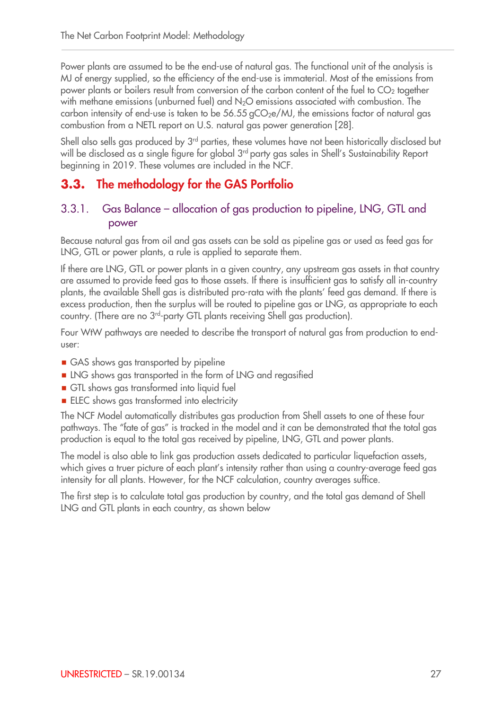Power plants are assumed to be the end-use of natural gas. The functional unit of the analysis is MJ of energy supplied, so the efficiency of the end-use is immaterial. Most of the emissions from power plants or boilers result from conversion of the carbon content of the fuel to  $CO<sub>2</sub>$  together with methane emissions (unburned fuel) and  $N_2O$  emissions associated with combustion. The carbon intensity of end-use is taken to be  $56.55$  gCO<sub>2</sub>e/MJ, the emissions factor of natural gas combustion from a NETL report on U.S. natural gas power generation [28].

Shell also sells gas produced by 3<sup>rd</sup> parties, these volumes have not been historically disclosed but will be disclosed as a single figure for global 3<sup>rd</sup> party gas sales in Shell's Sustainability Report beginning in 2019. These volumes are included in the NCF.

## <span id="page-26-0"></span>**3.3.** The methodology for the GAS Portfolio

### <span id="page-26-1"></span>3.3.1. Gas Balance – allocation of gas production to pipeline, LNG, GTL and power

Because natural gas from oil and gas assets can be sold as pipeline gas or used as feed gas for LNG, GTL or power plants, a rule is applied to separate them.

If there are LNG, GTL or power plants in a given country, any upstream gas assets in that country are assumed to provide feed gas to those assets. If there is insufficient gas to satisfy all in-country plants, the available Shell gas is distributed pro-rata with the plants' feed gas demand. If there is excess production, then the surplus will be routed to pipeline gas or LNG, as appropriate to each country. (There are no 3<sup>rd</sup>-party GTL plants receiving Shell gas production).

Four WtW pathways are needed to describe the transport of natural gas from production to enduser:

- GAS shows gas transported by pipeline
- **EXALGE SHOWS GAS TRANSPORTED In the form of LNG and regasified**
- GTL shows gas transformed into liquid fuel
- ELEC shows gas transformed into electricity

The NCF Model automatically distributes gas production from Shell assets to one of these four pathways. The "fate of gas" is tracked in the model and it can be demonstrated that the total gas production is equal to the total gas received by pipeline, LNG, GTL and power plants.

The model is also able to link gas production assets dedicated to particular liquefaction assets, which gives a truer picture of each plant's intensity rather than using a country-average feed gas intensity for all plants. However, for the NCF calculation, country averages suffice.

The first step is to calculate total gas production by country, and the total gas demand of Shell LNG and GTL plants in each country, as shown below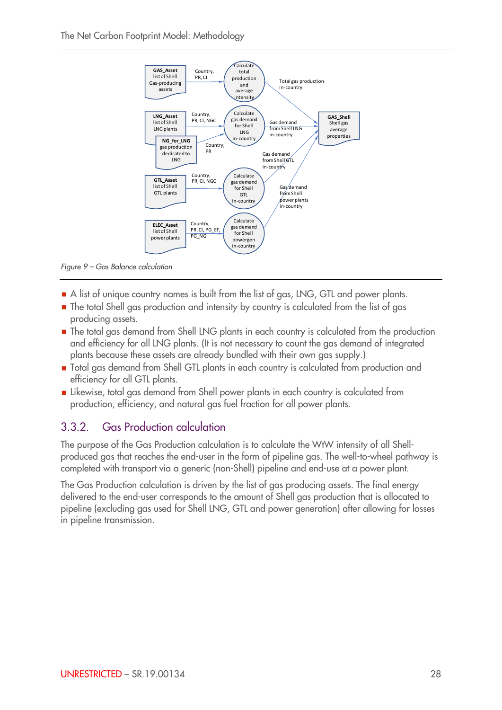

Figure 9 – Gas Balance calculation

- A list of unique country names is built from the list of gas, LNG, GTL and power plants.
- The total Shell gas production and intensity by country is calculated from the list of gas producing assets.
- **The total gas demand from Shell LNG plants in each country is calculated from the production** and efficiency for all LNG plants. (It is not necessary to count the gas demand of integrated plants because these assets are already bundled with their own gas supply.)
- Total gas demand from Shell GTL plants in each country is calculated from production and efficiency for all GTL plants.
- **E** Likewise, total gas demand from Shell power plants in each country is calculated from production, efficiency, and natural gas fuel fraction for all power plants.

## <span id="page-27-0"></span>3.3.2. Gas Production calculation

The purpose of the Gas Production calculation is to calculate the WtW intensity of all Shellproduced gas that reaches the end-user in the form of pipeline gas. The well-to-wheel pathway is completed with transport via a generic (non-Shell) pipeline and end-use at a power plant.

The Gas Production calculation is driven by the list of gas producing assets. The final energy delivered to the end-user corresponds to the amount of Shell gas production that is allocated to pipeline (excluding gas used for Shell LNG, GTL and power generation) after allowing for losses in pipeline transmission.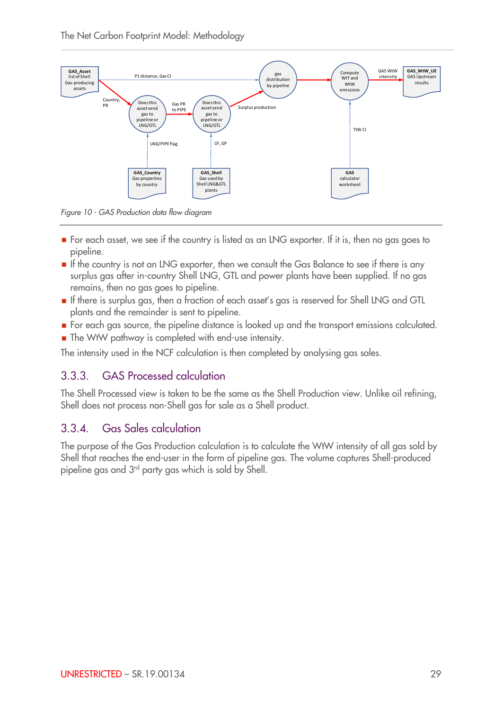The Net Carbon Footprint Model: Methodology



Figure 10 - GAS Production data flow diagram

- For each asset, we see if the country is listed as an LNG exporter. If it is, then no gas goes to pipeline.
- **If the country is not an LNG exporter, then we consult the Gas Balance to see if there is any** surplus gas after in-country Shell LNG, GTL and power plants have been supplied. If no gas remains, then no gas goes to pipeline.
- **If there is surplus gas, then a fraction of each asset's gas is reserved for Shell LNG and GTL** plants and the remainder is sent to pipeline.
- For each gas source, the pipeline distance is looked up and the transport emissions calculated.
- The WtW pathway is completed with end-use intensity.

The intensity used in the NCF calculation is then completed by analysing gas sales.

### <span id="page-28-0"></span>3.3.3. GAS Processed calculation

The Shell Processed view is taken to be the same as the Shell Production view. Unlike oil refining, Shell does not process non-Shell gas for sale as a Shell product.

### <span id="page-28-1"></span>3.3.4. Gas Sales calculation

The purpose of the Gas Production calculation is to calculate the WtW intensity of all gas sold by Shell that reaches the end-user in the form of pipeline gas. The volume captures Shell-produced pipeline gas and 3rd party gas which is sold by Shell.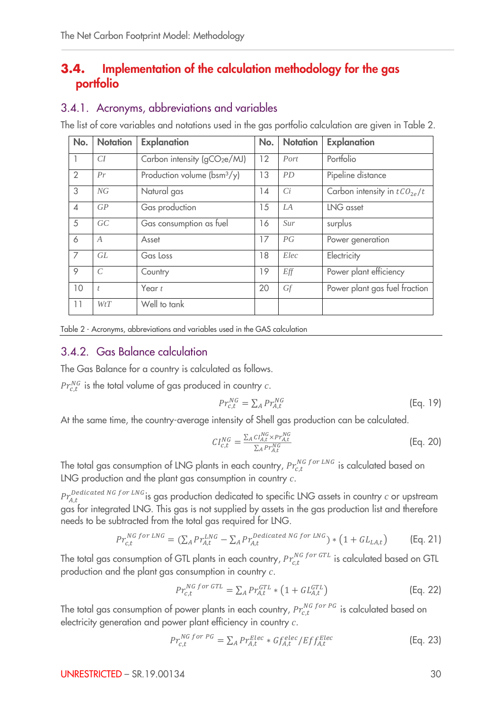## <span id="page-29-0"></span>**3.4.** Implementation of the calculation methodology for the gas portfolio

#### <span id="page-29-1"></span>3.4.1. Acronyms, abbreviations and variables

The list of core variables and notations used in the gas portfolio calculation are given in [Table 2.](#page-29-3)

| No.            | <b>Notation</b> | <b>Explanation</b>                       | No. | <b>Notation</b> | <b>Explanation</b>               |
|----------------|-----------------|------------------------------------------|-----|-----------------|----------------------------------|
|                | CI              | Carbon intensity (gCO <sub>2</sub> e/MJ) | 12  | Port            | Portfolio                        |
| $\overline{2}$ | Pr              | Production volume (bsm <sup>3</sup> /y)  | 13  | PD              | Pipeline distance                |
| 3              | NG              | Natural gas                              | 14  | Ci              | Carbon intensity in $tCO_{2e}/t$ |
| $\overline{A}$ | GP              | Gas production                           | 15  | LA              | LNG asset                        |
| 5              | GC              | Gas consumption as fuel                  | 16  | Sur             | surplus                          |
| 6              | $\overline{A}$  | Asset                                    | 17  | PG              | Power generation                 |
| $\overline{7}$ | GL              | Gas Loss                                 | 18  | Elec            | Electricity                      |
| 9              | $\mathcal{C}$   | Country                                  | 19  | Eff             | Power plant efficiency           |
| 10             | $\bar{t}$       | Year $t$                                 | 20  | Gf              | Power plant gas fuel fraction    |
| 11             | WtT             | Well to tank                             |     |                 |                                  |

<span id="page-29-3"></span>Table 2 - Acronyms, abbreviations and variables used in the GAS calculation

#### <span id="page-29-2"></span>3.4.2. Gas Balance calculation

The Gas Balance for a country is calculated as follows.

 $Pr_{c,t}^{NG}$  is the total volume of gas produced in country  $c$ .

$$
Pr_{c,t}^{NG} = \sum_{A} Pr_{A,t}^{NG} \tag{Eq. 19}
$$

At the same time, the country-average intensity of Shell gas production can be calculated.

$$
CI_{c,t}^{NG} = \frac{\sum_{A} CI_{A,t}^{NG} \times Pr_{A,t}^{NG}}{\sum_{A} Pr_{A,t}^{NG}}
$$
 (Eq. 20)

The total gas consumption of LNG plants in each country,  $Pr_{c,t}^{NG\ for\ LNG}$  is calculated based on LNG production and the plant gas consumption in country *c*.

 $Pr_{A,t}^{Deduced red\ NG\ for\ LNG}$  is gas production dedicated to specific LNG assets in country *c* or upstream gas for integrated LNG. This gas is not supplied by assets in the gas production list and therefore needs to be subtracted from the total gas required for LNG.

$$
Pr_{c,t}^{NG\ for\ LNG} = (\sum_{A} Pr_{A,t}^{LNG} - \sum_{A} Pr_{A,t}^{Dedicated\ NG\ for\ LNG}) * (1 + GL_{LA,t})
$$
 (Eq. 21)

The total gas consumption of GTL plants in each country,  $\mathit{Pr}_{c,t}^{\mathit{NG for GTL}}$  is calculated based on GTL production and the plant gas consumption in country *c*.

$$
Pr_{c,t}^{NG\ for\ GTL} = \sum_{A} Pr_{A,t}^{GTL} * (1 + GL_{A,t}^{GTL})
$$
 (Eq. 22)

The total gas consumption of power plants in each country,  $Pr_{c,t}^{NG\ for\ PG}$  is calculated based on electricity generation and power plant efficiency in country *c*.

$$
Pr_{c,t}^{NG\ for\ PG} = \sum_{A} Pr_{A,t}^{Elec} * Gf_{A,t}^{elec} / Eff_{A,t}^{Elec}
$$
 (Eq. 23)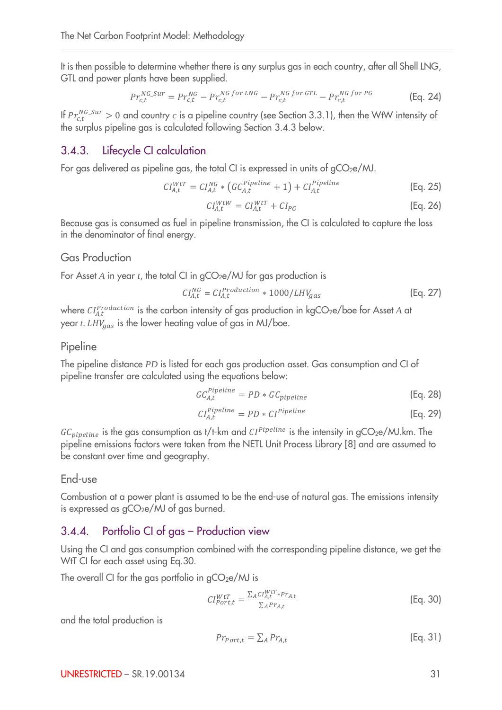It is then possible to determine whether there is any surplus gas in each country, after all Shell LNG, GTL and power plants have been supplied.

$$
Pr_{c,t}^{NG\_Sur} = Pr_{c,t}^{NG} - Pr_{c,t}^{NG \ for \ LNG} - Pr_{c,t}^{NG \ for \ GTL} - Pr_{c,t}^{NG \ for \ PG} \tag{Eq. 24}
$$

If  $Pr_{c,t}^{NG\_Sur} > 0$  and country *c* is a pipeline country (see Section [3.3.1\)](#page-26-1), then the WtW intensity of the surplus pipeline gas is calculated following Section [3.4.3](#page-30-0) below.

#### <span id="page-30-0"></span>3.4.3. Lifecycle CI calculation

For gas delivered as pipeline gas, the total CI is expressed in units of  $gCO<sub>2</sub>e/MI$ .

$$
CI_{A,t}^{WtT} = CI_{A,t}^{NG} * (GC_{A,t}^{Pipeline} + 1) + CI_{A,t}^{Pipeline}
$$
 (Eq. 25)

$$
CI_{A,t}^{WtW} = CI_{A,t}^{WtT} + CI_{PG}
$$
 (Eq. 26)

Because gas is consumed as fuel in pipeline transmission, the CI is calculated to capture the loss in the denominator of final energy.

#### Gas Production

For Asset *A* in year *t*, the total CI in  $qCO_2e/MJ$  for gas production is

$$
CI_{A,t}^{NG} = CI_{A,t}^{Production} * 1000/LHV_{gas}
$$
 (Eq. 27)

where  $\mathit{CI}^{Production}_{A,t}$  is the carbon intensity of gas production in kgCO<sub>2</sub>e/boe for Asset *A* at year  $t$ .  $LHV_{gas}$  is the lower heating value of gas in MJ/boe.

#### **Pipeline**

The pipeline distance *PD* is listed for each gas production asset. Gas consumption and CI of pipeline transfer are calculated using the equations below:

$$
GC_{A,t}^{Pipeline} = PD * GC_{pipeline}
$$
 (Eq. 28)

$$
CI_{A,t}^{Pipeline} = PD * CI^{Pipeline}
$$
 (Eq. 29)

 $GC_{nineline}$  is the gas consumption as t/t-km and  $CI^{Pipeline}$  is the intensity in gCO<sub>2</sub>e/MJ.km. The pipeline emissions factors were taken from the NETL Unit Process Library [8] and are assumed to be constant over time and geography.

#### End-use

Combustion at a power plant is assumed to be the end-use of natural gas. The emissions intensity is expressed as  $qCO<sub>2</sub>e/MJ$  of gas burned.

#### <span id="page-30-1"></span>3.4.4. Portfolio CI of gas – Production view

Using the CI and gas consumption combined with the corresponding pipeline distance, we get the W<sub>t</sub>T CI for each asset using Eq.30.

The overall CI for the gas portfolio in  $gCO<sub>2</sub>e/MJ$  is

$$
CI_{Port,t}^{WtT} = \frac{\sum_{A} CI_{A,t}^{WtT} * Pr_{A,t}}{\sum_{A} Pr_{A,t}}
$$
 (Eq. 30)

and the total production is

$$
Pr_{Port,t} = \sum_{A} Pr_{A,t}
$$
 (Eq. 31)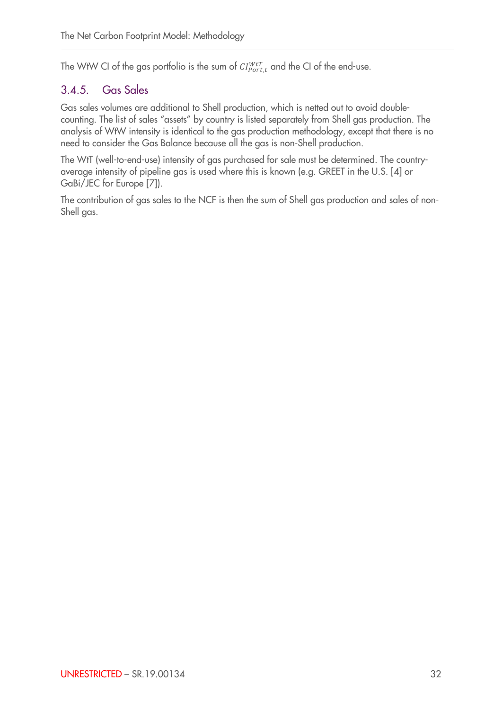The WtW CI of the gas portfolio is the sum of  $\mathit{CI}_{Port,t}^{WtT}$  and the CI of the end-use.

### <span id="page-31-0"></span>3.4.5. Gas Sales

Gas sales volumes are additional to Shell production, which is netted out to avoid doublecounting. The list of sales "assets" by country is listed separately from Shell gas production. The analysis of WtW intensity is identical to the gas production methodology, except that there is no need to consider the Gas Balance because all the gas is non-Shell production.

The WtT (well-to-end-use) intensity of gas purchased for sale must be determined. The countryaverage intensity of pipeline gas is used where this is known (e.g. GREET in the U.S. [4] or GaBi/JEC for Europe [7]).

The contribution of gas sales to the NCF is then the sum of Shell gas production and sales of non-Shell gas.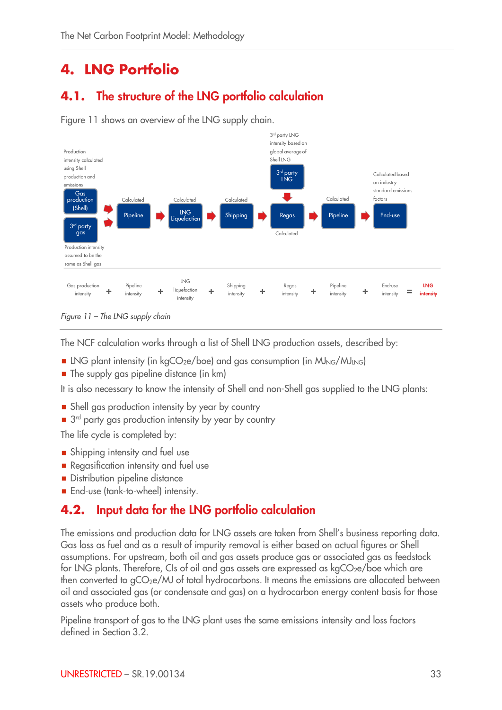# <span id="page-32-0"></span>**4. LNG Portfolio**

## <span id="page-32-1"></span>**4.1.** The structure of the LNG portfolio calculation

[Figure 11](#page-32-3) shows an overview of the LNG supply chain.



<span id="page-32-3"></span>Figure 11 – The LNG supply chain

The NCF calculation works through a list of Shell LNG production assets, described by:

- $\blacksquare$  LNG plant intensity (in kgCO<sub>2</sub>e/boe) and gas consumption (in MJ<sub>NG</sub>/MJ<sub>LNG</sub>)
- The supply gas pipeline distance (in km)

It is also necessary to know the intensity of Shell and non-Shell gas supplied to the LNG plants:

- Shell gas production intensity by year by country
- $\blacksquare$  3<sup>rd</sup> party gas production intensity by year by country

The life cycle is completed by:

- **Shipping intensity and fuel use**
- Regasification intensity and fuel use
- Distribution pipeline distance
- End-use (tank-to-wheel) intensity.

## <span id="page-32-2"></span>**4.2.** Input data for the LNG portfolio calculation

The emissions and production data for LNG assets are taken from Shell's business reporting data. Gas loss as fuel and as a result of impurity removal is either based on actual figures or Shell assumptions. For upstream, both oil and gas assets produce gas or associated gas as feedstock for LNG plants. Therefore, CIs of oil and gas assets are expressed as kgCO<sub>2</sub>e/boe which are then converted to  $gCO<sub>2</sub>e/MJ$  of total hydrocarbons. It means the emissions are allocated between oil and associated gas (or condensate and gas) on a hydrocarbon energy content basis for those assets who produce both.

Pipeline transport of gas to the LNG plant uses the same emissions intensity and loss factors defined in Section [3.2.](#page-25-2)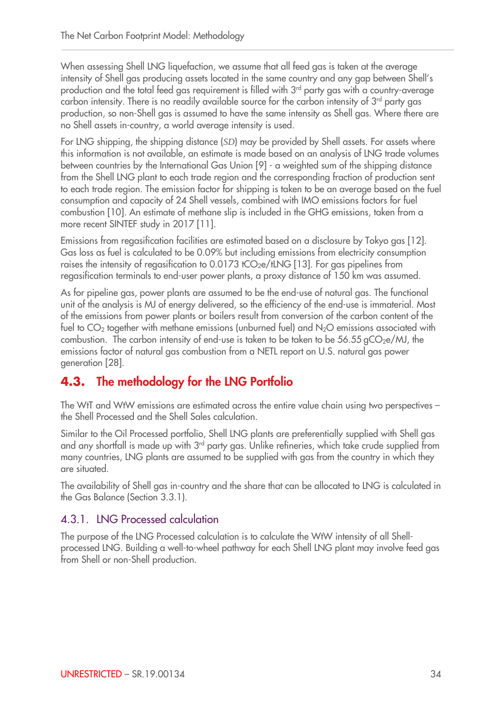When assessing Shell LNG liquefaction, we assume that all feed gas is taken at the average intensity of Shell gas producing assets located in the same country and any gap between Shell's production and the total feed gas requirement is filled with  $3<sup>rd</sup>$  party gas with a country-average carbon intensity. There is no readily available source for the carbon intensity of  $3<sup>rd</sup>$  party gas production, so non-Shell gas is assumed to have the same intensity as Shell gas. Where there are no Shell assets in-country, a world average intensity is used.

For LNG shipping, the shipping distance (*SD*) may be provided by Shell assets. For assets where this information is not available, an estimate is made based on an analysis of LNG trade volumes between countries by the International Gas Union [9] - a weighted sum of the shipping distance from the Shell LNG plant to each trade region and the corresponding fraction of production sent to each trade region. The emission factor for shipping is taken to be an average based on the fuel consumption and capacity of 24 Shell vessels, combined with IMO emissions factors for fuel combustion [10]. An estimate of methane slip is included in the GHG emissions, taken from a more recent SINTEF study in 2017 [11].

Emissions from regasification facilities are estimated based on a disclosure by Tokyo gas [12]. Gas loss as fuel is calculated to be 0.09% but including emissions from electricity consumption raises the intensity of regasification to  $0.0173$  tCO<sub>2</sub>e/tLNG [13]. For gas pipelines from regasification terminals to end-user power plants, a proxy distance of 150 km was assumed.

As for pipeline gas, power plants are assumed to be the end-use of natural gas. The functional unit of the analysis is MJ of energy delivered, so the efficiency of the end-use is immaterial. Most of the emissions from power plants or boilers result from conversion of the carbon content of the fuel to  $CO<sub>2</sub>$  together with methane emissions (unburned fuel) and  $N<sub>2</sub>O$  emissions associated with combustion. The carbon intensity of end-use is taken to be taken to be  $56.55$  gCO<sub>2</sub>e/MJ, the emissions factor of natural gas combustion from a NETL report on U.S. natural gas power generation [28].

## <span id="page-33-0"></span>**4.3.** The methodology for the LNG Portfolio

The WtT and WtW emissions are estimated across the entire value chain using two perspectives – the Shell Processed and the Shell Sales calculation.

Similar to the Oil Processed portfolio, Shell LNG plants are preferentially supplied with Shell gas and any shortfall is made up with 3<sup>rd</sup> party gas. Unlike refineries, which take crude supplied from many countries, LNG plants are assumed to be supplied with gas from the country in which they are situated.

The availability of Shell gas in-country and the share that can be allocated to LNG is calculated in the Gas Balance (Section [3.3.1\)](#page-26-1).

### <span id="page-33-1"></span>4.3.1. LNG Processed calculation

The purpose of the LNG Processed calculation is to calculate the WtW intensity of all Shellprocessed LNG. Building a well-to-wheel pathway for each Shell LNG plant may involve feed gas from Shell or non-Shell production.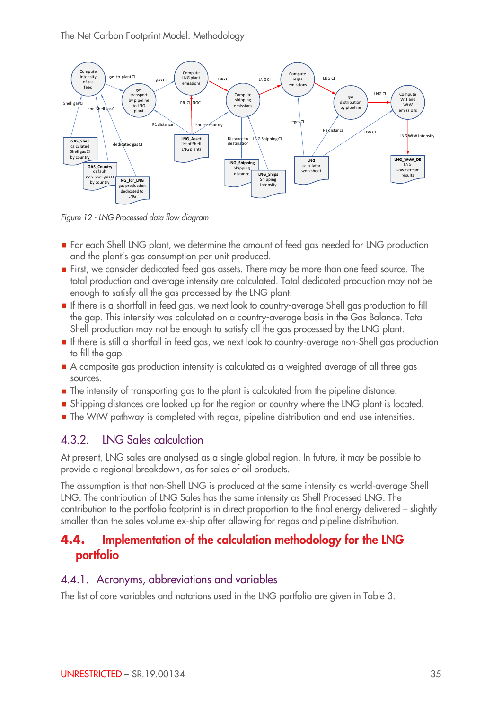The Net Carbon Footprint Model: Methodology



Figure 12 - LNG Processed data flow diagram

- For each Shell LNG plant, we determine the amount of feed aas needed for LNG production and the plant's gas consumption per unit produced.
- **First, we consider dedicated feed gas assets.** There may be more than one feed source. The total production and average intensity are calculated. Total dedicated production may not be enough to satisfy all the gas processed by the LNG plant.
- If there is a shortfall in feed gas, we next look to country-average Shell gas production to fill the gap. This intensity was calculated on a country-average basis in the Gas Balance. Total Shell production may not be enough to satisfy all the gas processed by the LNG plant.
- If there is still a shortfall in feed gas, we next look to country-average non-Shell gas production to fill the gap.
- A composite gas production intensity is calculated as a weighted average of all three gas sources.
- **The intensity of transporting gas to the plant is calculated from the pipeline distance.**
- **Shipping distances are looked up for the region or country where the LNG plant is located.**
- The WtW pathway is completed with regas, pipeline distribution and end-use intensities.

#### <span id="page-34-0"></span>4.3.2. LNG Sales calculation

At present, LNG sales are analysed as a single global region. In future, it may be possible to provide a regional breakdown, as for sales of oil products.

The assumption is that non-Shell LNG is produced at the same intensity as world-average Shell LNG. The contribution of LNG Sales has the same intensity as Shell Processed LNG. The contribution to the portfolio footprint is in direct proportion to the final energy delivered – slightly smaller than the sales volume ex-ship after allowing for regas and pipeline distribution.

## <span id="page-34-1"></span>**4.4.** Implementation of the calculation methodology for the LNG portfolio

#### <span id="page-34-2"></span>4.4.1. Acronyms, abbreviations and variables

The list of core variables and notations used in the LNG portfolio are given in [Table 3.](#page-35-1)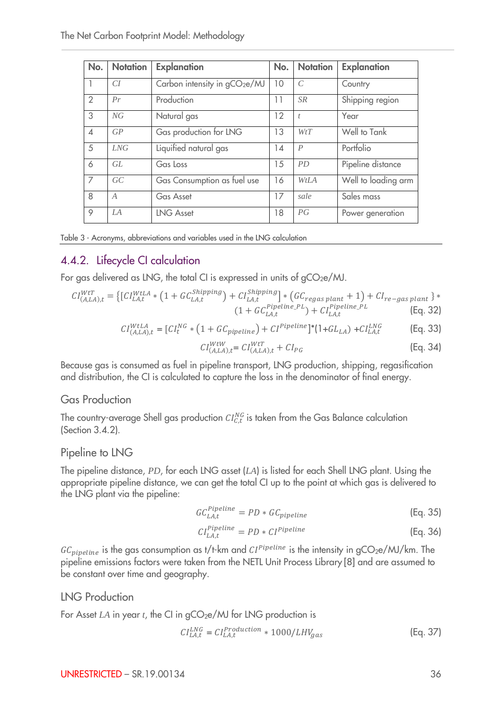| No.            | <b>Notation</b> | <b>Explanation</b>                        | No. | <b>Notation</b> | <b>Explanation</b>  |
|----------------|-----------------|-------------------------------------------|-----|-----------------|---------------------|
|                | CI              | Carbon intensity in gCO <sub>2</sub> e/MJ | 10  | $\mathcal{C}$   | Country             |
| $\overline{2}$ | Pr              | Production                                | 11  | SR              | Shipping region     |
| 3              | NG              | Natural gas                               | 12  | $\bar{t}$       | Year                |
| $\overline{4}$ | GP              | Gas production for LNG                    | 13  | WtT             | Well to Tank        |
| 5              | LNG             | Liquified natural gas                     | 14  | $\overline{P}$  | Portfolio           |
| 6              | GL              | Gas Loss                                  | 15  | PD              | Pipeline distance   |
| $\overline{7}$ | GC              | Gas Consumption as fuel use               | 16  | <b>WtLA</b>     | Well to loading arm |
| 8              | $\overline{A}$  | <b>Gas Asset</b>                          | 17  | sale            | Sales mass          |
| 9              | LA              | <b>LNG Asset</b>                          | 18  | PG              | Power generation    |

<span id="page-35-1"></span>Table 3 - Acronyms, abbreviations and variables used in the LNG calculation

### <span id="page-35-0"></span>4.4.2. Lifecycle CI calculation

For gas delivered as LNG, the total CI is expressed in units of  $gCO<sub>2</sub>e/MJ$ .

$$
CI_{(A,LA),t}^{WtT} = \{ [CI_{LA,t}^{WtLA} * (1 + GC_{LA,t}^{Shipping}) + CI_{LA,t}^{Shipping}] * (GC_{regas plant} + 1) + CI_{re-gas plant} * (1 + GC_{LA,t}^{Pipeline\_PL}) + CI_{LA,t}^{Pipeline\_PL}
$$
(Eq. 32)

$$
CI_{(A,LA),t}^{WtLA} = [CI_t^{NG} * (1 + GC_{pipeline}) + CI^{Pipeline}] * (1 + GL_{LA}) + CI_{LA,t}^{LNG}
$$
 (Eq. 33)

$$
CI_{(A,LA),t}^{WtW} = CI_{(A,LA),t}^{WtT} + CI_{PG}
$$
 (Eq. 34)

Because gas is consumed as fuel in pipeline transport, LNG production, shipping, regasification and distribution, the CI is calculated to capture the loss in the denominator of final energy.

#### Gas Production

The country-average Shell gas production  $\mathit{CI}_{\mathcal{C},t}^{NG}$  is taken from the Gas Balance calculation (Section [3.4.2\)](#page-29-2).

#### Pipeline to LNG

The pipeline distance, *PD*, for each LNG asset (*LA*) is listed for each Shell LNG plant. Using the appropriate pipeline distance, we can get the total CI up to the point at which gas is delivered to the LNG plant via the pipeline:

$$
GC_{LA,t}^{Pipeline} = PD * GC_{pipeline}
$$
 (Eq. 35)

$$
CI_{LA,t}^{Pipeline} = PD * CI^{Pipeline}
$$
 (Eq. 36)

 $GC_{nineline}$  is the gas consumption as t/t-km and  $CI^{Pipeline}$  is the intensity in gCO<sub>2</sub>e/MJ/km. The pipeline emissions factors were taken from the NETL Unit Process Library [8] and are assumed to be constant over time and geography.

#### LNG Production

For Asset *LA* in year *t*, the CI in gCO<sub>2</sub>e/MJ for LNG production is

$$
CI_{LA,t}^{LNG} = CI_{LA,t}^{Production} * 1000/LHV_{gas}
$$
 (Eq. 37)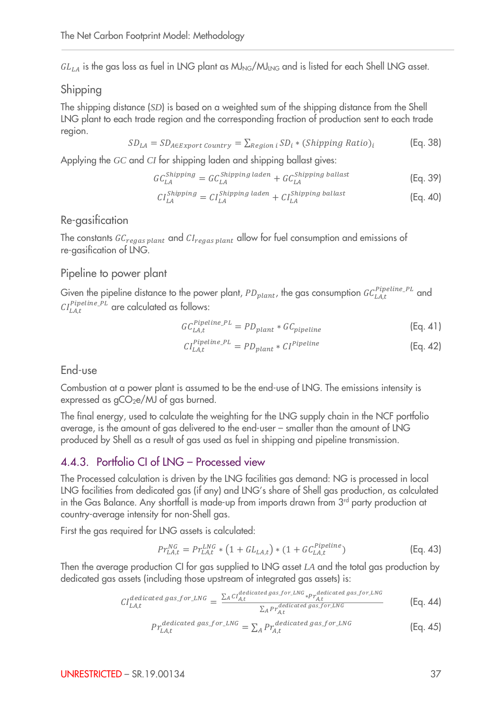$GL_{LA}$  is the gas loss as fuel in LNG plant as  $M_{NG}/M_{ING}$  and is listed for each Shell LNG asset.

#### **Shipping**

The shipping distance (*SD*) is based on a weighted sum of the shipping distance from the Shell LNG plant to each trade region and the corresponding fraction of production sent to each trade region.

$$
SD_{LA} = SD_{A \in Expert \, Country} = \sum_{Region \, i} SD_i * (Shipping \, Ratio)_i
$$
 (Eq. 38)

Applying the *GC* and *CI* for shipping laden and shipping ballast gives:

$$
GC_{LA}^{Shipping} = GC_{LA}^{Shipping \:laden} + GC_{LA}^{Shipping \:lshating \:lbf}
$$
\n(Eq. 39)

$$
CI_{LA}^{Shipping} = CI_{LA}^{Shipping\,laden} + CI_{LA}^{Shipping\,ballast}
$$
 (Eq. 40)

#### Re-gasification

The constants  $GC_{regas\ plant}$  and  $Cl_{regas\ plant}$  allow for fuel consumption and emissions of re-gasification of LNG.

#### Pipeline to power plant

Given the pipeline distance to the power plant,  $PD_{plant}$ , the gas consumption  $GC_{LA,t}^{Pipeline\_PL}$  and  $CI_{LA,t}^{Pipeline\_PL}$  are calculated as follows:

$$
GC_{LA,t}^{Pipeline\_PL} = PD_{plant} * GC_{pipeline}
$$
 (Eq. 41)

$$
CI_{LA,t}^{Pipeline\_PL} = PD_{plant} * CI^{Pipeline}
$$
 (Eq. 42)

#### End-use

Combustion at a power plant is assumed to be the end-use of LNG. The emissions intensity is expressed as  $qCO<sub>2</sub>e/MJ$  of gas burned.

The final energy, used to calculate the weighting for the LNG supply chain in the NCF portfolio average, is the amount of gas delivered to the end-user – smaller than the amount of LNG produced by Shell as a result of gas used as fuel in shipping and pipeline transmission.

#### <span id="page-36-0"></span>4.4.3. Portfolio CI of LNG – Processed view

The Processed calculation is driven by the LNG facilities gas demand: NG is processed in local LNG facilities from dedicated gas (if any) and LNG's share of Shell gas production, as calculated in the Gas Balance. Any shortfall is made-up from imports drawn from  $3<sup>rd</sup>$  party production at country-average intensity for non-Shell gas.

First the gas required for LNG assets is calculated:

$$
Pr_{LA,t}^{NG} = Pr_{LA,t}^{LNG} * (1 + GL_{LA,t}) * (1 + GC_{LA,t}^{Pipeline})
$$
 (Eq. 43)

Then the average production CI for gas supplied to LNG asset *LA* and the total gas production by dedicated gas assets (including those upstream of integrated gas assets) is:

$$
CI_{LA,t}^{dedicated\ gas\_for\_LNG} = \frac{\sum_{A}CI_{A,t}^{dedicated\ gas\_for\_LNG} * Pr_{A,t}^{dedicated\ gas\_for\_LNG}}{\sum_{A}Pr_{A,t}^{dedicated\ gas\_for\_LNG}}
$$
 (Eq. 44)

$$
Pr_{LA,t}^{dedicated\ gas\_for\_LNG} = \sum_{A} Pr_{A,t}^{dedicated\ gas\_for\_LNG}
$$
 (Eq. 45)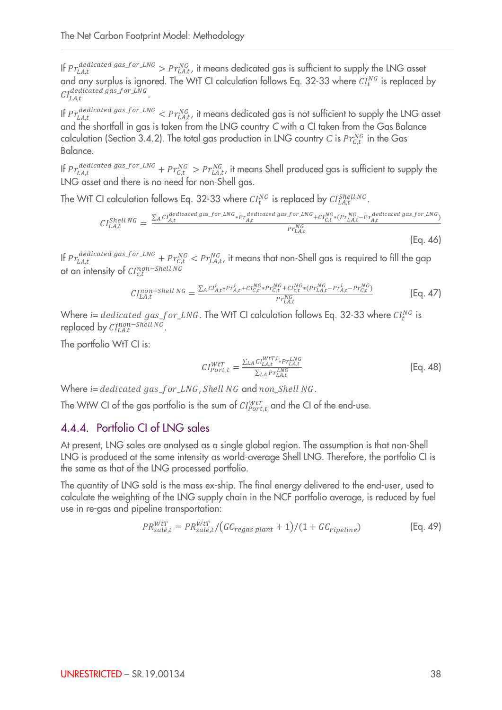If  $Pr_{LA,t}^{deduced\,gas\_for\_LMG}$  >  $Pr_{LA,t}^{NG}$ , it means dedicated gas is sufficient to supply the LNG asset and any surplus is ignored. The WtT CI calculation follows Eq. 32-33 where  $\mathit{CI}^{\mathit{NG}}_t$  is replaced by  $CI_{LA,t}^{dedicated\ gas\_for\_LNG}$ .

If  $Pr_{LA,t}^{deduceded}$  gas\_for\_LNG  $\lt Pr_{LA,t}^{NG}$ , it means dedicated gas is not sufficient to supply the LNG asset and the shortfall in gas is taken from the LNG country C with a CI taken from the Gas Balance calculation (Section [3.4.2\)](#page-29-2). The total gas production in LNG country  $C$  is  $\mathit{Pr}_{\mathit{C},t}^{NG}$  in the Gas Balance.

If  $Pr_{LA,t}^{dedicated\ gas\_for\_LMG}+Pr_{C,t}^{NG}>Pr_{LA,t}^{NG}$  it means Shell produced gas is sufficient to supply the LNG asset and there is no need for non-Shell gas.

The WtT CI calculation follows Eq. 32-33 where  $\mathit{CI}^{NG}_{t}$  is replaced by  $\mathit{CI}^{SReLU\ G}_{LA,t}$  .

$$
CI_{LA,t}^{Shell\ NG} = \frac{\sum_{A}CI_{A,t}^{dedicated\ gas\_for\_LNG} * P_{A,t}^{dedicated\ gas\_for\_LNG} + CI_{C,t}^{NG} * (P_{LA,t}^{NG} - P_{A,t}^{dedicated\ gas\_for\_LNG})}{P_{LA,t}^{NG}}
$$
\n(Eq. 46)

If  $Pr_{LA,t}^{dedicated\ gas\_for\_LMG}+Pr_{CA,t}^{NG}< Pr_{LA,t}^{NG}$ , it means that non-Shell gas is required to fill the gap at an intensity of  $\mathit{Cl^{non-shell\,NG}_{c,t}}$ 

$$
CI_{LA,t}^{non-Shell\ NG} = \frac{\sum_{A} CI_{A,t}^{i} * Pr_{A,t}^{i} + CI_{C,t}^{NG} * Pr_{C,t}^{NG} + CI_{C,t}^{NG} * (Pr_{LA,t}^{NG} - Pr_{A,t}^{i} - Pr_{C,t}^{NG})}{Pr_{LA,t}^{NG}}
$$
(Eq. 47)

Where  $i$ = dedicated gas\_for\_LNG. The WtT CI calculation follows Eq. 32-33 where  $CI_t^{NG}$  is replaced by  $CI_{LA,t}^{non-Shell\ NG}$ .

The portfolio WtT CI is:

$$
CI_{Port,t}^{WtT} = \frac{\sum_{LA} CI_{LA,t}^{WtT,i} \cdot Pr_{LA,t}^{LNG}}{\sum_{LA} Pr_{LA,t}^{LNG}}
$$
 (Eq. 48)

Where  $i$ =  $dedicated$   $gas\_for$   $LNG$ ,  $Shell$   $NG$  and  $non\_Shell$   $NG$ .

The WtW CI of the gas portfolio is the sum of  $\mathit{CI}_{Port,t}^{WtT}$  and the CI of the end-use.

#### <span id="page-37-0"></span>4.4.4. Portfolio CI of LNG sales

At present, LNG sales are analysed as a single global region. The assumption is that non-Shell LNG is produced at the same intensity as world-average Shell LNG. Therefore, the portfolio CI is the same as that of the LNG processed portfolio.

The quantity of LNG sold is the mass ex-ship. The final energy delivered to the end-user, used to calculate the weighting of the LNG supply chain in the NCF portfolio average, is reduced by fuel use in re-gas and pipeline transportation:

$$
PR_{safe,t}^{WtT} = PR_{safe,t}^{WtT} / (GC_{regas\ plant} + 1) / (1 + GC_{pipeline})
$$
 (Eq. 49)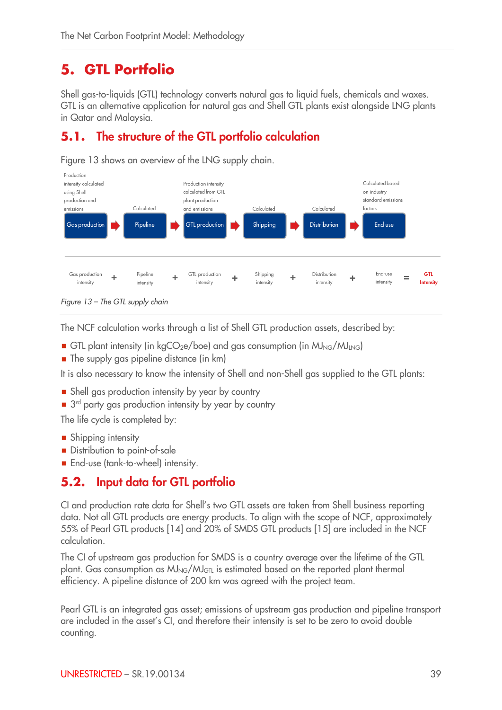# <span id="page-38-0"></span>**5. GTL Portfolio**

Shell gas-to-liquids (GTL) technology converts natural gas to liquid fuels, chemicals and waxes. GTL is an alternative application for natural gas and Shell GTL plants exist alongside LNG plants in Qatar and Malaysia.

## <span id="page-38-1"></span>**5.1.** The structure of the GTL portfolio calculation



[Figure 13](#page-38-3) shows an overview of the LNG supply chain.

<span id="page-38-3"></span>The NCF calculation works through a list of Shell GTL production assets, described by:

- GTL plant intensity (in kgCO<sub>2</sub>e/boe) and gas consumption (in  $M_{\text{NS}}/M_{\text{ING}}$ )
- The supply gas pipeline distance (in km)

It is also necessary to know the intensity of Shell and non-Shell gas supplied to the GTL plants:

- Shell gas production intensity by year by country
- $\blacksquare$  3<sup>rd</sup> party gas production intensity by year by country

The life cycle is completed by:

- **Shipping intensity**
- Distribution to point-of-sale
- End-use (tank-to-wheel) intensity.

## <span id="page-38-2"></span>**5.2.** Input data for GTL portfolio

CI and production rate data for Shell's two GTL assets are taken from Shell business reporting data. Not all GTL products are energy products. To align with the scope of NCF, approximately 55% of Pearl GTL products [14] and 20% of SMDS GTL products [15] are included in the NCF calculation.

The CI of upstream gas production for SMDS is a country average over the lifetime of the GTL plant. Gas consumption as  $M_{\text{NG}}/M_{\text{GIL}}$  is estimated based on the reported plant thermal efficiency. A pipeline distance of 200 km was agreed with the project team.

Pearl GTL is an integrated gas asset; emissions of upstream gas production and pipeline transport are included in the asset's CI, and therefore their intensity is set to be zero to avoid double counting.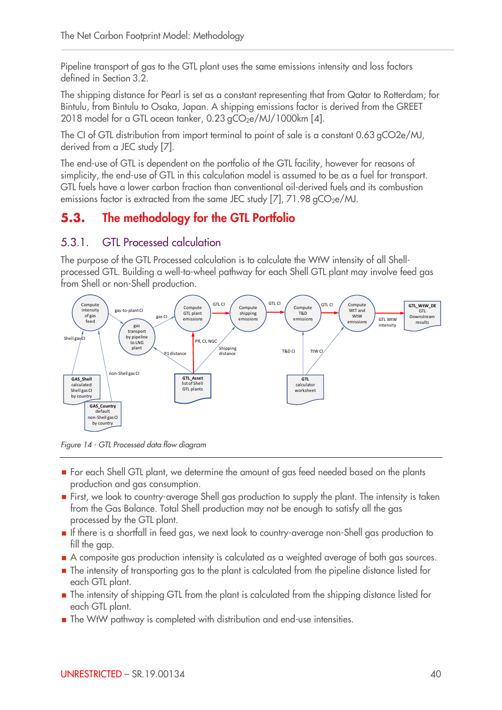Pipeline transport of gas to the GTL plant uses the same emissions intensity and loss factors defined in Section [3.2.](#page-25-2)

The shipping distance for Pearl is set as a constant representing that from Qatar to Rotterdam; for Bintulu, from Bintulu to Osaka, Japan. A shipping emissions factor is derived from the GREET 2018 model for a GTL ocean tanker,  $0.23$  gCO<sub>2</sub>e/MJ/1000km [4].

The CI of GTL distribution from import terminal to point of sale is a constant 0.63 gCO2e/MJ, derived from a JEC study [7].

The end-use of GTL is dependent on the portfolio of the GTL facility, however for reasons of simplicity, the end-use of GTL in this calculation model is assumed to be as a fuel for transport. GTL fuels have a lower carbon fraction than conventional oil-derived fuels and its combustion emissions factor is extracted from the same JEC study [7],  $71.98$   $qCO<sub>2</sub>e/MJ$ .

## <span id="page-39-0"></span>**5.3.** The methodology for the GTL Portfolio

## <span id="page-39-1"></span>5.3.1. GTL Processed calculation

The purpose of the GTL Processed calculation is to calculate the WtW intensity of all Shellprocessed GTL. Building a well-to-wheel pathway for each Shell GTL plant may involve feed gas from Shell or non-Shell production.



Figure 14 - GTL Processed data flow diagram

- For each Shell GTL plant, we determine the amount of gas feed needed based on the plants production and gas consumption.
- First, we look to country-average Shell gas production to supply the plant. The intensity is taken from the Gas Balance. Total Shell production may not be enough to satisfy all the gas processed by the GTL plant.
- If there is a shortfall in feed gas, we next look to country-average non-Shell gas production to fill the gap.
- A composite gas production intensity is calculated as a weighted average of both gas sources.
- The intensity of transporting gas to the plant is calculated from the pipeline distance listed for each GTL plant.
- The intensity of shipping GTL from the plant is calculated from the shipping distance listed for each GTL plant.
- The WtW pathway is completed with distribution and end-use intensities.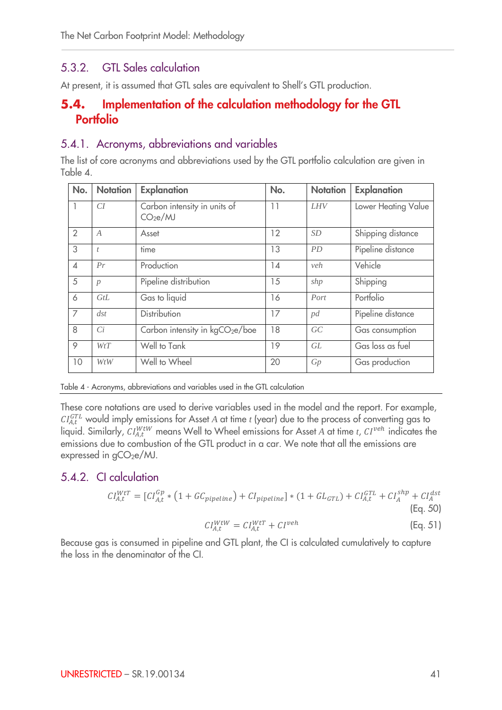### <span id="page-40-0"></span>5.3.2. GTL Sales calculation

At present, it is assumed that GTL sales are equivalent to Shell's GTL production.

### <span id="page-40-1"></span>**5.4.** Implementation of the calculation methodology for the GTL Portfolio

### <span id="page-40-2"></span>5.4.1. Acronyms, abbreviations and variables

The list of core acronyms and abbreviations used by the GTL portfolio calculation are given in [Table 4.](#page-40-4)

| No.            | <b>Notation</b> | <b>Explanation</b>                                   | No. | <b>Notation</b> | <b>Explanation</b>  |
|----------------|-----------------|------------------------------------------------------|-----|-----------------|---------------------|
|                | CI              | Carbon intensity in units of<br>CO <sub>2</sub> e/MJ | 11  | <b>LHV</b>      | Lower Heating Value |
| $\overline{2}$ | $\overline{A}$  | Asset                                                | 12  | SD              | Shipping distance   |
| 3              | $\mathfrak{t}$  | time                                                 | 13  | PD              | Pipeline distance   |
| $\overline{4}$ | Pr              | Production                                           | 14  | veh             | Vehicle             |
| 5              | p               | Pipeline distribution                                | 15  | shp             | Shipping            |
| 6              | GtL             | Gas to liquid                                        | 16  | Port            | Portfolio           |
| $\overline{7}$ | $\frac{d}{dt}$  | <b>Distribution</b>                                  | 17  | pd              | Pipeline distance   |
| 8              | Ci              | Carbon intensity in kgCO <sub>2e</sub> /boe          | 18  | GC              | Gas consumption     |
| 9              | WtT             | Well to Tank                                         | 19  | GL              | Gas loss as fuel    |
| 10             | WtW             | Well to Wheel                                        | 20  | Gp              | Gas production      |

<span id="page-40-4"></span>

| Table 4 - Acronyms, abbreviations and variables used in the GTL calculation |  |  |  |  |  |
|-----------------------------------------------------------------------------|--|--|--|--|--|
|-----------------------------------------------------------------------------|--|--|--|--|--|

These core notations are used to derive variables used in the model and the report. For example,  $CI_{A,t}^{GTL}$  would imply emissions for Asset *A* at time *t* (year) due to the process of converting gas to liquid. Similarly*, CI* $_{A,t}^{WtW}$  means Well to Wheel emissions for Asset *A* at time *t, CI* $^{veh}$  indicates the emissions due to combustion of the GTL product in a car. We note that all the emissions are expressed in gCO<sub>2</sub>e/MJ.

### <span id="page-40-3"></span>5.4.2. CI calculation

$$
CI_{A,t}^{WtT} = [CI_{A,t}^{Gp} * (1 + GC_{pipeline}) + CI_{pipeline}] * (1 + GL_{GTL}) + CI_{A,t}^{GTL} + CI_{A}^{Shp} + CI_{A}^{dst}
$$
\n(Eq. 50)

$$
CI_{A,t}^{WtW} = CI_{A,t}^{WtT} + CI^{veh}
$$
 (Eq. 51)

Because gas is consumed in pipeline and GTL plant, the CI is calculated cumulatively to capture the loss in the denominator of the CI.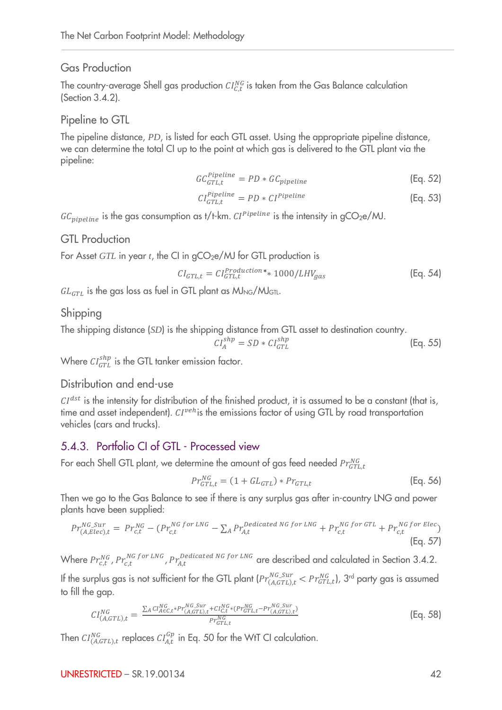#### Gas Production

The country-average Shell gas production  $\mathit{CI}_{\mathit{C},t}^{\mathit{NG}}$  is taken from the Gas Balance calculation (Section [3.4.2\)](#page-29-2).

#### Pipeline to GTL

The pipeline distance, *PD*, is listed for each GTL asset. Using the appropriate pipeline distance, we can determine the total CI up to the point at which gas is delivered to the GTL plant via the pipeline:

$$
GC^{Pipeline}_{GTL,t} = PD * GC_{pipeline}
$$
 (Eq. 52)

$$
CI_{GTL,t}^{Pipeline} = PD * CI^{Pipeline}
$$
 (Eq. 53)

 $GC_{nineline}$  is the gas consumption as t/t-km.  $CI^{Pipeline}$  is the intensity in gCO<sub>2</sub>e/MJ.

#### GTL Production

For Asset *GTL* in year *t*, the CI in gCO<sub>2</sub>e/MJ for GTL production is

$$
CI_{GTL,t} = CI_{GTL,t}^{Production*} * 1000/LHV_{gas}
$$
 (Eq. 54)

 $GL_{GTL}$  is the gas loss as fuel in GTL plant as  $M_{NG}/M_{GTL}$ .

#### **Shipping**

The shipping distance (*SD*) is the shipping distance from GTL asset to destination country.

$$
CI_A^{shp} = SD * CI_{GTL}^{shp} \tag{Eq. 55}
$$

Where  $CI_{GTL}^{shp}$  is the GTL tanker emission factor.

#### Distribution and end-use

 $CI^{dst}$  is the intensity for distribution of the finished product, it is assumed to be a constant (that is, time and asset independent).  $CI^{veh}$  is the emissions factor of using GTL by road transportation vehicles (cars and trucks).

#### <span id="page-41-0"></span>5.4.3. Portfolio CI of GTL - Processed view

For each Shell GTL plant, we determine the amount of gas feed needed  $Pr_{GTL,t}^{NG}$ 

$$
Pr_{GTL,t}^{NG} = (1 + GL_{GTL}) * Pr_{GTL,t}
$$
 (Eq. 56)

Then we go to the Gas Balance to see if there is any surplus gas after in-country LNG and power plants have been supplied:

$$
Pr_{(A, Elec), t}^{NG\_Sur} = Pr_{c, t}^{NG} - (Pr_{c, t}^{NG~for~LNG} - \sum_{A} Pr_{A, t}^{Dedicated~NG~for~LNG} + Pr_{c, t}^{NG~for~GTL} + Pr_{c, t}^{NG~for~Elec})
$$
\n(Eq. 57)

Where  $Pr_{c,t}^{NG}$  ,  $Pr_{c,t}^{NG}$  for LNG ,  $Pr_{A,t}^{Dealcated\ NG\ for\ LNG}$  are described and calculated in Section [3.4.2.](#page-29-2) If the surplus gas is not sufficient for the GTL plant ( $Pr^{NG\_Sur}_{(A,GTL),t} < Pr^{NG}_{GTL,t}$ ), 3<sup>rd</sup> party gas is assumed to fill the gap.

$$
CI_{(A, GTL), t}^{NG} = \frac{\sum_{A} CI_{A \in C, t}^{NG} \cdot Pr_{(A, GTL), t}^{NG\_Sur} + CI_{C, t}^{NG} \cdot (Pr_{GTL, t}^{NG} - Pr_{(A, GTL), t}^{NG\_Sur})}{Pr_{GTL, t}^{NG}}
$$
(Eq. 58)

Then  $\mathcal{C}^{ING}_{(A,GTL),t}$  replaces  $\mathcal{C}^{top}_{A,t}$  in Eq. 50 for the WtT CI calculation.

#### UNRESTRICTED – SR.19.00134 42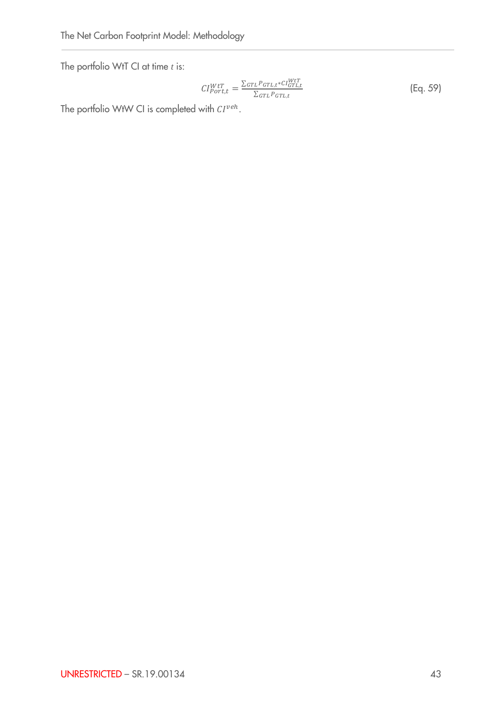The portfolio WtT CI at time *t* is:

$$
CI_{Port,t}^{WtT} = \frac{\sum_{GTL} P_{GTL,t} * CI_{GTL,t}^{WtT}}{\sum_{GTL} P_{GTL,t}}
$$
 (Eq. 59)

The portfolio WtW CI is completed with  $\mathcal{C}I^{veh}$ .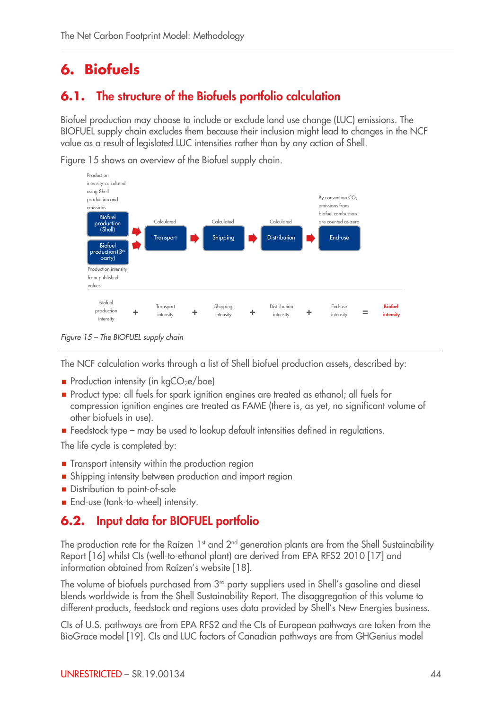# <span id="page-43-0"></span>**6. Biofuels**

## <span id="page-43-1"></span>**6.1.** The structure of the Biofuels portfolio calculation

Biofuel production may choose to include or exclude land use change (LUC) emissions. The BIOFUEL supply chain excludes them because their inclusion might lead to changes in the NCF value as a result of legislated LUC intensities rather than by any action of Shell.

[Figure 15](#page-43-3) shows an overview of the Biofuel supply chain.



<span id="page-43-3"></span>Figure 15 – The BIOFUEL supply chain

The NCF calculation works through a list of Shell biofuel production assets, described by:

- Production intensity (in  $kgCO<sub>2</sub>e/$ boe)
- **Product type: all fuels for spark ignition engines are treated as ethanol; all fuels for** compression ignition engines are treated as FAME (there is, as yet, no significant volume of other biofuels in use).
- **Feedstock type may be used to lookup default intensities defined in regulations.**

The life cycle is completed by:

- $\blacksquare$  Transport intensity within the production region
- Shipping intensity between production and import region
- Distribution to point-of-sale
- End-use (tank-to-wheel) intensity.

## <span id="page-43-2"></span>**6.2.** Input data for BIOFUEL portfolio

The production rate for the Raízen  $1<sup>st</sup>$  and  $2<sup>nd</sup>$  generation plants are from the Shell Sustainability Report [16] whilst CIs (well-to-ethanol plant) are derived from EPA RFS2 2010 [17] and information obtained from Raízen's website [18].

The volume of biofuels purchased from 3<sup>rd</sup> party suppliers used in Shell's gasoline and diesel blends worldwide is from the Shell Sustainability Report. The disaggregation of this volume to different products, feedstock and regions uses data provided by Shell's New Energies business.

CIs of U.S. pathways are from EPA RFS2 and the CIs of European pathways are taken from the BioGrace model [19]. CIs and LUC factors of Canadian pathways are from GHGenius model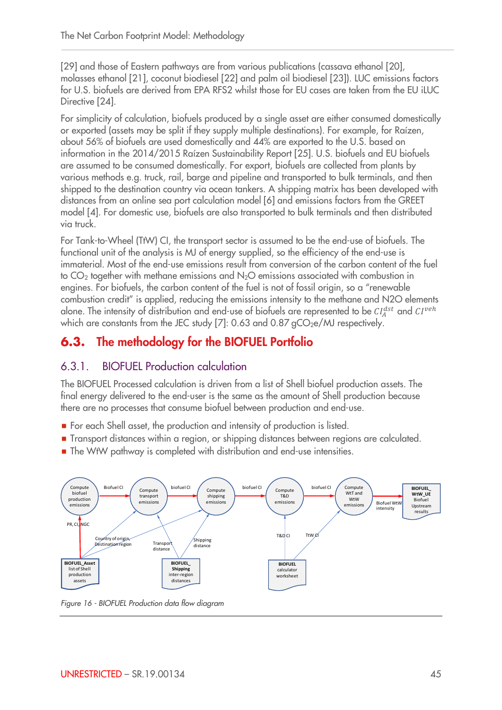[29] and those of Eastern pathways are from various publications (cassava ethanol [20], molasses ethanol [21], coconut biodiesel [22] and palm oil biodiesel [23]). LUC emissions factors for U.S. biofuels are derived from EPA RFS2 whilst those for EU cases are taken from the EU iLUC Directive [24].

For simplicity of calculation, biofuels produced by a single asset are either consumed domestically or exported (assets may be split if they supply multiple destinations). For example, for Raízen, about 56% of biofuels are used domestically and 44% are exported to the U.S. based on information in the 2014/2015 Raízen Sustainability Report [25]. U.S. biofuels and EU biofuels are assumed to be consumed domestically. For export, biofuels are collected from plants by various methods e.g. truck, rail, barge and pipeline and transported to bulk terminals, and then shipped to the destination country via ocean tankers. A shipping matrix has been developed with distances from an online sea port calculation model [6] and emissions factors from the GREET model [4]. For domestic use, biofuels are also transported to bulk terminals and then distributed via truck.

For Tank-to-Wheel (TtW) CI, the transport sector is assumed to be the end-use of biofuels. The functional unit of the analysis is MJ of energy supplied, so the efficiency of the end-use is immaterial. Most of the end-use emissions result from conversion of the carbon content of the fuel to CO<sub>2</sub> together with methane emissions and N<sub>2</sub>O emissions associated with combustion in engines. For biofuels, the carbon content of the fuel is not of fossil origin, so a "renewable combustion credit" is applied, reducing the emissions intensity to the methane and N2O elements alone. The intensity of distribution and end-use of biofuels are represented to be  $CI_{A}^{ast}$  and  $CI^{veh}$ which are constants from the JEC study  $[7]$ : 0.63 and 0.87 gCO<sub>2</sub>e/MJ respectively.

## <span id="page-44-0"></span>**6.3.** The methodology for the BIOFUEL Portfolio

### <span id="page-44-1"></span>6.3.1. BIOFUEL Production calculation

The BIOFUEL Processed calculation is driven from a list of Shell biofuel production assets. The final energy delivered to the end-user is the same as the amount of Shell production because there are no processes that consume biofuel between production and end-use.

- For each Shell asset, the production and intensity of production is listed.
- **Transport distances within a region, or shipping distances between regions are calculated.**
- The WtW pathway is completed with distribution and end-use intensities.



Figure 16 - BIOFUEL Production data flow diagram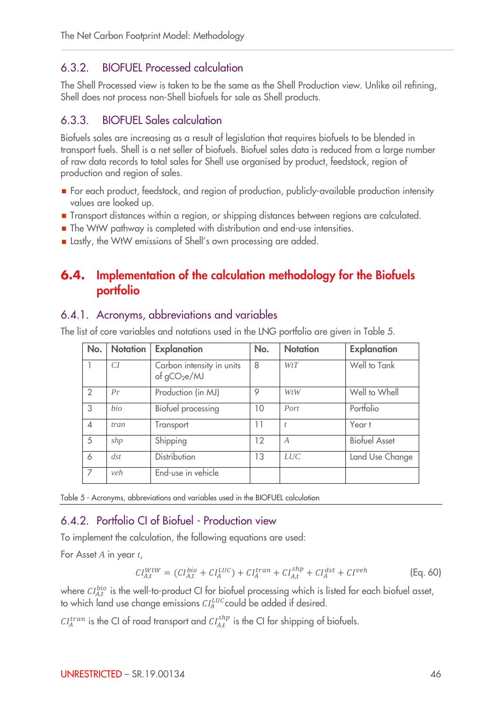### <span id="page-45-0"></span>6.3.2. BIOFUEL Processed calculation

The Shell Processed view is taken to be the same as the Shell Production view. Unlike oil refining, Shell does not process non-Shell biofuels for sale as Shell products.

### <span id="page-45-1"></span>6.3.3. BIOFUEL Sales calculation

Biofuels sales are increasing as a result of legislation that requires biofuels to be blended in transport fuels. Shell is a net seller of biofuels. Biofuel sales data is reduced from a large number of raw data records to total sales for Shell use organised by product, feedstock, region of production and region of sales.

- For each product, feedstock, and region of production, publicly-available production intensity values are looked up.
- **T** Transport distances within a region, or shipping distances between regions are calculated.
- The WtW pathway is completed with distribution and end-use intensities.
- Lastly, the WtW emissions of Shell's own processing are added.

## <span id="page-45-2"></span>**6.4.** Implementation of the calculation methodology for the Biofuels portfolio

| No.            | <b>Notation</b> | <b>Explanation</b>                                    | No. | <b>Notation</b> | <b>Explanation</b>   |
|----------------|-----------------|-------------------------------------------------------|-----|-----------------|----------------------|
|                | CI              | Carbon intensity in units<br>of gCO <sub>2</sub> e/MJ | 8   | WtT             | Well to Tank         |
| $\overline{2}$ | Pr              | Production (in MJ)                                    | 9   | WtW             | Well to Whell        |
| 3              | bio             | <b>Biofuel processing</b>                             | 10  | Port            | Portfolio            |
| $\overline{4}$ | tran            | Transport                                             | 11  | $\bar{t}$       | Year t               |
| 5              | shp             | Shipping                                              | 12  | $\overline{A}$  | <b>Biofuel Asset</b> |
| 6              | $\frac{d}{dt}$  | <b>Distribution</b>                                   | 13  | LUC             | Land Use Change      |
| $\overline{7}$ | veh             | End-use in vehicle                                    |     |                 |                      |

#### <span id="page-45-3"></span>6.4.1. Acronyms, abbreviations and variables

The list of core variables and notations used in the LNG portfolio are given in [Table 5.](#page-45-5)

<span id="page-45-5"></span>Table 5 - Acronyms, abbreviations and variables used in the BIOFUEL calculation

### <span id="page-45-4"></span>6.4.2. Portfolio CI of Biofuel - Production view

To implement the calculation, the following equations are used:

For Asset *A* in year *t*,

$$
CI_{A,t}^{WtW} = (CI_{A,t}^{bio} + CI_{A}^{LUC}) + CI_{A}^{tran} + CI_{A,t}^{shp} + CI_{A}^{dst} + CI^{veh}
$$
 (Eq. 60)

where  $\mathit{CI}_{A,t}^{bio}$  is the well-to-product CI for biofuel processing which is listed for each biofuel asset, to which land use change emissions  $\mathit{CI}^{LUC}_A$ could be added if desired.

 $\mathit{CI}_A^{tran}$  is the CI of road transport and  $\mathit{CI}_{A,t}^{snap}$  is the CI for shipping of biofuels.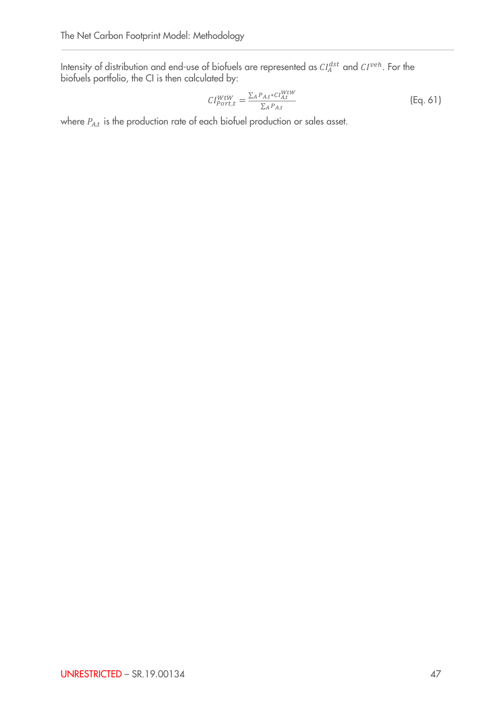Intensity of distribution and end-use of biofuels are represented as  $CI_{A}^{ast}$  and  $CI^{veh}$ . For the biofuels portfolio, the CI is then calculated by:

$$
CI_{Port,t}^{WtW} = \frac{\sum_{A} P_{A,t} * CI_{A,t}^{WtW}}{\sum_{A} P_{A,t}}
$$
 (Eq. 61)

where  $P_{A,t}$  is the production rate of each biofuel production or sales asset.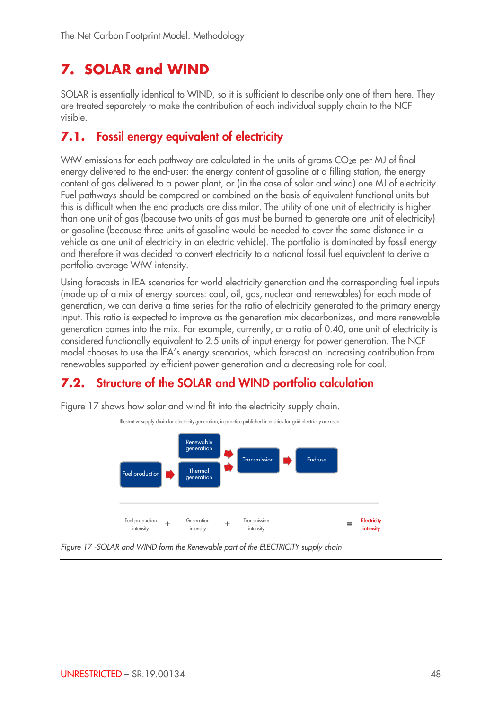# <span id="page-47-0"></span>**7. SOLAR and WIND**

SOLAR is essentially identical to WIND, so it is sufficient to describe only one of them here. They are treated separately to make the contribution of each individual supply chain to the NCF visible.

## <span id="page-47-1"></span>**7.1.** Fossil energy equivalent of electricity

WtW emissions for each pathway are calculated in the units of grams CO<sub>2</sub>e per MJ of final energy delivered to the end-user: the energy content of gasoline at a filling station, the energy content of gas delivered to a power plant, or (in the case of solar and wind) one MJ of electricity. Fuel pathways should be compared or combined on the basis of equivalent functional units but this is difficult when the end products are dissimilar. The utility of one unit of electricity is higher than one unit of gas (because two units of gas must be burned to generate one unit of electricity) or gasoline (because three units of gasoline would be needed to cover the same distance in a vehicle as one unit of electricity in an electric vehicle). The portfolio is dominated by fossil energy and therefore it was decided to convert electricity to a notional fossil fuel equivalent to derive a portfolio average WtW intensity.

Using forecasts in IEA scenarios for world electricity generation and the corresponding fuel inputs (made up of a mix of energy sources: coal, oil, gas, nuclear and renewables) for each mode of generation, we can derive a time series for the ratio of electricity generated to the primary energy input. This ratio is expected to improve as the generation mix decarbonizes, and more renewable generation comes into the mix. For example, currently, at a ratio of 0.40, one unit of electricity is considered functionally equivalent to 2.5 units of input energy for power generation. The NCF model chooses to use the IEA's energy scenarios, which forecast an increasing contribution from renewables supported by efficient power generation and a decreasing role for coal.

## <span id="page-47-2"></span>**7.2.** Structure of the SOLAR and WIND portfolio calculation

[Figure 17](#page-47-3) shows how solar and wind fit into the electricity supply chain.



Illustrative supply chain for electricity generation, in practice published intensities for grid electricity are used.

<span id="page-47-3"></span>Figure 17 -SOLAR and WIND form the Renewable part of the ELECTRICITY supply chain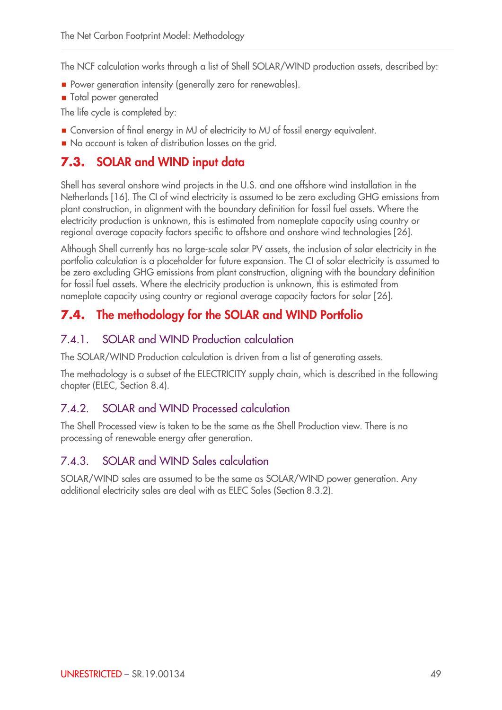The NCF calculation works through a list of Shell SOLAR/WIND production assets, described by:

- Power generation intensity (generally zero for renewables).
- **Total power generated**

The life cycle is completed by:

- Conversion of final energy in MJ of electricity to MJ of fossil energy equivalent.
- No account is taken of distribution losses on the grid.

## <span id="page-48-0"></span>**7.3.** SOLAR and WIND input data

Shell has several onshore wind projects in the U.S. and one offshore wind installation in the Netherlands [16]. The CI of wind electricity is assumed to be zero excluding GHG emissions from plant construction, in alignment with the boundary definition for fossil fuel assets. Where the electricity production is unknown, this is estimated from nameplate capacity using country or regional average capacity factors specific to offshore and onshore wind technologies [26].

Although Shell currently has no large-scale solar PV assets, the inclusion of solar electricity in the portfolio calculation is a placeholder for future expansion. The CI of solar electricity is assumed to be zero excluding GHG emissions from plant construction, aligning with the boundary definition for fossil fuel assets. Where the electricity production is unknown, this is estimated from nameplate capacity using country or regional average capacity factors for solar [26].

## <span id="page-48-1"></span>**7.4.** The methodology for the SOLAR and WIND Portfolio

## <span id="page-48-2"></span>7.4.1. SOLAR and WIND Production calculation

The SOLAR/WIND Production calculation is driven from a list of generating assets.

The methodology is a subset of the ELECTRICITY supply chain, which is described in the following chapter (ELEC, Section [8.4\)](#page-51-0).

## <span id="page-48-3"></span>7.4.2. SOLAR and WIND Processed calculation

The Shell Processed view is taken to be the same as the Shell Production view. There is no processing of renewable energy after generation.

## <span id="page-48-4"></span>7.4.3. SOLAR and WIND Sales calculation

SOLAR/WIND sales are assumed to be the same as SOLAR/WIND power generation. Any additional electricity sales are deal with as ELEC Sales (Section [8.3.2\)](#page-50-2).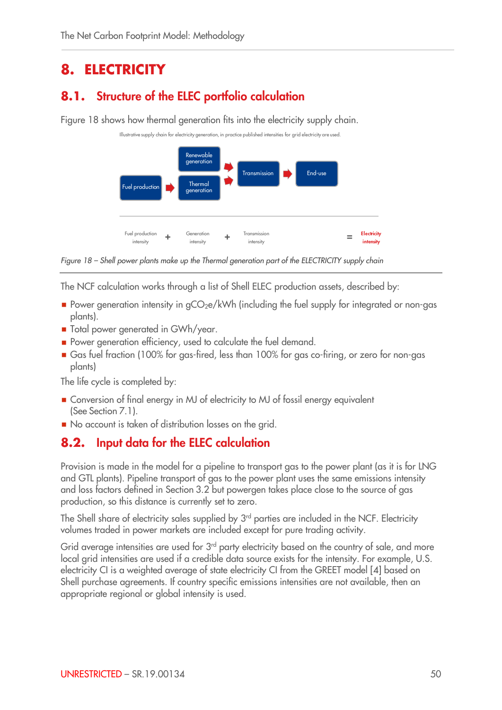# <span id="page-49-0"></span>**8. ELECTRICITY**

## <span id="page-49-1"></span>**8.1.** Structure of the ELEC portfolio calculation

[Figure 18](#page-49-3) shows how thermal generation fits into the electricity supply chain.

Illustrative supply chain for electricity generation, in practice published intensities for grid electricity are used.

Fuel production **Thermal** generatio Transmission **Fig.** End-use Renewable generation Fuel production intensity + Generation intensity Transmission intensity + Transmission → Electricity<br>+ Electricity intensity

<span id="page-49-3"></span>Figure 18 – Shell power plants make up the Thermal generation part of the ELECTRICITY supply chain

The NCF calculation works through a list of Shell ELEC production assets, described by:

- **Power generation intensity in gCO<sub>2</sub>e/kWh (including the fuel supply for integrated or non-gas** plants).
- Total power generated in GWh/year.
- Power generation efficiency, used to calculate the fuel demand.
- Gas fuel fraction (100% for gas-fired, less than 100% for gas co-firing, or zero for non-gas plants)

The life cycle is completed by:

- Conversion of final energy in MJ of electricity to MJ of fossil energy equivalent (See Section [7.1\)](#page-47-1).
- No account is taken of distribution losses on the grid.

## <span id="page-49-2"></span>**8.2.** Input data for the ELEC calculation

Provision is made in the model for a pipeline to transport gas to the power plant (as it is for LNG and GTL plants). Pipeline transport of gas to the power plant uses the same emissions intensity and loss factors defined in Section [3.2](#page-25-2) but powergen takes place close to the source of gas production, so this distance is currently set to zero.

The Shell share of electricity sales supplied by 3<sup>rd</sup> parties are included in the NCF. Electricity volumes traded in power markets are included except for pure trading activity.

Grid average intensities are used for  $3<sup>rd</sup>$  party electricity based on the country of sale, and more local grid intensities are used if a credible data source exists for the intensity. For example, U.S. electricity CI is a weighted average of state electricity CI from the GREET model [4] based on Shell purchase agreements. If country specific emissions intensities are not available, then an appropriate regional or global intensity is used.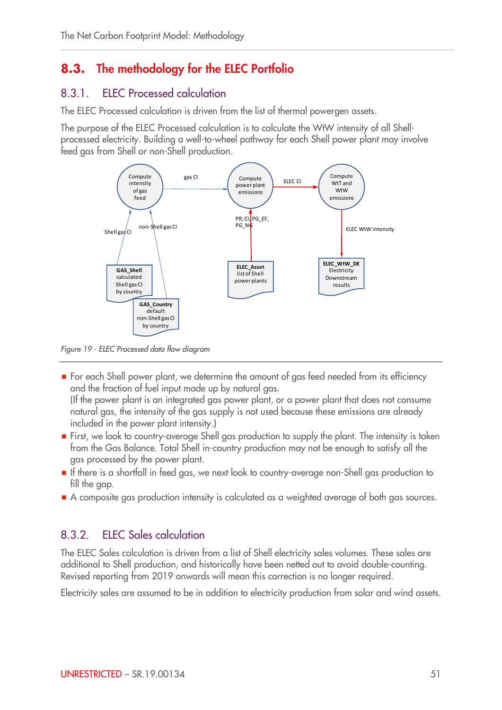## <span id="page-50-0"></span>**8.3.** The methodology for the ELEC Portfolio

### <span id="page-50-1"></span>8.3.1. ELEC Processed calculation

The ELEC Processed calculation is driven from the list of thermal powergen assets.

The purpose of the ELEC Processed calculation is to calculate the WtW intensity of all Shellprocessed electricity. Building a well-to-wheel pathway for each Shell power plant may involve feed gas from Shell or non-Shell production.



Figure 19 - ELEC Processed data flow diagram

- For each Shell power plant, we determine the amount of gas feed needed from its efficiency and the fraction of fuel input made up by natural gas. (If the power plant is an integrated gas power plant, or a power plant that does not consume natural gas, the intensity of the gas supply is not used because these emissions are already included in the power plant intensity.)
- **First, we look to country-average Shell gas production to supply the plant. The intensity is taken** from the Gas Balance. Total Shell in-country production may not be enough to satisfy all the gas processed by the power plant.
- **If there is a shortfall in feed gas, we next look to country-average non-Shell gas production to** fill the gap.
- A composite gas production intensity is calculated as a weighted average of both gas sources.

## <span id="page-50-2"></span>8.3.2. ELEC Sales calculation

The ELEC Sales calculation is driven from a list of Shell electricity sales volumes. These sales are additional to Shell production, and historically have been netted out to avoid double-counting. Revised reporting from 2019 onwards will mean this correction is no longer required.

Electricity sales are assumed to be in addition to electricity production from solar and wind assets.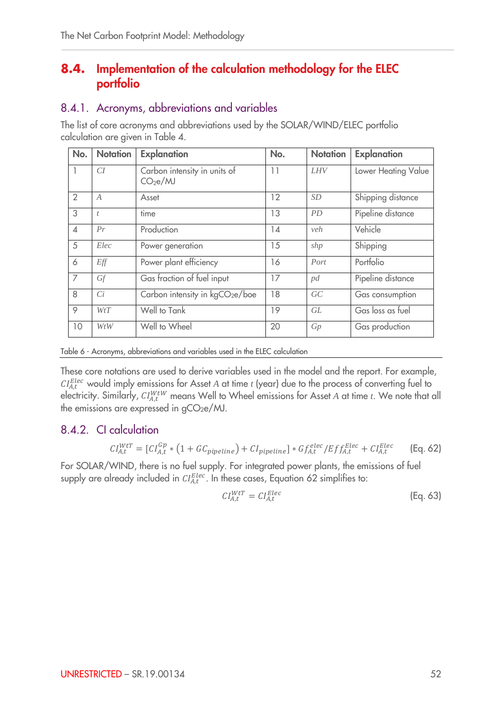## <span id="page-51-0"></span>**8.4.** Implementation of the calculation methodology for the ELEC portfolio

### <span id="page-51-1"></span>8.4.1. Acronyms, abbreviations and variables

The list of core acronyms and abbreviations used by the SOLAR/WIND/ELEC portfolio calculation are given in [Table 4.](#page-40-4)

| No.            | <b>Notation</b> | <b>Explanation</b>                                   | No. | <b>Notation</b> | <b>Explanation</b>  |
|----------------|-----------------|------------------------------------------------------|-----|-----------------|---------------------|
|                | CI              | Carbon intensity in units of<br>CO <sub>2</sub> e/MJ | 11  | LHV             | Lower Heating Value |
| $\overline{2}$ | $\overline{A}$  | Asset                                                | 12  | <i>SD</i>       | Shipping distance   |
| 3              | $\bar{t}$       | time                                                 | 13  | PD              | Pipeline distance   |
| $\overline{4}$ | Pr              | Production                                           | 14  | veh             | Vehicle             |
| 5              | Elec            | Power generation                                     | 15  | shp             | Shipping            |
| 6              | Eff             | Power plant efficiency                               | 16  | Port            | Portfolio           |
| $\overline{7}$ | Gf              | Gas fraction of fuel input                           | 17  | pd              | Pipeline distance   |
| 8              | Ci              | Carbon intensity in kgCO <sub>2e</sub> /boe          | 18  | GC              | Gas consumption     |
| 9              | WtT             | Well to Tank                                         | 19  | GL              | Gas loss as fuel    |
| 10             | WtW             | Well to Wheel                                        | 20  | Gp              | Gas production      |

| Table 6 - Acronyms, abbreviations and variables used in the ELEC calculation |  |  |
|------------------------------------------------------------------------------|--|--|
|------------------------------------------------------------------------------|--|--|

These core notations are used to derive variables used in the model and the report. For example,  $CI_{A,t}^{Elec}$  would imply emissions for Asset *A* at time *t* (year) due to the process of converting fuel to electricity. Similarly,  $\mathit{CI_{A,t}^{WtW}}$  means Well to Wheel emissions for Asset *A* at time *t*. We note that all the emissions are expressed in  $gCO<sub>2</sub>e/MJ$ .

### <span id="page-51-2"></span>8.4.2. CI calculation

$$
CI_{A,t}^{WtT} = [CI_{A,t}^{Gp} * (1 + GC_{pipeline}) + CI_{pipeline}] * Gf_{A,t}^{elec} / Eff_{A,t}^{Elec} + CI_{A,t}^{Elec}
$$
 (Eq. 62)

For SOLAR/WIND, there is no fuel supply. For integrated power plants, the emissions of fuel supply are already included in  $\mathit{CI}^{Elec}_{A,t}$  . In these cases, Equation 62 simplifies to:

$$
CI_{A,t}^{WtT} = CI_{A,t}^{Elec}
$$
 (Eq. 63)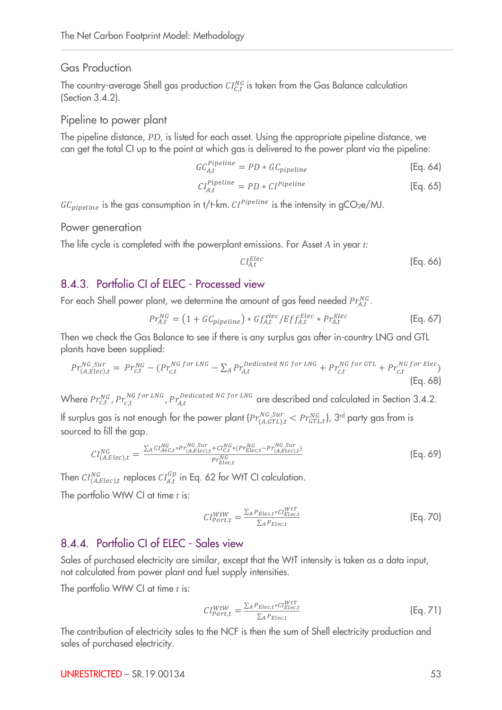#### Gas Production

The country-average Shell gas production  $\mathit{CI}_{\mathit{C},t}^{\mathit{NG}}$  is taken from the Gas Balance calculation (Section [3.4.2\)](#page-29-2).

#### Pipeline to power plant

The pipeline distance, *PD*, is listed for each asset. Using the appropriate pipeline distance, we can get the total CI up to the point at which gas is delivered to the power plant via the pipeline:

$$
GC_{A,t}^{Pipeline} = PD * GC_{pipeline}
$$
 (Eq. 64)

$$
CI_{A,t}^{Pipeline} = PD * CI^{Pipeline}
$$
 (Eq. 65)

 $GC_{pipeline}$  is the gas consumption in t/t-km.  $CI^{Pipeline}$  is the intensity in gCO<sub>2</sub>e/MJ.

#### Power generation

The life cycle is completed with the powerplant emissions. For Asset *A* in year *t:*

$$
CI_{A,t}^{Elec} \tag{Eq. 66}
$$

#### <span id="page-52-0"></span>8.4.3. Portfolio CI of ELEC - Processed view

For each Shell power plant, we determine the amount of gas feed needed  $\mathit{Pr_{A,t}^{NG}}$  .

$$
Pr_{A,t}^{NG} = \left(1 + GC_{pipeline}\right) * GF_{A,t}^{elec} / Eff_{A,t}^{Elec} * Pr_{A,t}^{Elec}
$$
 (Eq. 67)

Then we check the Gas Balance to see if there is any surplus gas after in-country LNG and GTL plants have been supplied:

$$
Pr_{(A, Elec), t}^{NG\_Sur} = Pr_{c, t}^{NG} - (Pr_{c, t}^{NG~for~LNG} - \sum_{A} Pr_{A, t}^{Dedicated~NG~for~LNG} + Pr_{c, t}^{NG~for~GTL} + Pr_{c, t}^{NG~for~Elec})
$$
\n(Eq. 68)

Where  $Pr_{c,t}^{NG}$  ,  $Pr_{c,t}^{NG}$  for LNG ,  $Pr_{A,t}^{Dealcated\ NG\ for\ LNG}$  are described and calculated in Section [3.4.2.](#page-29-2)

If surplus gas is not enough for the power plant  $(Pr_{(A, GTL), t}^{NG\_Sur} < Pr_{GTL, t}^{NG}),$  3<sup>rd</sup> party gas from is sourced to fill the gap.

$$
CI_{(A, Elec), t}^{NG} = \frac{\sum_{A} CI_{A \in C, t}^{NG} * Pr_{(A, Elec), t}^{NG} + CI_{C, t}^{NG} * (Pr_{Elec, t}^{NG} - Pr_{(A, Elec), t}^{NG})}{Pr_{Elec, t}^{NG}}
$$
(Eq. 69)

Then  $\mathcal{C}I^{NG}_{(A, Elec),t}$  replaces  $\mathcal{C}I^{GP}_{A,t}$  in Eq. 62 for WtT CI calculation.

The portfolio WtW CI at time *t* is:

$$
CI_{Port,t}^{WtW} = \frac{\sum_{A} P_{Elec,t} * CI_{Elec,t}^{WtT}}{\sum_{A} P_{Elec,t}}
$$
 (Eq. 70)

#### <span id="page-52-1"></span>8.4.4. Portfolio CI of ELEC - Sales view

Sales of purchased electricity are similar, except that the WtT intensity is taken as a data input, not calculated from power plant and fuel supply intensities.

The portfolio WtW CI at time *t* is:

$$
CI_{Port,t}^{WtW} = \frac{\sum_{A} P_{Elec,t} * CI_{Elec,t}^{WtT}}{\sum_{A} P_{Elec,t}}
$$
 (Eq. 71)

The contribution of electricity sales to the NCF is then the sum of Shell electricity production and sales of purchased electricity.

#### UNRESTRICTED – SR.19.00134 53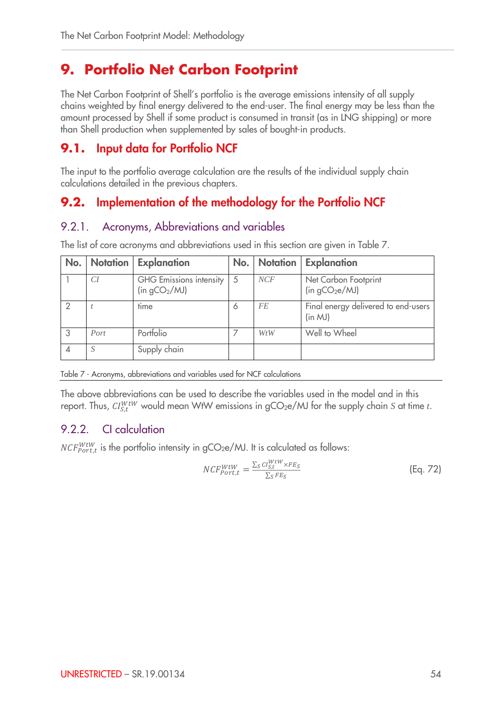# <span id="page-53-0"></span>**9. Portfolio Net Carbon Footprint**

The Net Carbon Footprint of Shell's portfolio is the average emissions intensity of all supply chains weighted by final energy delivered to the end-user. The final energy may be less than the amount processed by Shell if some product is consumed in transit (as in LNG shipping) or more than Shell production when supplemented by sales of bought-in products.

## <span id="page-53-1"></span>**9.1.** Input data for Portfolio NCF

The input to the portfolio average calculation are the results of the individual supply chain calculations detailed in the previous chapters.

## <span id="page-53-2"></span>**9.2.** Implementation of the methodology for the Portfolio NCF

### <span id="page-53-3"></span>9.2.1. Acronyms, Abbreviations and variables

The list of core acronyms and abbreviations used in this section are given in [Table 7.](#page-53-5)

|   |      | No.   Notation   Explanation                      |   | No.   Notation | <b>Explanation</b>                             |
|---|------|---------------------------------------------------|---|----------------|------------------------------------------------|
|   | CI   | <b>GHG</b> Emissions intensity<br>(in $qCO2/MJ$ ) |   | <b>NCF</b>     | Net Carbon Footprint<br>(in $qCO2e/MJ$ )       |
|   |      | time                                              | 6 | FE             | Final energy delivered to end-users<br>(in MJ) |
| 3 | Port | Portfolio                                         |   | WtW            | Well to Wheel                                  |
|   | S    | Supply chain                                      |   |                |                                                |

<span id="page-53-5"></span>Table 7 - Acronyms, abbreviations and variables used for NCF calculations

The above abbreviations can be used to describe the variables used in the model and in this report. Thus,  $\mathit{CI}_{S,t}^{WtW}$  would mean WtW emissions in gCO<sub>2</sub>e/MJ for the supply chain  $S$  at time  $t.$ 

## <span id="page-53-4"></span>9.2.2. CI calculation

 $F_{Port,t}^{WtW}$  is the portfolio intensity in gCO<sub>2</sub>e/MJ. It is calculated as follows:

$$
NCF_{Port,t}^{Wtw} = \frac{\sum_{S} CI_{S,t}^{Wtw} \times FE_S}{\sum_{S} FE_S}
$$
 (Eq. 72)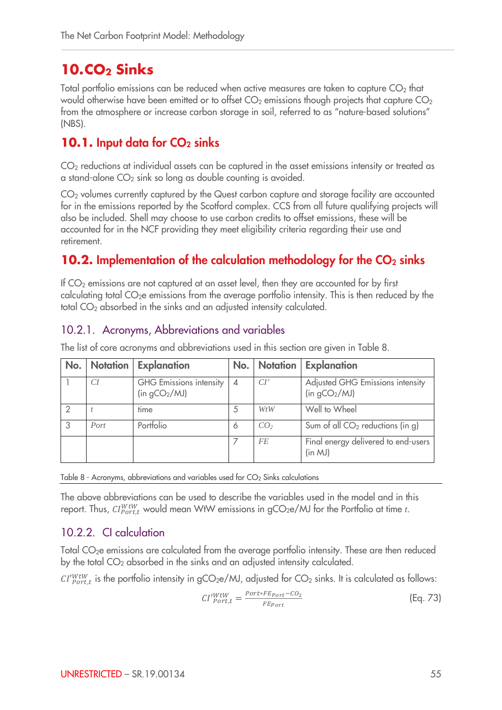# <span id="page-54-0"></span>**10.CO2 Sinks**

Total portfolio emissions can be reduced when active measures are taken to capture  $CO<sub>2</sub>$  that would otherwise have been emitted or to offset  $CO<sub>2</sub>$  emissions though projects that capture  $CO<sub>2</sub>$ from the atmosphere or increase carbon storage in soil, referred to as "nature-based solutions" (NBS).

## <span id="page-54-1"></span>**10.1.** Input data for CO<sub>2</sub> sinks

 $CO<sub>2</sub>$  reductions at individual assets can be captured in the asset emissions intensity or treated as a stand-alone  $CO<sub>2</sub>$  sink so long as double counting is avoided.

CO2 volumes currently captured by the Quest carbon capture and storage facility are accounted for in the emissions reported by the Scotford complex. CCS from all future qualifying projects will also be included. Shell may choose to use carbon credits to offset emissions, these will be accounted for in the NCF providing they meet eligibility criteria regarding their use and retirement.

## <span id="page-54-2"></span>**10.2.** Implementation of the calculation methodology for the CO<sub>2</sub> sinks

If  $CO<sub>2</sub>$  emissions are not captured at an asset level, then they are accounted for by first calculating total CO2e emissions from the average portfolio intensity. This is then reduced by the total CO2 absorbed in the sinks and an adjusted intensity calculated.

## <span id="page-54-3"></span>10.2.1. Acronyms, Abbreviations and variables

|   |      | No.   Notation   Explanation                      |   |                 | No. Notation Explanation                            |
|---|------|---------------------------------------------------|---|-----------------|-----------------------------------------------------|
|   | CI   | <b>GHG</b> Emissions intensity<br>(in $gCO2/MJ$ ) |   | CI'             | Adjusted GHG Emissions intensity<br>(in $gCO2/MJ$ ) |
|   |      | time                                              |   | WtW             | Well to Wheel                                       |
| 3 | Port | Portfolio                                         | 6 | CO <sub>2</sub> | Sum of all $CO2$ reductions (in g)                  |
|   |      |                                                   |   | <b>FE</b>       | Final energy delivered to end-users<br>(in MJ)      |

The list of core acronyms and abbreviations used in this section are given in [Table 8.](#page-54-5)

<span id="page-54-5"></span>Table 8 - Acronyms, abbreviations and variables used for CO<sub>2</sub> Sinks calculations

The above abbreviations can be used to describe the variables used in the model and in this report. Thus,  $\mathit{CI}_{Port,t}^{WtW}$  would mean WtW emissions in  $\mathrm{gCO}_2$ e/MJ for the Portfolio at time  $t.$ 

## <span id="page-54-4"></span>10.2.2. CI calculation

Total CO<sub>2</sub>e emissions are calculated from the average portfolio intensity. These are then reduced by the total  $CO<sub>2</sub>$  absorbed in the sinks and an adjusted intensity calculated.

 $Cl_{Port, t}^{\prime WtW}$  is the portfolio intensity in gCO<sub>2</sub>e/MJ, adjusted for CO<sub>2</sub> sinks. It is calculated as follows:

$$
CIrWtWport,t = \frac{Port*FEPort - CO2}{FEPort}
$$
 (Eq. 73)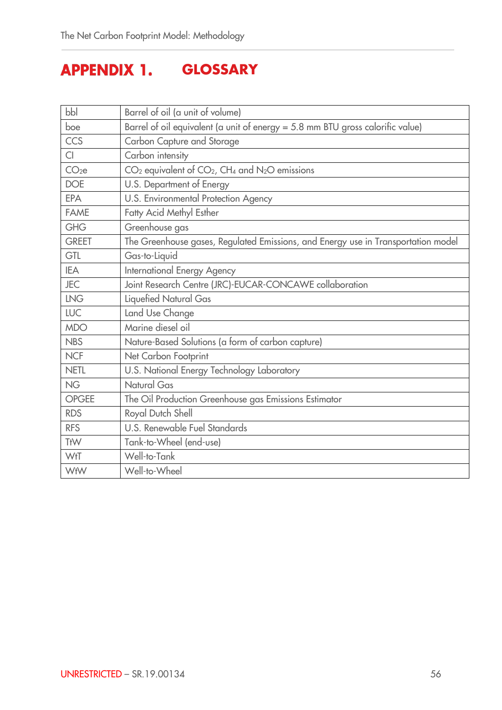#### <span id="page-55-0"></span>**APPENDIX 1. GLOSSARY**

| bbl               | Barrel of oil (a unit of volume)                                                  |
|-------------------|-----------------------------------------------------------------------------------|
| boe               | Barrel of oil equivalent (a unit of energy = 5.8 mm BTU gross calorific value)    |
| CCS               | <b>Carbon Capture and Storage</b>                                                 |
| $\overline{C}$    | Carbon intensity                                                                  |
| CO <sub>2</sub> e | $CO2$ equivalent of $CO2$ , CH <sub>4</sub> and N <sub>2</sub> O emissions        |
| <b>DOE</b>        | U.S. Department of Energy                                                         |
| <b>EPA</b>        | U.S. Environmental Protection Agency                                              |
| <b>FAME</b>       | Fatty Acid Methyl Esther                                                          |
| <b>GHG</b>        | Greenhouse gas                                                                    |
| <b>GREET</b>      | The Greenhouse gases, Regulated Emissions, and Energy use in Transportation model |
| GTL               | Gas-to-Liquid                                                                     |
| <b>IEA</b>        | International Energy Agency                                                       |
| <b>JEC</b>        | Joint Research Centre (JRC)-EUCAR-CONCAWE collaboration                           |
| <b>LNG</b>        | Liquefied Natural Gas                                                             |
| LUC               | Land Use Change                                                                   |
| <b>MDO</b>        | Marine diesel oil                                                                 |
| <b>NBS</b>        | Nature-Based Solutions (a form of carbon capture)                                 |
| <b>NCF</b>        | Net Carbon Footprint                                                              |
| <b>NETL</b>       | U.S. National Energy Technology Laboratory                                        |
| <b>NG</b>         | <b>Natural Gas</b>                                                                |
| <b>OPGEE</b>      | The Oil Production Greenhouse gas Emissions Estimator                             |
| <b>RDS</b>        | Royal Dutch Shell                                                                 |
| <b>RFS</b>        | U.S. Renewable Fuel Standards                                                     |
| TtW               | Tank-to-Wheel (end-use)                                                           |
| WtT               | Well-to-Tank                                                                      |
| WtW               | Well-to-Wheel                                                                     |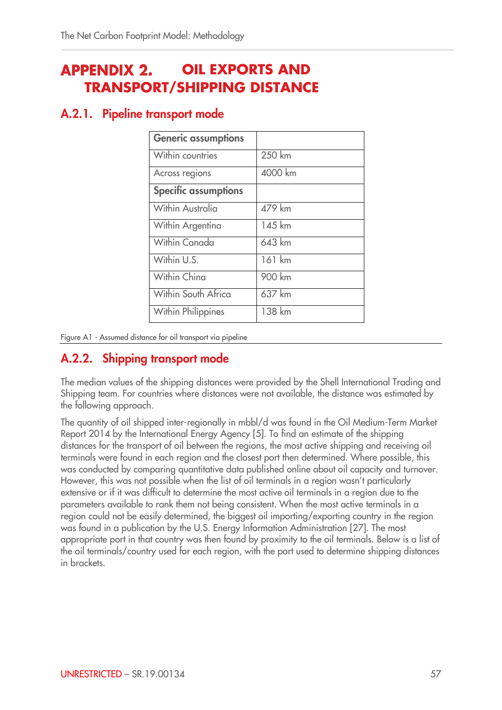#### <span id="page-56-0"></span>**APPENDIX 2. OIL EXPORTS AND TRANSPORT/SHIPPING DISTANCE**

## <span id="page-56-1"></span>A.2.1. Pipeline transport mode

| <b>Generic assumptions</b>  |         |
|-----------------------------|---------|
| Within countries            | 250 km  |
| Across regions              | 4000 km |
| <b>Specific assumptions</b> |         |
| <b>Within Australia</b>     | 479 km  |
| Within Argentina            | 145 km  |
| Within Canada               | 643 km  |
| Within U.S.                 | 161 km  |
| Within China                | 900 km  |
| Within South Africa         | 637 km  |
| <b>Within Philippines</b>   | 138 km  |

Figure A1 - Assumed distance for oil transport via pipeline

## <span id="page-56-2"></span>A.2.2. Shipping transport mode

The median values of the shipping distances were provided by the Shell International Trading and Shipping team. For countries where distances were not available, the distance was estimated by the following approach.

The quantity of oil shipped inter-regionally in mbbl/d was found in the Oil Medium-Term Market Report 2014 by the International Energy Agency [5]. To find an estimate of the shipping distances for the transport of oil between the regions, the most active shipping and receiving oil terminals were found in each region and the closest port then determined. Where possible, this was conducted by comparing quantitative data published online about oil capacity and turnover. However, this was not possible when the list of oil terminals in a region wasn't particularly extensive or if it was difficult to determine the most active oil terminals in a region due to the parameters available to rank them not being consistent. When the most active terminals in a region could not be easily determined, the biggest oil importing/exporting country in the region was found in a publication by the U.S. Energy Information Administration [27]. The most appropriate port in that country was then found by proximity to the oil terminals. Below is a list of the oil terminals/country used for each region, with the port used to determine shipping distances in brackets.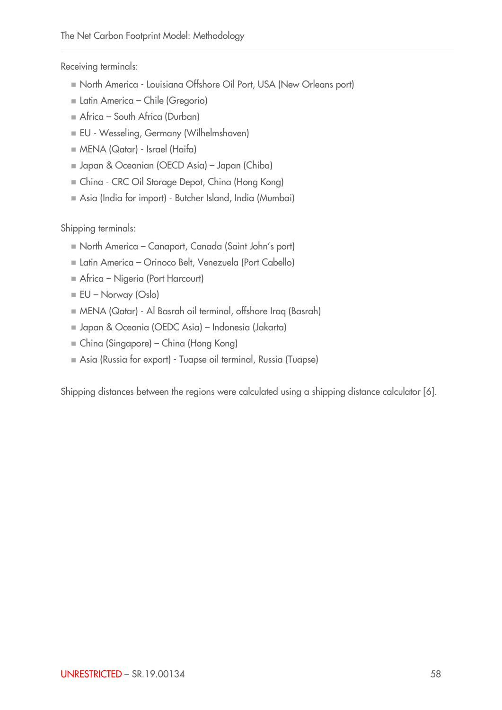Receiving terminals:

- North America Louisiana Offshore Oil Port, USA (New Orleans port)
- Latin America Chile (Gregorio)
- Africa South Africa (Durban)
- EU Wesseling, Germany (Wilhelmshaven)
- MENA (Qatar) Israel (Haifa)
- Japan & Oceanian (OECD Asia) Japan (Chiba)
- China CRC Oil Storage Depot, China (Hong Kong)
- Asia (India for import) Butcher Island, India (Mumbai)

Shipping terminals:

- North America Canaport, Canada (Saint John's port)
- Latin America Orinoco Belt, Venezuela (Port Cabello)
- Africa Nigeria (Port Harcourt)
- $\blacksquare$  EU Norway (Oslo)
- MENA (Qatar) Al Basrah oil terminal, offshore Iraq (Basrah)
- Japan & Oceania (OEDC Asia) Indonesia (Jakarta)
- China (Singapore) China (Hong Kong)
- Asia (Russia for export) Tuapse oil terminal, Russia (Tuapse)

Shipping distances between the regions were calculated using a shipping distance calculator [6].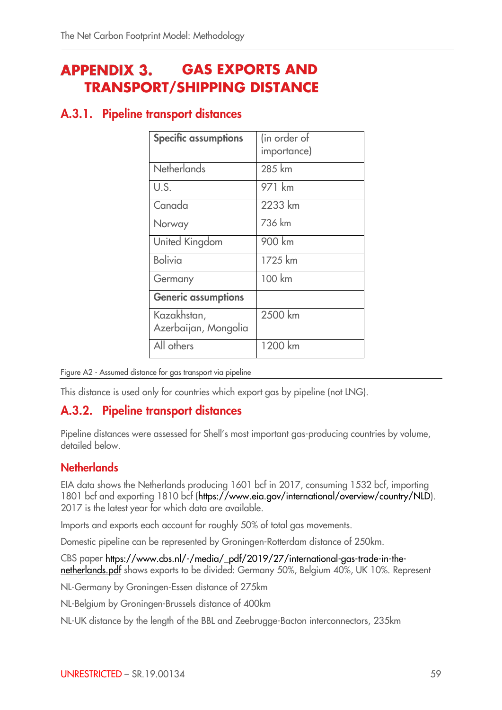#### <span id="page-58-0"></span>**APPENDIX 3. GAS EXPORTS AND TRANSPORT/SHIPPING DISTANCE**

## <span id="page-58-1"></span>A.3.1. Pipeline transport distances

| <b>Specific assumptions</b>         | (in order of<br>importance) |
|-------------------------------------|-----------------------------|
| <b>Netherlands</b>                  | 285 km                      |
| U.S.                                | 971 km                      |
| Canada                              | 2233 km                     |
| Norway                              | 736 km                      |
| United Kingdom                      | 900 km                      |
| Bolivia                             | 1725 km                     |
| Germany                             | 100 km                      |
| <b>Generic assumptions</b>          |                             |
| Kazakhstan,<br>Azerbaijan, Mongolia | 2500 km                     |
| All others                          | 120<br>km                   |

Figure A2 - Assumed distance for gas transport via pipeline

This distance is used only for countries which export gas by pipeline (not LNG).

## <span id="page-58-2"></span>A.3.2. Pipeline transport distances

Pipeline distances were assessed for Shell's most important gas-producing countries by volume, detailed below.

### **Netherlands**

EIA data shows the Netherlands producing 1601 bcf in 2017, consuming 1532 bcf, importing 1801 bcf and exporting 1810 bcf [\(https://www.eia.gov/international/overview/country/NLD\)](https://www.eia.gov/international/overview/country/NLD). 2017 is the latest year for which data are available.

Imports and exports each account for roughly 50% of total gas movements.

Domestic pipeline can be represented by Groningen-Rotterdam distance of 250km.

CBS paper [https://www.cbs.nl/-/media/\\_pdf/2019/27/international-gas-trade-in-the](https://www.cbs.nl/-/media/_pdf/2019/27/international-gas-trade-in-the-netherlands.pdf)[netherlands.pdf](https://www.cbs.nl/-/media/_pdf/2019/27/international-gas-trade-in-the-netherlands.pdf) shows exports to be divided: Germany 50%, Belgium 40%, UK 10%. Represent

NL-Germany by Groningen-Essen distance of 275km

NL-Belgium by Groningen-Brussels distance of 400km

NL-UK distance by the length of the BBL and Zeebrugge-Bacton interconnectors, 235km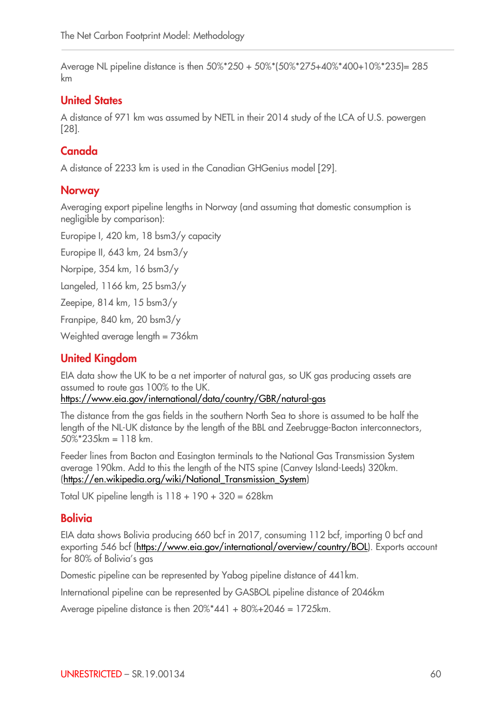Average NL pipeline distance is then 50%\*250 + 50%\*(50%\*275+40%\*400+10%\*235)= 285 km

### United States

A distance of 971 km was assumed by NETL in their 2014 study of the LCA of U.S. powergen [28].

### Canada

A distance of 2233 km is used in the Canadian GHGenius model [29].

### **Norway**

Averaging export pipeline lengths in Norway (and assuming that domestic consumption is negligible by comparison):

Europipe I, 420 km, 18 bsm3/y capacity

Europipe II, 643 km, 24 bsm3/y

Norpipe, 354 km, 16 bsm3/y

Langeled, 1166 km, 25 bsm3/y

Zeepipe, 814 km, 15 bsm3/y

Franpipe, 840 km, 20 bsm3/y

Weighted average length = 736km

## United Kingdom

EIA data show the UK to be a net importer of natural gas, so UK gas producing assets are assumed to route gas 100% to the UK.

<https://www.eia.gov/international/data/country/GBR/natural-gas>

The distance from the gas fields in the southern North Sea to shore is assumed to be half the length of the NL-UK distance by the length of the BBL and Zeebrugge-Bacton interconnectors, 50%\*235km = 118 km.

Feeder lines from Bacton and Easington terminals to the National Gas Transmission System average 190km. Add to this the length of the NTS spine (Canvey Island-Leeds) 320km. [\(https://en.wikipedia.org/wiki/National\\_Transmission\\_System\)](https://en.wikipedia.org/wiki/National_Transmission_System)

Total UK pipeline length is  $118 + 190 + 320 = 628$ km

## Bolivia

EIA data shows Bolivia producing 660 bcf in 2017, consuming 112 bcf, importing 0 bcf and exporting 546 bcf [\(https://www.eia.gov/international/overview/country/BOL\)](https://www.eia.gov/international/overview/country/BOL). Exports account for 80% of Bolivia's gas

Domestic pipeline can be represented by Yabog pipeline distance of 441km.

International pipeline can be represented by GASBOL pipeline distance of 2046km

Average pipeline distance is then  $20\%*441 + 80\%+2046 = 1725$  km.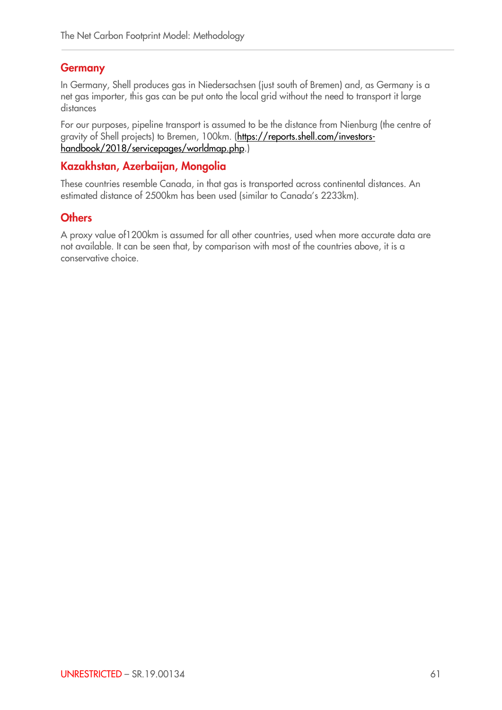### **Germany**

In Germany, Shell produces gas in Niedersachsen (just south of Bremen) and, as Germany is a net gas importer, this gas can be put onto the local grid without the need to transport it large distances

For our purposes, pipeline transport is assumed to be the distance from Nienburg (the centre of gravity of Shell projects) to Bremen, 100km. [\(https://reports.shell.com/investors](https://reports.shell.com/investors-handbook/2018/servicepages/worldmap.php)[handbook/2018/servicepages/worldmap.php.](https://reports.shell.com/investors-handbook/2018/servicepages/worldmap.php))

### Kazakhstan, Azerbaijan, Mongolia

These countries resemble Canada, in that gas is transported across continental distances. An estimated distance of 2500km has been used (similar to Canada's 2233km).

### **Others**

A proxy value of1200km is assumed for all other countries, used when more accurate data are not available. It can be seen that, by comparison with most of the countries above, it is a conservative choice.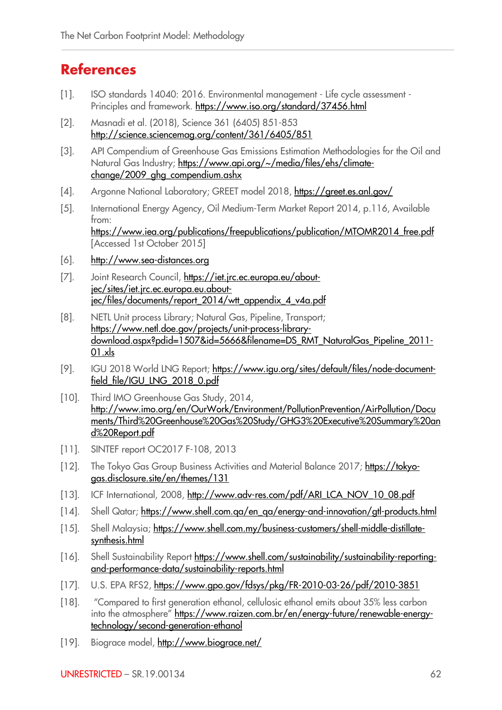## <span id="page-61-0"></span>**References**

- [1]. ISO standards 14040: 2016. Environmental management Life cycle assessment Principles and framework.<https://www.iso.org/standard/37456.html>
- [2]. Masnadi et al. (2018), Science 361 (6405) 851-853 <http://science.sciencemag.org/content/361/6405/851>
- [3]. API Compendium of Greenhouse Gas Emissions Estimation Methodologies for the Oil and Natural Gas Industry; [https://www.api.org/~/media/files/ehs/climate](https://www.api.org/%7E/media/files/ehs/climate-change/2009_ghg_compendium.ashx)[change/2009\\_ghg\\_compendium.ashx](https://www.api.org/%7E/media/files/ehs/climate-change/2009_ghg_compendium.ashx)
- [4]. Argonne National Laboratory; GREET model 2018,<https://greet.es.anl.gov/>
- [5]. International Energy Agency, Oil Medium-Term Market Report 2014, p.116, Available from: [https://www.iea.org/publications/freepublications/publication/MTOMR2014\\_free.pdf](https://www.iea.org/publications/freepublications/publication/MTOMR2014_free.pdf) [Accessed 1st October 2015]
- [6]. [http://www.sea-distances.org](http://www.sea-distances.org/)
- [7]. Joint Research Council, [https://iet.jrc.ec.europa.eu/about](https://iet.jrc.ec.europa.eu/about-jec/sites/iet.jrc.ec.europa.eu.about-jec/files/documents/report_2014/wtt_appendix_4_v4a.pdf)[jec/sites/iet.jrc.ec.europa.eu.about](https://iet.jrc.ec.europa.eu/about-jec/sites/iet.jrc.ec.europa.eu.about-jec/files/documents/report_2014/wtt_appendix_4_v4a.pdf)iec/files/documents/report\_2014/wtt\_appendix\_4\_v4a.pdf
- [8]. [NETL](https://my.shell.com/personal/trevor_t_stephenson_shell_com/Documents/Documents/NCF%202016%20SERS/NETL) Unit process Library; Natural Gas, Pipeline, Transport; [https://www.netl.doe.gov/projects/unit-process-library](https://www.netl.doe.gov/projects/unit-process-library-download.aspx?pdid=1507&id=5666&filename=DS_RMT_NaturalGas_Pipeline_2011-01.xls)[download.aspx?pdid=1507&id=5666&filename=DS\\_RMT\\_NaturalGas\\_Pipeline\\_2011-](https://www.netl.doe.gov/projects/unit-process-library-download.aspx?pdid=1507&id=5666&filename=DS_RMT_NaturalGas_Pipeline_2011-01.xls) [01.xls](https://www.netl.doe.gov/projects/unit-process-library-download.aspx?pdid=1507&id=5666&filename=DS_RMT_NaturalGas_Pipeline_2011-01.xls)
- [9]. IGU 2018 World LNG Report; [https://www.igu.org/sites/default/files/node-document](https://www.igu.org/sites/default/files/node-document-field_file/IGU_LNG_2018_0.pdf)[field\\_file/IGU\\_LNG\\_2018\\_0.pdf](https://www.igu.org/sites/default/files/node-document-field_file/IGU_LNG_2018_0.pdf)
- [10]. Third IMO Greenhouse Gas Study, 2014, [http://www.imo.org/en/OurWork/Environment/PollutionPrevention/AirPollution/Docu](http://www.imo.org/en/OurWork/Environment/PollutionPrevention/AirPollution/Documents/Third%20Greenhouse%20Gas%20Study/GHG3%20Executive%20Summary%20and%20Report.pdf) [ments/Third%20Greenhouse%20Gas%20Study/GHG3%20Executive%20Summary%20an](http://www.imo.org/en/OurWork/Environment/PollutionPrevention/AirPollution/Documents/Third%20Greenhouse%20Gas%20Study/GHG3%20Executive%20Summary%20and%20Report.pdf) [d%20Report.pdf](http://www.imo.org/en/OurWork/Environment/PollutionPrevention/AirPollution/Documents/Third%20Greenhouse%20Gas%20Study/GHG3%20Executive%20Summary%20and%20Report.pdf)
- [11]. SINTEF report OC2017 F-108, 2013
- [12]. The Tokyo Gas Group Business Activities and Material Balance 2017; [https://tokyo](https://tokyo-gas.disclosure.site/en/themes/131)[gas.disclosure.site/en/themes/131](https://tokyo-gas.disclosure.site/en/themes/131)
- [13]. ICF International, 2008, [http://www.adv-res.com/pdf/ARI\\_LCA\\_NOV\\_10\\_08.pdf](http://www.adv-res.com/pdf/ARI_LCA_NOV_10_08.pdf)
- [14]. Shell Qatar; [https://www.shell.com.qa/en\\_qa/energy-and-innovation/gtl-products.html](https://www.shell.com.qa/en_qa/energy-and-innovation/gtl-products.html)
- [15]. Shell Malaysia; [https://www.shell.com.my/business-customers/shell-middle-distillate](https://www.shell.com.my/business-customers/shell-middle-distillate-synthesis.html)[synthesis.html](https://www.shell.com.my/business-customers/shell-middle-distillate-synthesis.html)
- [16]. Shell Sustainability Report [https://www.shell.com/sustainability/sustainability-reporting](https://www.shell.com/sustainability/sustainability-reporting-and-performance-data/sustainability-reports.html)[and-performance-data/sustainability-reports.html](https://www.shell.com/sustainability/sustainability-reporting-and-performance-data/sustainability-reports.html)
- [17]. U.S. EPA RFS2,<https://www.gpo.gov/fdsys/pkg/FR-2010-03-26/pdf/2010-3851>
- [18]. "Compared to first generation ethanol, cellulosic ethanol emits about 35% less carbon into the atmosphere" [https://www.raizen.com.br/en/energy-future/renewable-energy](https://www.raizen.com.br/en/energy-future/renewable-energy-technology/second-generation-ethanol)[technology/second-generation-ethanol](https://www.raizen.com.br/en/energy-future/renewable-energy-technology/second-generation-ethanol)
- [19]. Biograce model,<http://www.biograce.net/>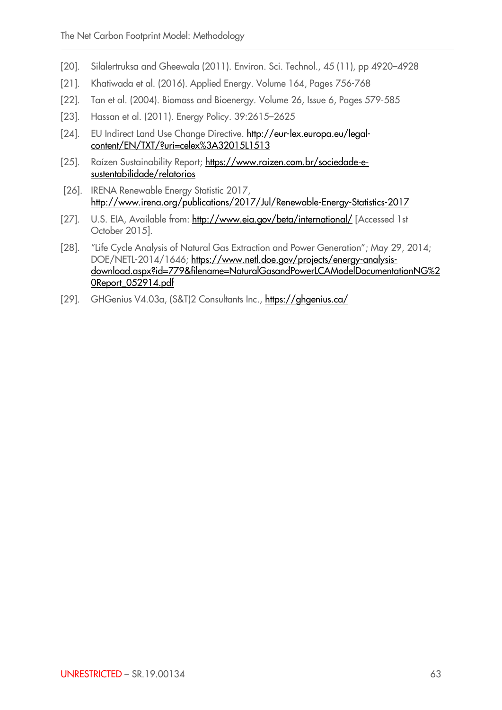- [20]. Silalertruksa and Gheewala (2011). Environ. Sci. Technol., 45 (11), pp 4920–4928
- [21]. Khatiwada et al. (2016). Applied Energy. Volume 164, Pages 756-768
- [22]. Tan et al. (2004). Biomass and Bioenergy. Volume 26, Issue 6, Pages 579-585
- [23]. Hassan et al. (2011). Energy Policy. 39:2615–2625
- [24]. EU Indirect Land Use Change Directive. [http://eur-lex.europa.eu/legal](http://eur-lex.europa.eu/legal-content/EN/TXT/?uri=celex%3A32015L1513)[content/EN/TXT/?uri=celex%3A32015L1513](http://eur-lex.europa.eu/legal-content/EN/TXT/?uri=celex%3A32015L1513)
- [25]. Raízen Sustainability Report; [https://www.raizen.com.br/sociedade-e](https://www.raizen.com.br/sociedade-e-sustentabilidade/relatorios)[sustentabilidade/relatorios](https://www.raizen.com.br/sociedade-e-sustentabilidade/relatorios)
- [26]. IRENA Renewable Energy Statistic 2017, <http://www.irena.org/publications/2017/Jul/Renewable-Energy-Statistics-2017>
- [27]. U.S. EIA, Available from:<http://www.eia.gov/beta/international/> [Accessed 1st] October 2015].
- [28]. "Life Cycle Analysis of Natural Gas Extraction and Power Generation"; May 29, 2014; DOE/NETL-2014/1646; [https://www.netl.doe.gov/projects/energy-analysis](https://www.netl.doe.gov/projects/energy-analysis-download.aspx?id=779&filename=NaturalGasandPowerLCAModelDocumentationNG%20Report_052914.pdf)[download.aspx?id=779&filename=NaturalGasandPowerLCAModelDocumentationNG%2](https://www.netl.doe.gov/projects/energy-analysis-download.aspx?id=779&filename=NaturalGasandPowerLCAModelDocumentationNG%20Report_052914.pdf) 0Report 052914.pdf
- [29]. GHGenius V4.03a, (S&T)2 Consultants Inc.,<https://ghgenius.ca/>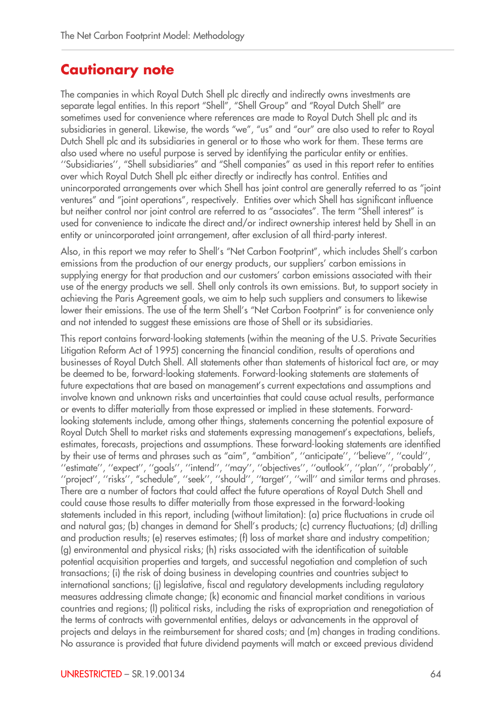## <span id="page-63-0"></span>**Cautionary note**

The companies in which Royal Dutch Shell plc directly and indirectly owns investments are separate legal entities. In this report "Shell", "Shell Group" and "Royal Dutch Shell" are sometimes used for convenience where references are made to Royal Dutch Shell plc and its subsidiaries in general. Likewise, the words "we", "us" and "our" are also used to refer to Royal Dutch Shell plc and its subsidiaries in general or to those who work for them. These terms are also used where no useful purpose is served by identifying the particular entity or entities. ''Subsidiaries'', "Shell subsidiaries" and "Shell companies" as used in this report refer to entities over which Royal Dutch Shell plc either directly or indirectly has control. Entities and unincorporated arrangements over which Shell has joint control are generally referred to as "joint ventures" and "joint operations", respectively. Entities over which Shell has significant influence but neither control nor joint control are referred to as "associates". The term "Shell interest" is used for convenience to indicate the direct and/or indirect ownership interest held by Shell in an entity or unincorporated joint arrangement, after exclusion of all third-party interest.

Also, in this report we may refer to Shell's "Net Carbon Footprint", which includes Shell's carbon emissions from the production of our energy products, our suppliers' carbon emissions in supplying energy for that production and our customers' carbon emissions associated with their use of the energy products we sell. Shell only controls its own emissions. But, to support society in achieving the Paris Agreement goals, we aim to help such suppliers and consumers to likewise lower their emissions. The use of the term Shell's "Net Carbon Footprint" is for convenience only and not intended to suggest these emissions are those of Shell or its subsidiaries.

This report contains forward-looking statements (within the meaning of the U.S. Private Securities Litigation Reform Act of 1995) concerning the financial condition, results of operations and businesses of Royal Dutch Shell. All statements other than statements of historical fact are, or may be deemed to be, forward-looking statements. Forward-looking statements are statements of future expectations that are based on management's current expectations and assumptions and involve known and unknown risks and uncertainties that could cause actual results, performance or events to differ materially from those expressed or implied in these statements. Forwardlooking statements include, among other things, statements concerning the potential exposure of Royal Dutch Shell to market risks and statements expressing management's expectations, beliefs, estimates, forecasts, projections and assumptions. These forward-looking statements are identified by their use of terms and phrases such as "aim", "ambition", ''anticipate'', ''believe'', ''could'', ''estimate'', ''expect'', ''goals'', ''intend'', ''may'', ''objectives'', ''outlook'', ''plan'', ''probably'', ''project'', ''risks'', "schedule", ''seek'', ''should'', ''target'', ''will'' and similar terms and phrases. There are a number of factors that could affect the future operations of Royal Dutch Shell and could cause those results to differ materially from those expressed in the forward-looking statements included in this report, including (without limitation): (a) price fluctuations in crude oil and natural gas; (b) changes in demand for Shell's products; (c) currency fluctuations; (d) drilling and production results; (e) reserves estimates; (f) loss of market share and industry competition; (g) environmental and physical risks; (h) risks associated with the identification of suitable potential acquisition properties and targets, and successful negotiation and completion of such transactions; (i) the risk of doing business in developing countries and countries subject to international sanctions; (j) legislative, fiscal and regulatory developments including regulatory measures addressing climate change; (k) economic and financial market conditions in various countries and regions; (l) political risks, including the risks of expropriation and renegotiation of the terms of contracts with governmental entities, delays or advancements in the approval of projects and delays in the reimbursement for shared costs; and (m) changes in trading conditions. No assurance is provided that future dividend payments will match or exceed previous dividend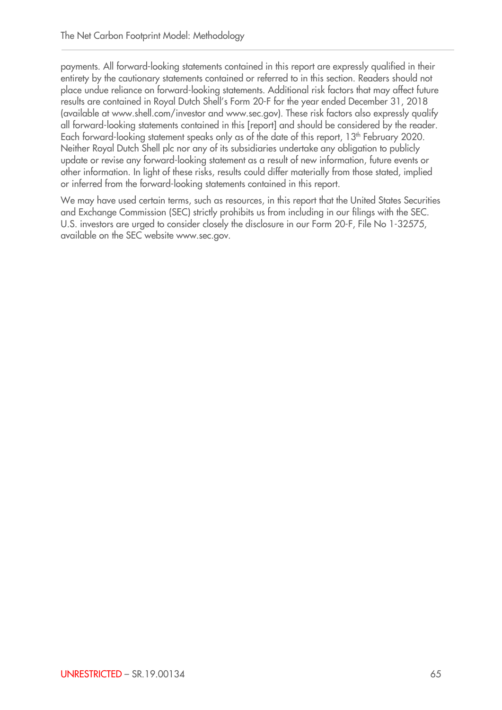payments. All forward-looking statements contained in this report are expressly qualified in their entirety by the cautionary statements contained or referred to in this section. Readers should not place undue reliance on forward-looking statements. Additional risk factors that may affect future results are contained in Royal Dutch Shell's Form 20-F for the year ended December 31, 2018 (available at www.shell.com/investor and www.sec.gov). These risk factors also expressly qualify all forward-looking statements contained in this [report] and should be considered by the reader. Each forward-looking statement speaks only as of the date of this report, 13<sup>th</sup> February 2020. Neither Royal Dutch Shell plc nor any of its subsidiaries undertake any obligation to publicly update or revise any forward-looking statement as a result of new information, future events or other information. In light of these risks, results could differ materially from those stated, implied or inferred from the forward-looking statements contained in this report.

We may have used certain terms, such as resources, in this report that the United States Securities and Exchange Commission (SEC) strictly prohibits us from including in our filings with the SEC. U.S. investors are urged to consider closely the disclosure in our Form 20-F, File No 1-32575, available on the SEC website www.sec.gov.